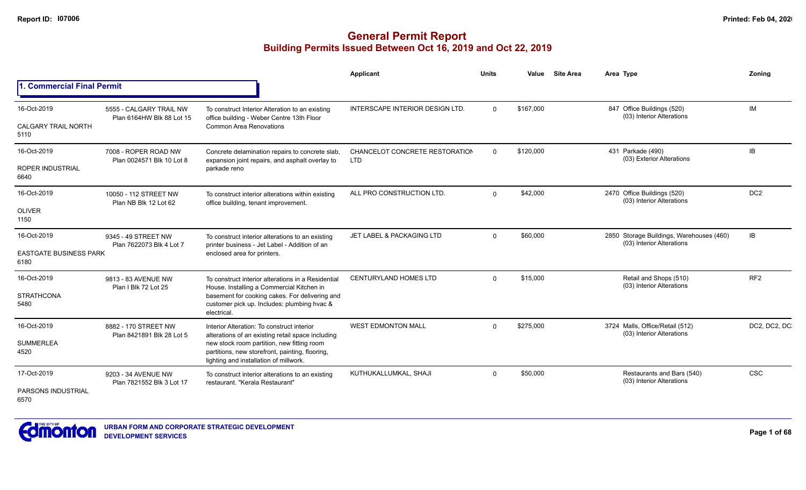|                                                      |                                                      |                                                                                                                                                                                                                                            | Applicant                                    | <b>Units</b> | Value     | <b>Site Area</b> | Area Type                                                             | Zonina          |
|------------------------------------------------------|------------------------------------------------------|--------------------------------------------------------------------------------------------------------------------------------------------------------------------------------------------------------------------------------------------|----------------------------------------------|--------------|-----------|------------------|-----------------------------------------------------------------------|-----------------|
| 1. Commercial Final Permit                           |                                                      |                                                                                                                                                                                                                                            |                                              |              |           |                  |                                                                       |                 |
| 16-Oct-2019<br><b>CALGARY TRAIL NORTH</b><br>5110    | 5555 - CALGARY TRAIL NW<br>Plan 6164HW Blk 88 Lot 15 | To construct Interior Alteration to an existing<br>office building - Weber Centre 13th Floor<br><b>Common Area Renovations</b>                                                                                                             | <b>INTERSCAPE INTERIOR DESIGN LTD.</b>       | $\Omega$     | \$167,000 |                  | 847 Office Buildings (520)<br>(03) Interior Alterations               | IM              |
| 16-Oct-2019<br><b>ROPER INDUSTRIAL</b><br>6640       | 7008 - ROPER ROAD NW<br>Plan 0024571 Blk 10 Lot 8    | Concrete delamination repairs to concrete slab,<br>expansion joint repairs, and asphalt overlay to<br>parkade reno                                                                                                                         | CHANCELOT CONCRETE RESTORATION<br><b>LTD</b> | $\Omega$     | \$120,000 |                  | 431 Parkade (490)<br>(03) Exterior Alterations                        | IB              |
| 16-Oct-2019<br>OLIVER<br>1150                        | 10050 - 112 STREET NW<br>Plan NB Blk 12 Lot 62       | To construct interior alterations within existing<br>office building, tenant improvement.                                                                                                                                                  | ALL PRO CONSTRUCTION LTD.                    | $\Omega$     | \$42,000  |                  | 2470 Office Buildings (520)<br>(03) Interior Alterations              | DC <sub>2</sub> |
| 16-Oct-2019<br><b>EASTGATE BUSINESS PARK</b><br>6180 | 9345 - 49 STREET NW<br>Plan 7622073 Blk 4 Lot 7      | To construct interior alterations to an existing<br>printer business - Jet Label - Addition of an<br>enclosed area for printers.                                                                                                           | JET LABEL & PACKAGING LTD                    | $\Omega$     | \$60,000  |                  | 2850 Storage Buildings, Warehouses (460)<br>(03) Interior Alterations | IB              |
| 16-Oct-2019<br><b>STRATHCONA</b><br>5480             | 9813 - 83 AVENUE NW<br>Plan I Blk 72 Lot 25          | To construct interior alterations in a Residential<br>House. Installing a Commercial Kitchen in<br>basement for cooking cakes. For delivering and<br>customer pick up. Includes: plumbing hvac &<br>electrical.                            | <b>CENTURYLAND HOMES LTD</b>                 | $\Omega$     | \$15,000  |                  | Retail and Shops (510)<br>(03) Interior Alterations                   | RF <sub>2</sub> |
| 16-Oct-2019<br><b>SUMMERLEA</b><br>4520              | 8882 - 170 STREET NW<br>Plan 8421891 Blk 28 Lot 5    | Interior Alteration: To construct interior<br>alterations of an existing retail space including<br>new stock room partition, new fitting room<br>partitions, new storefront, painting, flooring,<br>lighting and installation of millwork. | <b>WEST EDMONTON MALL</b>                    | $\Omega$     | \$275,000 |                  | 3724 Malls, Office/Retail (512)<br>(03) Interior Alterations          | DC2, DC2, DC    |
| 17-Oct-2019<br><b>PARSONS INDUSTRIAL</b><br>6570     | 9203 - 34 AVENUE NW<br>Plan 7821552 Blk 3 Lot 17     | To construct interior alterations to an existing<br>restaurant. "Kerala Restaurant"                                                                                                                                                        | KUTHUKALLUMKAL, SHAJI                        | $\Omega$     | \$50,000  |                  | Restaurants and Bars (540)<br>(03) Interior Alterations               | <b>CSC</b>      |

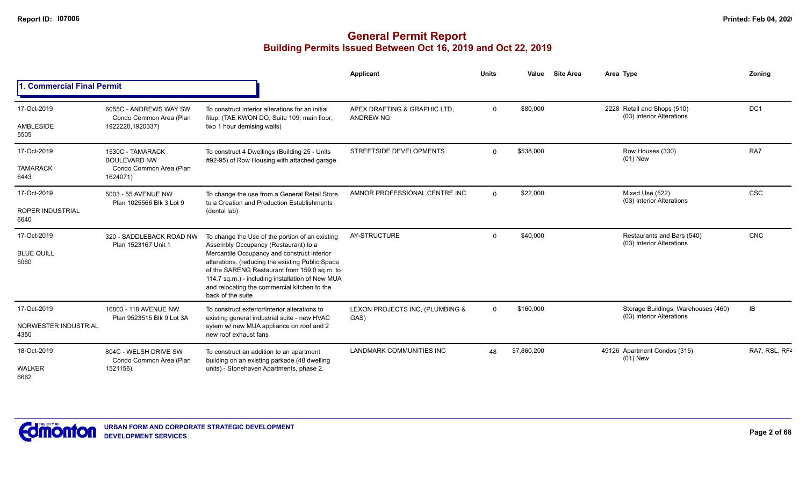|                                                |                                                                                |                                                                                                                                                                                                                                                                                                                                                                                                                                                                                                                                                                                                                                                                                                                                                                                                                                                                                                                                                                                                                                                                                                                                                                                                                                                                                                                                                                                                                                                                                                                                                                                                                                                                                                                                                                                       | Applicant | Units | Value | <b>Site Area</b> | Area Type | Zoning        |
|------------------------------------------------|--------------------------------------------------------------------------------|---------------------------------------------------------------------------------------------------------------------------------------------------------------------------------------------------------------------------------------------------------------------------------------------------------------------------------------------------------------------------------------------------------------------------------------------------------------------------------------------------------------------------------------------------------------------------------------------------------------------------------------------------------------------------------------------------------------------------------------------------------------------------------------------------------------------------------------------------------------------------------------------------------------------------------------------------------------------------------------------------------------------------------------------------------------------------------------------------------------------------------------------------------------------------------------------------------------------------------------------------------------------------------------------------------------------------------------------------------------------------------------------------------------------------------------------------------------------------------------------------------------------------------------------------------------------------------------------------------------------------------------------------------------------------------------------------------------------------------------------------------------------------------------|-----------|-------|-------|------------------|-----------|---------------|
| 1. Commercial Final Permit                     |                                                                                | DC <sub>1</sub><br>\$80,000<br>2228 Retail and Shops (510)<br>$\Omega$<br>To construct interior alterations for an initial<br>APEX DRAFTING & GRAPHIC LTD.<br>(03) Interior Alterations<br>fitup. (TAE KWON DO, Suite 109, main floor,<br>ANDREW NG<br>two 1 hour demising walls)<br>RA7<br>\$538,000<br>STREETSIDE DEVELOPMENTS<br>Row Houses (330)<br>$\Omega$<br>To construct 4 Dwellings (Building 25 - Units<br>$(01)$ New<br>#92-95) of Row Housing with attached garage<br><b>CSC</b><br>\$22,000<br>AMNOR PROFESSIONAL CENTRE INC<br>Mixed Use (522)<br>$\Omega$<br>To change the use from a General Retail Store<br>(03) Interior Alterations<br>to a Creation and Production Establishments<br>(dental lab)<br><b>CNC</b><br>\$40,000<br>Restaurants and Bars (540)<br>AY-STRUCTURE<br>$\mathbf 0$<br>To change the Use of the portion of an existing<br>(03) Interior Alterations<br>Assembly Occupancy (Restaurant) to a<br>Mercantile Occupancy and construct interior<br>alterations. (reducing the existing Public Space<br>of the SARENG Restaurant from 159.0 sq.m. to<br>114.7 sq.m.) - including installation of New MUA<br>and relocating the commercial kitchen to the<br>back of the suite<br>IB<br>\$160,000<br>Storage Buildings, Warehouses (460)<br>$\mathbf 0$<br>To construct exterior/interior alterations to<br>LEXON PROJECTS INC, (PLUMBING &<br>(03) Interior Alterations<br>existing general industrial suite - new HVAC<br>GAS)<br>sytem w/ new MUA appliance on roof and 2<br>new roof exhaust fans<br><b>LANDMARK COMMUNITIES INC</b><br>\$7,860,200<br>49126 Apartment Condos (315)<br>48<br>To construct an addition to an apartment<br>$(01)$ New<br>building on an existing parkade (48 dwelling<br>units) - Stonehaven Apartments, phase 2. |           |       |       |                  |           |               |
| 17-Oct-2019<br>AMBLESIDE<br>5505               | 6055C - ANDREWS WAY SW<br>Condo Common Area (Plan<br>1922220,1920337)          |                                                                                                                                                                                                                                                                                                                                                                                                                                                                                                                                                                                                                                                                                                                                                                                                                                                                                                                                                                                                                                                                                                                                                                                                                                                                                                                                                                                                                                                                                                                                                                                                                                                                                                                                                                                       |           |       |       |                  |           |               |
| 17-Oct-2019<br><b>TAMARACK</b><br>6443         | 1530C - TAMARACK<br><b>BOULEVARD NW</b><br>Condo Common Area (Plan<br>1624071) |                                                                                                                                                                                                                                                                                                                                                                                                                                                                                                                                                                                                                                                                                                                                                                                                                                                                                                                                                                                                                                                                                                                                                                                                                                                                                                                                                                                                                                                                                                                                                                                                                                                                                                                                                                                       |           |       |       |                  |           |               |
| 17-Oct-2019<br><b>ROPER INDUSTRIAL</b><br>6640 | 5003 - 55 AVENUE NW<br>Plan 1025566 Blk 3 Lot 9                                |                                                                                                                                                                                                                                                                                                                                                                                                                                                                                                                                                                                                                                                                                                                                                                                                                                                                                                                                                                                                                                                                                                                                                                                                                                                                                                                                                                                                                                                                                                                                                                                                                                                                                                                                                                                       |           |       |       |                  |           |               |
| 17-Oct-2019<br><b>BLUE QUILL</b><br>5060       | 320 - SADDLEBACK ROAD NW<br>Plan 1523167 Unit 1                                |                                                                                                                                                                                                                                                                                                                                                                                                                                                                                                                                                                                                                                                                                                                                                                                                                                                                                                                                                                                                                                                                                                                                                                                                                                                                                                                                                                                                                                                                                                                                                                                                                                                                                                                                                                                       |           |       |       |                  |           |               |
| 17-Oct-2019<br>NORWESTER INDUSTRIAL<br>4350    | 16803 - 118 AVENUE NW<br>Plan 9523515 Blk 9 Lot 3A                             |                                                                                                                                                                                                                                                                                                                                                                                                                                                                                                                                                                                                                                                                                                                                                                                                                                                                                                                                                                                                                                                                                                                                                                                                                                                                                                                                                                                                                                                                                                                                                                                                                                                                                                                                                                                       |           |       |       |                  |           |               |
| 18-Oct-2019<br><b>WALKER</b><br>6662           | 804C - WELSH DRIVE SW<br>Condo Common Area (Plan<br>1521156)                   |                                                                                                                                                                                                                                                                                                                                                                                                                                                                                                                                                                                                                                                                                                                                                                                                                                                                                                                                                                                                                                                                                                                                                                                                                                                                                                                                                                                                                                                                                                                                                                                                                                                                                                                                                                                       |           |       |       |                  |           | RA7, RSL, RF4 |

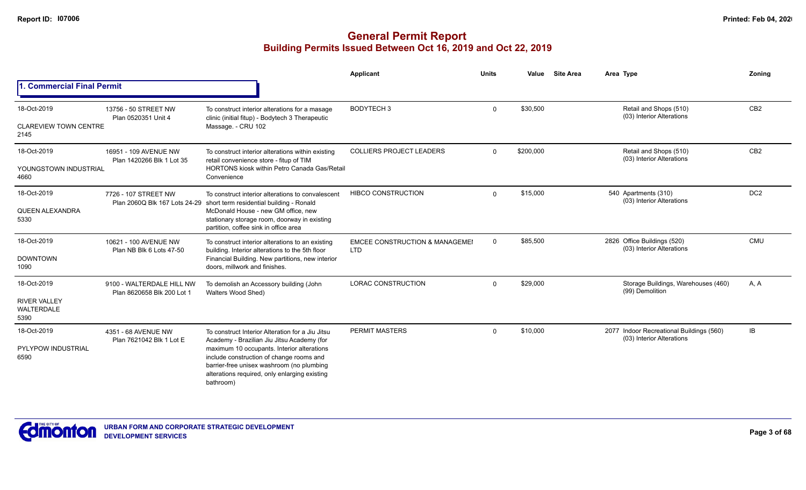|                                                                 |                                                         |                                                                                                                                                                                                                                                                                                     | Applicant                                               | <b>Units</b> | Value     | <b>Site Area</b> | Area Type                                                             | Zoning          |
|-----------------------------------------------------------------|---------------------------------------------------------|-----------------------------------------------------------------------------------------------------------------------------------------------------------------------------------------------------------------------------------------------------------------------------------------------------|---------------------------------------------------------|--------------|-----------|------------------|-----------------------------------------------------------------------|-----------------|
| 1. Commercial Final Permit                                      |                                                         |                                                                                                                                                                                                                                                                                                     |                                                         |              |           |                  |                                                                       |                 |
| 18-Oct-2019<br><b>CLAREVIEW TOWN CENTRE</b><br>2145             | 13756 - 50 STREET NW<br>Plan 0520351 Unit 4             | To construct interior alterations for a masage<br>clinic (initial fitup) - Bodytech 3 Therapeutic<br>Massage. - CRU 102                                                                                                                                                                             | <b>BODYTECH3</b>                                        | $\Omega$     | \$30,500  |                  | Retail and Shops (510)<br>(03) Interior Alterations                   | CB <sub>2</sub> |
| 18-Oct-2019<br>YOUNGSTOWN INDUSTRIAL<br>4660                    | 16951 - 109 AVENUE NW<br>Plan 1420266 Blk 1 Lot 35      | To construct interior alterations within existing<br>retail convenience store - fitup of TIM<br><b>HORTONS kiosk within Petro Canada Gas/Retail</b><br>Convenience                                                                                                                                  | <b>COLLIERS PROJECT LEADERS</b>                         | $\Omega$     | \$200,000 |                  | Retail and Shops (510)<br>(03) Interior Alterations                   | CB <sub>2</sub> |
| 18-Oct-2019<br>QUEEN ALEXANDRA<br>5330                          | 7726 - 107 STREET NW                                    | To construct interior alterations to convalescent<br>Plan 2060Q Blk 167 Lots 24-29 short term residential building - Ronald<br>McDonald House - new GM office, new<br>stationary storage room, doorway in existing<br>partition, coffee sink in office area                                         | <b>HIBCO CONSTRUCTION</b>                               | $\Omega$     | \$15,000  |                  | 540 Apartments (310)<br>(03) Interior Alterations                     | DC <sub>2</sub> |
| 18-Oct-2019<br><b>DOWNTOWN</b><br>1090                          | 10621 - 100 AVENUE NW<br>Plan NB Blk 6 Lots 47-50       | To construct interior alterations to an existing<br>building. Interior alterations to the 5th floor<br>Financial Building. New partitions, new interior<br>doors, millwork and finishes.                                                                                                            | <b>EMCEE CONSTRUCTION &amp; MANAGEMEI</b><br><b>LTD</b> | $\mathbf 0$  | \$85,500  |                  | 2826 Office Buildings (520)<br>(03) Interior Alterations              | <b>CMU</b>      |
| 18-Oct-2019<br><b>RIVER VALLEY</b><br><b>WALTERDALE</b><br>5390 | 9100 - WALTERDALE HILL NW<br>Plan 8620658 Blk 200 Lot 1 | To demolish an Accessory building (John<br>Walters Wood Shed)                                                                                                                                                                                                                                       | <b>LORAC CONSTRUCTION</b>                               | $\Omega$     | \$29,000  |                  | Storage Buildings, Warehouses (460)<br>(99) Demolition                | A, A            |
| 18-Oct-2019<br><b>PYLYPOW INDUSTRIAL</b><br>6590                | 4351 - 68 AVENUE NW<br>Plan 7621042 Blk 1 Lot E         | To construct Interior Alteration for a Jiu Jitsu<br>Academy - Brazilian Jiu Jitsu Academy (for<br>maximum 10 occupants. Interior alterations<br>include construction of change rooms and<br>barrier-free unisex washroom (no plumbing<br>alterations required, only enlarging existing<br>bathroom) | <b>PERMIT MASTERS</b>                                   | $\Omega$     | \$10,000  |                  | 2077 Indoor Recreational Buildings (560)<br>(03) Interior Alterations | IB              |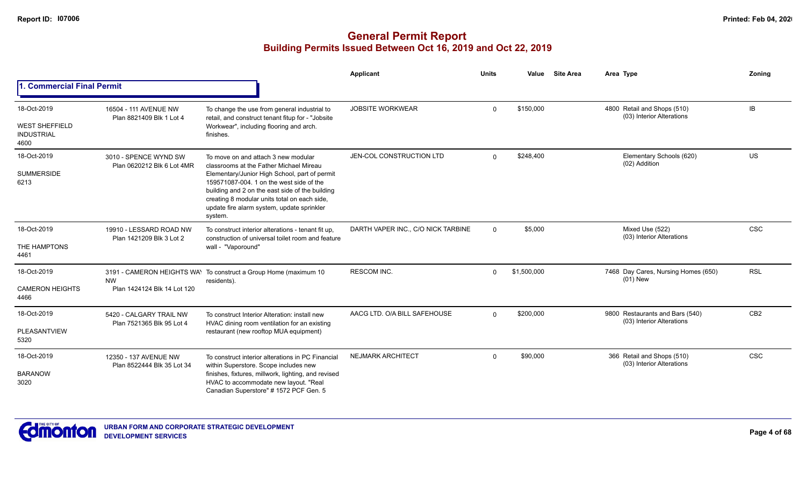|                                                                   |                                                      |                                                                                                                                                                                                                                                                                                                                         | Applicant                          | <b>Units</b>   | Value       | <b>Site Area</b> | Area Type                                                    | Zoning          |
|-------------------------------------------------------------------|------------------------------------------------------|-----------------------------------------------------------------------------------------------------------------------------------------------------------------------------------------------------------------------------------------------------------------------------------------------------------------------------------------|------------------------------------|----------------|-------------|------------------|--------------------------------------------------------------|-----------------|
| 1. Commercial Final Permit                                        |                                                      |                                                                                                                                                                                                                                                                                                                                         |                                    |                |             |                  |                                                              |                 |
| 18-Oct-2019<br><b>WEST SHEFFIELD</b><br><b>INDUSTRIAL</b><br>4600 | 16504 - 111 AVENUE NW<br>Plan 8821409 Blk 1 Lot 4    | To change the use from general industrial to<br>retail, and construct tenant fitup for - "Jobsite<br>Workwear", including flooring and arch.<br>finishes.                                                                                                                                                                               | <b>JOBSITE WORKWEAR</b>            | $\Omega$       | \$150,000   |                  | 4800 Retail and Shops (510)<br>(03) Interior Alterations     | <b>IB</b>       |
| 18-Oct-2019<br><b>SUMMERSIDE</b><br>6213                          | 3010 - SPENCE WYND SW<br>Plan 0620212 Blk 6 Lot 4MR  | To move on and attach 3 new modular<br>classrooms at the Father Michael Mireau<br>Elementary/Junior High School, part of permit<br>159571087-004, 1 on the west side of the<br>building and 2 on the east side of the building<br>creating 8 modular units total on each side,<br>update fire alarm system, update sprinkler<br>system. | JEN-COL CONSTRUCTION LTD           | $\Omega$       | \$248,400   |                  | Elementary Schools (620)<br>(02) Addition                    | US              |
| 18-Oct-2019<br>THE HAMPTONS<br>4461                               | 19910 - LESSARD ROAD NW<br>Plan 1421209 Blk 3 Lot 2  | To construct interior alterations - tenant fit up.<br>construction of universal toilet room and feature<br>wall - "Vaporound"                                                                                                                                                                                                           | DARTH VAPER INC., C/O NICK TARBINE | $\overline{0}$ | \$5,000     |                  | Mixed Use (522)<br>(03) Interior Alterations                 | CSC             |
| 18-Oct-2019<br><b>CAMERON HEIGHTS</b><br>4466                     | <b>NW</b><br>Plan 1424124 Blk 14 Lot 120             | 3191 - CAMERON HEIGHTS WAY To construct a Group Home (maximum 10<br>residents).                                                                                                                                                                                                                                                         | <b>RESCOM INC.</b>                 | $\Omega$       | \$1,500,000 |                  | 7468 Day Cares, Nursing Homes (650)<br>$(01)$ New            | <b>RSL</b>      |
| 18-Oct-2019<br>PLEASANTVIEW<br>5320                               | 5420 - CALGARY TRAIL NW<br>Plan 7521365 Blk 95 Lot 4 | To construct Interior Alteration: install new<br>HVAC dining room ventilation for an existing<br>restaurant (new rooftop MUA equipment)                                                                                                                                                                                                 | AACG LTD. O/A BILL SAFEHOUSE       | $\Omega$       | \$200,000   |                  | 9800 Restaurants and Bars (540)<br>(03) Interior Alterations | CB <sub>2</sub> |
| 18-Oct-2019<br><b>BARANOW</b><br>3020                             | 12350 - 137 AVENUE NW<br>Plan 8522444 Blk 35 Lot 34  | To construct interior alterations in PC Financial<br>within Superstore. Scope includes new<br>finishes, fixtures, millwork, lighting, and revised<br>HVAC to accommodate new layout. "Real<br>Canadian Superstore" # 1572 PCF Gen. 5                                                                                                    | <b>NEJMARK ARCHITECT</b>           | $\Omega$       | \$90,000    |                  | 366 Retail and Shops (510)<br>(03) Interior Alterations      | <b>CSC</b>      |

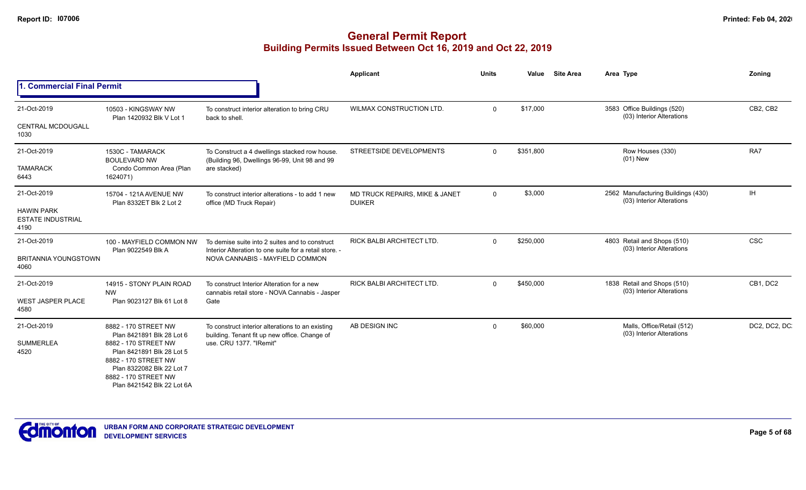|                                                                      |                                                                                                                                                                                                                   |                                                                                                                                             | Applicant                                       | <b>Units</b> | Value     | <b>Site Area</b> | Area Type                                                       | Zoning        |
|----------------------------------------------------------------------|-------------------------------------------------------------------------------------------------------------------------------------------------------------------------------------------------------------------|---------------------------------------------------------------------------------------------------------------------------------------------|-------------------------------------------------|--------------|-----------|------------------|-----------------------------------------------------------------|---------------|
| . Commercial Final Permit<br>11.                                     |                                                                                                                                                                                                                   |                                                                                                                                             |                                                 |              |           |                  |                                                                 |               |
| 21-Oct-2019<br><b>CENTRAL MCDOUGALL</b><br>1030                      | 10503 - KINGSWAY NW<br>Plan 1420932 Blk V Lot 1                                                                                                                                                                   | To construct interior alteration to bring CRU<br>back to shell.                                                                             | <b>WILMAX CONSTRUCTION LTD.</b>                 | $\Omega$     | \$17,000  |                  | 3583 Office Buildings (520)<br>(03) Interior Alterations        | CB2, CB2      |
| 21-Oct-2019<br><b>TAMARACK</b><br>6443                               | 1530C - TAMARACK<br><b>BOULEVARD NW</b><br>Condo Common Area (Plan<br>1624071)                                                                                                                                    | To Construct a 4 dwellings stacked row house.<br>(Building 96, Dwellings 96-99, Unit 98 and 99<br>are stacked)                              | STREETSIDE DEVELOPMENTS                         | $\Omega$     | \$351,800 |                  | Row Houses (330)<br>$(01)$ New                                  | RA7           |
| 21-Oct-2019<br><b>HAWIN PARK</b><br><b>ESTATE INDUSTRIAL</b><br>4190 | 15704 - 121A AVENUE NW<br>Plan 8332ET Blk 2 Lot 2                                                                                                                                                                 | To construct interior alterations - to add 1 new<br>office (MD Truck Repair)                                                                | MD TRUCK REPAIRS, MIKE & JANET<br><b>DUIKER</b> | $\Omega$     | \$3,000   |                  | 2562 Manufacturing Buildings (430)<br>(03) Interior Alterations | <b>IH</b>     |
| 21-Oct-2019<br><b>BRITANNIA YOUNGSTOWN</b><br>4060                   | 100 - MAYFIELD COMMON NW<br>Plan 9022549 Blk A                                                                                                                                                                    | To demise suite into 2 suites and to construct<br>Interior Alteration to one suite for a retail store. -<br>NOVA CANNABIS - MAYFIELD COMMON | <b>RICK BALBI ARCHITECT LTD.</b>                | $\Omega$     | \$250,000 |                  | 4803 Retail and Shops (510)<br>(03) Interior Alterations        | CSC           |
| 21-Oct-2019<br><b>WEST JASPER PLACE</b><br>4580                      | 14915 - STONY PLAIN ROAD<br><b>NW</b><br>Plan 9023127 Blk 61 Lot 8                                                                                                                                                | To construct Interior Alteration for a new<br>cannabis retail store - NOVA Cannabis - Jasper<br>Gate                                        | <b>RICK BALBI ARCHITECT LTD.</b>                | $\Omega$     | \$450,000 |                  | 1838 Retail and Shops (510)<br>(03) Interior Alterations        | CB1, DC2      |
| 21-Oct-2019<br><b>SUMMERLEA</b><br>4520                              | 8882 - 170 STREET NW<br>Plan 8421891 Blk 28 Lot 6<br>8882 - 170 STREET NW<br>Plan 8421891 Blk 28 Lot 5<br>8882 - 170 STREET NW<br>Plan 8322082 Blk 22 Lot 7<br>8882 - 170 STREET NW<br>Plan 8421542 Blk 22 Lot 6A | To construct interior alterations to an existing<br>building. Tenant fit up new office. Change of<br>use, CRU 1377, "IRemit"                | AB DESIGN INC                                   | $\Omega$     | \$60,000  |                  | Malls, Office/Retail (512)<br>(03) Interior Alterations         | DC2, DC2, DC. |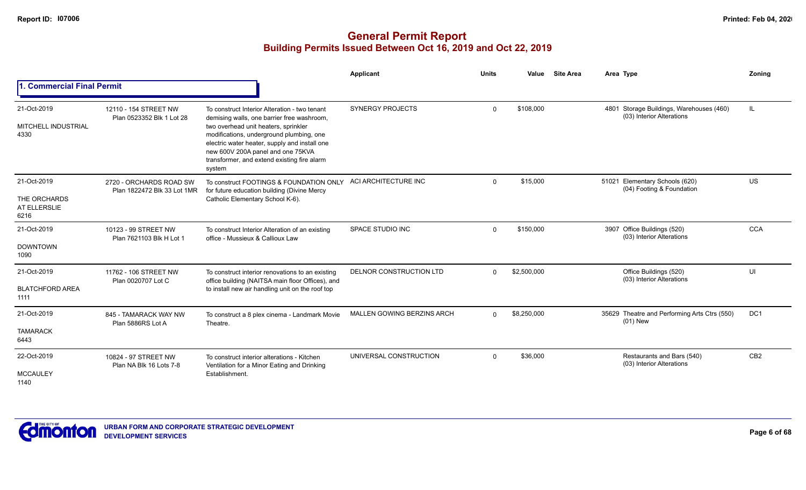|                                                     |                                                        |                                                                                                                                                                                                                                                                                                                                | Applicant                  | <b>Units</b> | Value       | <b>Site Area</b> | Area Type                                                             | Zonina          |
|-----------------------------------------------------|--------------------------------------------------------|--------------------------------------------------------------------------------------------------------------------------------------------------------------------------------------------------------------------------------------------------------------------------------------------------------------------------------|----------------------------|--------------|-------------|------------------|-----------------------------------------------------------------------|-----------------|
| 1. Commercial Final Permit                          |                                                        |                                                                                                                                                                                                                                                                                                                                |                            |              |             |                  |                                                                       |                 |
| 21-Oct-2019<br>MITCHELL INDUSTRIAL<br>4330          | 12110 - 154 STREET NW<br>Plan 0523352 Blk 1 Lot 28     | To construct Interior Alteration - two tenant<br>demising walls, one barrier free washroom,<br>two overhead unit heaters, sprinkler<br>modifications, underground plumbing, one<br>electric water heater, supply and install one<br>new 600V 200A panel and one 75KVA<br>transformer, and extend existing fire alarm<br>system | <b>SYNERGY PROJECTS</b>    | $\Omega$     | \$108,000   |                  | 4801 Storage Buildings, Warehouses (460)<br>(03) Interior Alterations | IL              |
| 21-Oct-2019<br>THE ORCHARDS<br>AT ELLERSLIE<br>6216 | 2720 - ORCHARDS ROAD SW<br>Plan 1822472 Blk 33 Lot 1MR | To construct FOOTINGS & FOUNDATION ONLY<br>for future education building (Divine Mercy<br>Catholic Elementary School K-6).                                                                                                                                                                                                     | ACI ARCHITECTURE INC       | $\Omega$     | \$15,000    |                  | 51021 Elementary Schools (620)<br>(04) Footing & Foundation           | <b>US</b>       |
| 21-Oct-2019<br><b>DOWNTOWN</b><br>1090              | 10123 - 99 STREET NW<br>Plan 7621103 Blk H Lot 1       | To construct Interior Alteration of an existing<br>office - Mussieux & Callioux Law                                                                                                                                                                                                                                            | SPACE STUDIO INC           | $\Omega$     | \$150,000   |                  | 3907 Office Buildings (520)<br>(03) Interior Alterations              | CCA             |
| 21-Oct-2019<br><b>BLATCHFORD AREA</b><br>1111       | 11762 - 106 STREET NW<br>Plan 0020707 Lot C            | To construct interior renovations to an existing<br>office building (NAITSA main floor Offices), and<br>to install new air handling unit on the roof top                                                                                                                                                                       | DELNOR CONSTRUCTION LTD    | $\Omega$     | \$2,500,000 |                  | Office Buildings (520)<br>(03) Interior Alterations                   | UI              |
| 21-Oct-2019<br><b>TAMARACK</b><br>6443              | 845 - TAMARACK WAY NW<br>Plan 5886RS Lot A             | To construct a 8 plex cinema - Landmark Movie<br>Theatre.                                                                                                                                                                                                                                                                      | MALLEN GOWING BERZINS ARCH | $\Omega$     | \$8,250,000 |                  | 35629 Theatre and Performing Arts Ctrs (550)<br>$(01)$ New            | DC <sub>1</sub> |
| 22-Oct-2019<br><b>MCCAULEY</b><br>1140              | 10824 - 97 STREET NW<br>Plan NA Blk 16 Lots 7-8        | To construct interior alterations - Kitchen<br>Ventilation for a Minor Eating and Drinking<br>Establishment.                                                                                                                                                                                                                   | UNIVERSAL CONSTRUCTION     | $\Omega$     | \$36,000    |                  | Restaurants and Bars (540)<br>(03) Interior Alterations               | CB <sub>2</sub> |

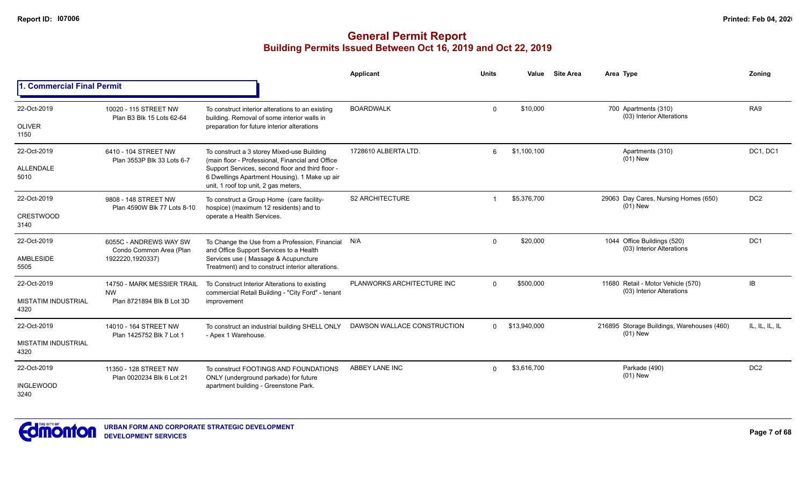|                                         |                                                                       |                                                                                                                                                                                           | Applicant                   | <b>Units</b> | Value        | <b>Site Area</b> | Area Type                                                       | Zoning          |
|-----------------------------------------|-----------------------------------------------------------------------|-------------------------------------------------------------------------------------------------------------------------------------------------------------------------------------------|-----------------------------|--------------|--------------|------------------|-----------------------------------------------------------------|-----------------|
| <b>1. Commercial Final Permit</b>       |                                                                       |                                                                                                                                                                                           |                             |              |              |                  |                                                                 |                 |
| 22-Oct-2019<br><b>OLIVER</b>            | 10020 - 115 STREET NW<br>Plan B3 Blk 15 Lots 62-64                    | To construct interior alterations to an existing<br>building. Removal of some interior walls in<br>preparation for future interior alterations                                            | <b>BOARDWALK</b>            | $\Omega$     | \$10,000     |                  | 700 Apartments (310)<br>(03) Interior Alterations               | RA <sub>9</sub> |
| 1150                                    |                                                                       |                                                                                                                                                                                           |                             |              |              |                  |                                                                 |                 |
| 22-Oct-2019                             | 6410 - 104 STREET NW<br>Plan 3553P Blk 33 Lots 6-7                    | To construct a 3 storey Mixed-use Building<br>(main floor - Professional, Financial and Office                                                                                            | 1728610 ALBERTA LTD.        | 6            | \$1,100,100  |                  | Apartments (310)<br>$(01)$ New                                  | DC1, DC1        |
| ALLENDALE<br>5010                       |                                                                       | Support Services, second floor and third floor -<br>6 Dwellings Apartment Housing). 1 Make up air<br>unit, 1 roof top unit, 2 gas meters,                                                 |                             |              |              |                  |                                                                 |                 |
| 22-Oct-2019                             | 9808 - 148 STREET NW<br>Plan 4590W Blk 77 Lots 8-10                   | To construct a Group Home (care facility-<br>hospice) (maximum 12 residents) and to                                                                                                       | <b>S2 ARCHITECTURE</b>      |              | \$5,376,700  |                  | 29063 Day Cares, Nursing Homes (650)<br>$(01)$ New              | DC <sub>2</sub> |
| <b>CRESTWOOD</b><br>3140                |                                                                       | operate a Health Services.                                                                                                                                                                |                             |              |              |                  |                                                                 |                 |
| 22-Oct-2019<br><b>AMBLESIDE</b><br>5505 | 6055C - ANDREWS WAY SW<br>Condo Common Area (Plan<br>1922220,1920337) | To Change the Use from a Profession, Financial N/A<br>and Office Support Services to a Health<br>Services use (Massage & Acupuncture<br>Treatment) and to construct interior alterations. |                             | $\Omega$     | \$20,000     |                  | 1044 Office Buildings (520)<br>(03) Interior Alterations        | DC <sub>1</sub> |
| 22-Oct-2019                             | 14750 - MARK MESSIER TRAIL                                            | To Construct Interior Alterations to existing                                                                                                                                             | PLANWORKS ARCHITECTURE INC  | $\Omega$     | \$500,000    |                  | 11680 Retail - Motor Vehicle (570)<br>(03) Interior Alterations | IB              |
| <b>MISTATIM INDUSTRIAL</b><br>4320      | <b>NW</b><br>Plan 8721894 Blk B Lot 3D                                | commercial Retail Building - "City Ford" - tenant<br>improvement                                                                                                                          |                             |              |              |                  |                                                                 |                 |
| 22-Oct-2019                             | 14010 - 164 STREET NW                                                 | To construct an industrial building SHELL ONLY                                                                                                                                            | DAWSON WALLACE CONSTRUCTION | $\Omega$     | \$13,940,000 |                  | 216895 Storage Buildings, Warehouses (460)<br>$(01)$ New        | IL, IL, IL, IL  |
| <b>MISTATIM INDUSTRIAL</b><br>4320      | Plan 1425752 Blk 7 Lot 1                                              | - Apex 1 Warehouse.                                                                                                                                                                       |                             |              |              |                  |                                                                 |                 |
| 22-Oct-2019                             | 11350 - 128 STREET NW<br>Plan 0020234 Blk 6 Lot 21                    | To construct FOOTINGS AND FOUNDATIONS<br>ONLY (underground parkade) for future                                                                                                            | ABBEY LANE INC              | $\Omega$     | \$3,616,700  |                  | Parkade (490)<br>$(01)$ New                                     | DC <sub>2</sub> |
| <b>INGLEWOOD</b><br>3240                |                                                                       | apartment building - Greenstone Park.                                                                                                                                                     |                             |              |              |                  |                                                                 |                 |

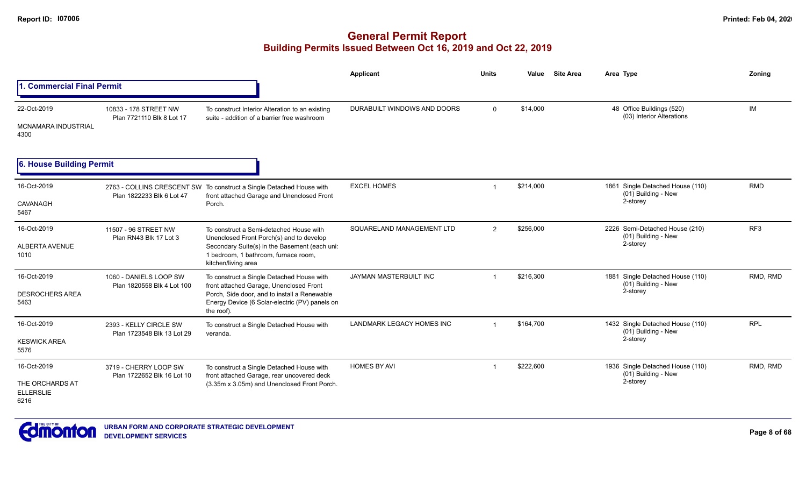|                                                            |                                                      |                                                                                                                                                                                                      | <b>Applicant</b>                 | Units          | Value     | <b>Site Area</b> | Area Type                                                           | Zoning     |
|------------------------------------------------------------|------------------------------------------------------|------------------------------------------------------------------------------------------------------------------------------------------------------------------------------------------------------|----------------------------------|----------------|-----------|------------------|---------------------------------------------------------------------|------------|
| 1. Commercial Final Permit                                 |                                                      |                                                                                                                                                                                                      |                                  |                |           |                  |                                                                     |            |
| 22-Oct-2019<br>MCNAMARA INDUSTRIAL<br>4300                 | 10833 - 178 STREET NW<br>Plan 7721110 Blk 8 Lot 17   | To construct Interior Alteration to an existing<br>suite - addition of a barrier free washroom                                                                                                       | DURABUILT WINDOWS AND DOORS      | $\Omega$       | \$14,000  |                  | 48 Office Buildings (520)<br>(03) Interior Alterations              | <b>IM</b>  |
| 6. House Building Permit                                   |                                                      |                                                                                                                                                                                                      |                                  |                |           |                  |                                                                     |            |
| 16-Oct-2019<br>CAVANAGH<br>5467                            | Plan 1822233 Blk 6 Lot 47                            | 2763 - COLLINS CRESCENT SW To construct a Single Detached House with<br>front attached Garage and Unenclosed Front<br>Porch.                                                                         | <b>EXCEL HOMES</b>               |                | \$214,000 |                  | 1861 Single Detached House (110)<br>(01) Building - New<br>2-storey | <b>RMD</b> |
| 16-Oct-2019<br>ALBERTA AVENUE<br>1010                      | 11507 - 96 STREET NW<br>Plan RN43 Blk 17 Lot 3       | To construct a Semi-detached House with<br>Unenclosed Front Porch(s) and to develop<br>Secondary Suite(s) in the Basement (each uni:<br>1 bedroom, 1 bathroom, furnace room,<br>kitchen/living area  | SQUARELAND MANAGEMENT LTD        | $\overline{2}$ | \$256,000 |                  | 2226 Semi-Detached House (210)<br>(01) Building - New<br>2-storey   | RF3        |
| 16-Oct-2019<br><b>DESROCHERS AREA</b><br>5463              | 1060 - DANIELS LOOP SW<br>Plan 1820558 Blk 4 Lot 100 | To construct a Single Detached House with<br>front attached Garage, Unenclosed Front<br>Porch, Side door, and to install a Renewable<br>Energy Device (6 Solar-electric (PV) panels on<br>the roof). | JAYMAN MASTERBUILT INC           |                | \$216,300 |                  | 1881 Single Detached House (110)<br>(01) Building - New<br>2-storey | RMD, RMD   |
| 16-Oct-2019<br><b>KESWICK AREA</b><br>5576                 | 2393 - KELLY CIRCLE SW<br>Plan 1723548 Blk 13 Lot 29 | To construct a Single Detached House with<br>veranda.                                                                                                                                                | <b>LANDMARK LEGACY HOMES INC</b> | $\overline{1}$ | \$164,700 |                  | 1432 Single Detached House (110)<br>(01) Building - New<br>2-storey | <b>RPL</b> |
| 16-Oct-2019<br>THE ORCHARDS AT<br><b>ELLERSLIE</b><br>6216 | 3719 - CHERRY LOOP SW<br>Plan 1722652 Blk 16 Lot 10  | To construct a Single Detached House with<br>front attached Garage, rear uncovered deck<br>(3.35m x 3.05m) and Unenclosed Front Porch.                                                               | <b>HOMES BY AVI</b>              | $\mathbf 1$    | \$222,600 |                  | 1936 Single Detached House (110)<br>(01) Building - New<br>2-storey | RMD, RMD   |

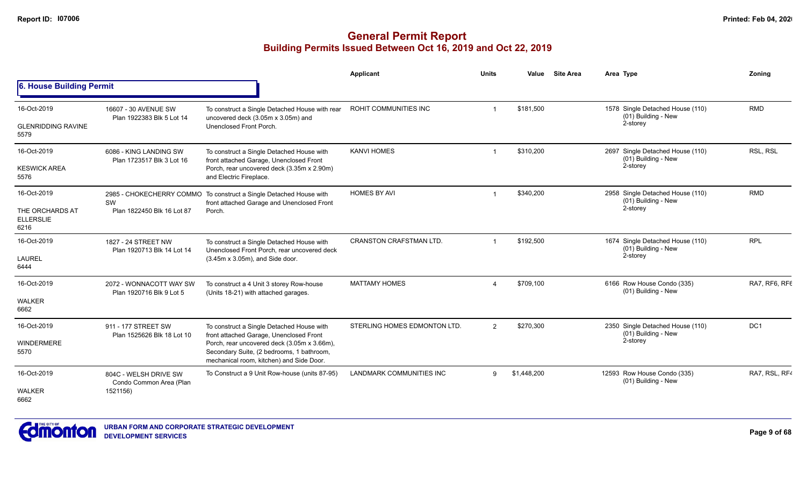|                                                            |                                                              |                                                                                                                                                                                                                              | Applicant                       | <b>Units</b>   | Value       | <b>Site Area</b> | Area Type                                                           | Zoning        |
|------------------------------------------------------------|--------------------------------------------------------------|------------------------------------------------------------------------------------------------------------------------------------------------------------------------------------------------------------------------------|---------------------------------|----------------|-------------|------------------|---------------------------------------------------------------------|---------------|
| 6. House Building Permit                                   |                                                              |                                                                                                                                                                                                                              |                                 |                |             |                  |                                                                     |               |
| 16-Oct-2019<br><b>GLENRIDDING RAVINE</b><br>5579           | 16607 - 30 AVENUE SW<br>Plan 1922383 Blk 5 Lot 14            | To construct a Single Detached House with rear<br>uncovered deck (3.05m x 3.05m) and<br>Unenclosed Front Porch.                                                                                                              | ROHIT COMMUNITIES INC           |                | \$181,500   |                  | 1578 Single Detached House (110)<br>(01) Building - New<br>2-storey | <b>RMD</b>    |
| 16-Oct-2019<br><b>KESWICK AREA</b><br>5576                 | 6086 - KING LANDING SW<br>Plan 1723517 Blk 3 Lot 16          | To construct a Single Detached House with<br>front attached Garage, Unenclosed Front<br>Porch, rear uncovered deck (3.35m x 2.90m)<br>and Electric Fireplace.                                                                | <b>KANVI HOMES</b>              | -1             | \$310,200   |                  | 2697 Single Detached House (110)<br>(01) Building - New<br>2-storey | RSL, RSL      |
| 16-Oct-2019<br>THE ORCHARDS AT<br><b>ELLERSLIE</b><br>6216 | SW<br>Plan 1822450 Blk 16 Lot 87                             | 2985 - CHOKECHERRY COMMO To construct a Single Detached House with<br>front attached Garage and Unenclosed Front<br>Porch.                                                                                                   | <b>HOMES BY AVI</b>             |                | \$340,200   |                  | 2958 Single Detached House (110)<br>(01) Building - New<br>2-storey | <b>RMD</b>    |
| 16-Oct-2019<br><b>LAUREL</b><br>6444                       | 1827 - 24 STREET NW<br>Plan 1920713 Blk 14 Lot 14            | To construct a Single Detached House with<br>Unenclosed Front Porch, rear uncovered deck<br>(3.45m x 3.05m), and Side door.                                                                                                  | <b>CRANSTON CRAFSTMAN LTD.</b>  |                | \$192,500   |                  | 1674 Single Detached House (110)<br>(01) Building - New<br>2-storey | <b>RPL</b>    |
| 16-Oct-2019<br><b>WALKER</b><br>6662                       | 2072 - WONNACOTT WAY SW<br>Plan 1920716 Blk 9 Lot 5          | To construct a 4 Unit 3 storey Row-house<br>(Units 18-21) with attached garages.                                                                                                                                             | <b>MATTAMY HOMES</b>            | $\Delta$       | \$709,100   |                  | 6166 Row House Condo (335)<br>(01) Building - New                   | RA7, RF6, RF6 |
| 16-Oct-2019<br><b>WINDERMERE</b><br>5570                   | 911 - 177 STREET SW<br>Plan 1525626 Blk 18 Lot 10            | To construct a Single Detached House with<br>front attached Garage, Unenclosed Front<br>Porch, rear uncovered deck (3.05m x 3.66m),<br>Secondary Suite, (2 bedrooms, 1 bathroom,<br>mechanical room, kitchen) and Side Door. | STERLING HOMES EDMONTON LTD.    | $\overline{2}$ | \$270,300   |                  | 2350 Single Detached House (110)<br>(01) Building - New<br>2-storey | DC1           |
| 16-Oct-2019<br><b>WALKER</b><br>6662                       | 804C - WELSH DRIVE SW<br>Condo Common Area (Plan<br>1521156) | To Construct a 9 Unit Row-house (units 87-95)                                                                                                                                                                                | <b>LANDMARK COMMUNITIES INC</b> | 9              | \$1,448,200 |                  | 12593 Row House Condo (335)<br>(01) Building - New                  | RA7, RSL, RF4 |

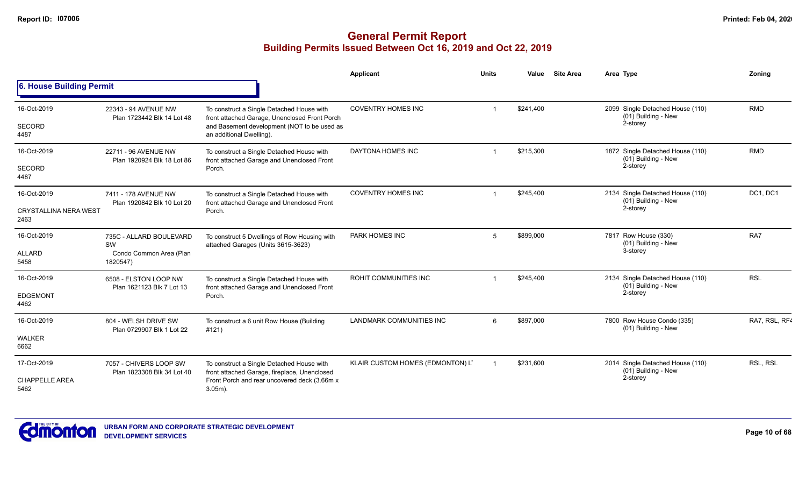|                                                     |                                                                      |                                                                                                                                                                       | Applicant                        | <b>Units</b> | Value     | <b>Site Area</b> | Area Type                                                             | Zoning        |
|-----------------------------------------------------|----------------------------------------------------------------------|-----------------------------------------------------------------------------------------------------------------------------------------------------------------------|----------------------------------|--------------|-----------|------------------|-----------------------------------------------------------------------|---------------|
| 6. House Building Permit                            |                                                                      |                                                                                                                                                                       |                                  |              |           |                  |                                                                       |               |
| 16-Oct-2019<br>SECORD<br>4487                       | 22343 - 94 AVENUE NW<br>Plan 1723442 Blk 14 Lot 48                   | To construct a Single Detached House with<br>front attached Garage, Unenclosed Front Porch<br>and Basement development (NOT to be used as<br>an additional Dwelling). | <b>COVENTRY HOMES INC</b>        |              | \$241,400 |                  | 2099 Single Detached House (110)<br>(01) Building - New<br>2-storey   | <b>RMD</b>    |
| 16-Oct-2019<br>SECORD<br>4487                       | 22711 - 96 AVENUE NW<br>Plan 1920924 Blk 18 Lot 86                   | To construct a Single Detached House with<br>front attached Garage and Unenclosed Front<br>Porch.                                                                     | DAYTONA HOMES INC                |              | \$215,300 |                  | 1872 Single Detached House (110)<br>(01) Building - New<br>2-storey   | <b>RMD</b>    |
| 16-Oct-2019<br><b>CRYSTALLINA NERA WEST</b><br>2463 | 7411 - 178 AVENUE NW<br>Plan 1920842 Blk 10 Lot 20                   | To construct a Single Detached House with<br>front attached Garage and Unenclosed Front<br>Porch.                                                                     | <b>COVENTRY HOMES INC</b>        |              | \$245,400 |                  | 2134 Single Detached House (110)<br>$(01)$ Building - New<br>2-storey | DC1, DC1      |
| 16-Oct-2019<br>ALLARD<br>5458                       | 735C - ALLARD BOULEVARD<br>SW<br>Condo Common Area (Plan<br>1820547) | To construct 5 Dwellings of Row Housing with<br>attached Garages (Units 3615-3623)                                                                                    | PARK HOMES INC                   | 5            | \$899,000 |                  | 7817 Row House (330)<br>(01) Building - New<br>3-storey               | RA7           |
| 16-Oct-2019<br><b>EDGEMONT</b><br>4462              | 6508 - ELSTON LOOP NW<br>Plan 1621123 Blk 7 Lot 13                   | To construct a Single Detached House with<br>front attached Garage and Unenclosed Front<br>Porch.                                                                     | <b>ROHIT COMMUNITIES INC</b>     |              | \$245,400 |                  | 2134 Single Detached House (110)<br>$(01)$ Building - New<br>2-storey | <b>RSL</b>    |
| 16-Oct-2019<br><b>WALKER</b><br>6662                | 804 - WELSH DRIVE SW<br>Plan 0729907 Blk 1 Lot 22                    | To construct a 6 unit Row House (Building<br>#121)                                                                                                                    | <b>LANDMARK COMMUNITIES INC</b>  | 6            | \$897,000 |                  | 7800 Row House Condo (335)<br>(01) Building - New                     | RA7, RSL, RF4 |
| 17-Oct-2019<br><b>CHAPPELLE AREA</b><br>5462        | 7057 - CHIVERS LOOP SW<br>Plan 1823308 Blk 34 Lot 40                 | To construct a Single Detached House with<br>front attached Garage, fireplace, Unenclosed<br>Front Porch and rear uncovered deck (3.66m x<br>$3.05m$ ).               | KLAIR CUSTOM HOMES (EDMONTON) L' |              | \$231,600 |                  | 2014 Single Detached House (110)<br>(01) Building - New<br>2-storey   | RSL, RSL      |

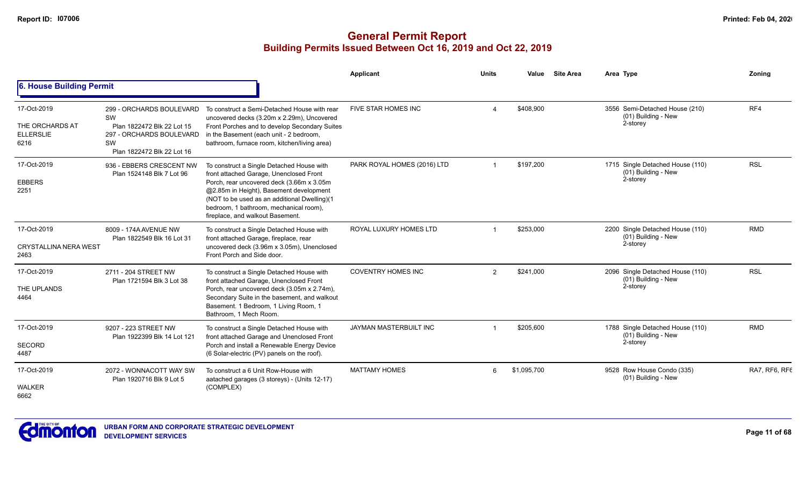|                                                            |                                                                                                                              |                                                                                                                                                                                                                                                                                                            | Applicant                   | <b>Units</b>           | Value       | <b>Site Area</b> | Area Type                                                           | Zonina        |
|------------------------------------------------------------|------------------------------------------------------------------------------------------------------------------------------|------------------------------------------------------------------------------------------------------------------------------------------------------------------------------------------------------------------------------------------------------------------------------------------------------------|-----------------------------|------------------------|-------------|------------------|---------------------------------------------------------------------|---------------|
| <b>6. House Building Permit</b>                            |                                                                                                                              |                                                                                                                                                                                                                                                                                                            |                             |                        |             |                  |                                                                     |               |
| 17-Oct-2019<br>THE ORCHARDS AT<br><b>ELLERSLIE</b><br>6216 | 299 - ORCHARDS BOULEVARD<br>SW<br>Plan 1822472 Blk 22 Lot 15<br>297 - ORCHARDS BOULEVARD<br>SW<br>Plan 1822472 Blk 22 Lot 16 | To construct a Semi-Detached House with rear<br>uncovered decks (3.20m x 2.29m), Uncovered<br>Front Porches and to develop Secondary Suites<br>in the Basement (each unit - 2 bedroom,<br>bathroom, furnace room, kitchen/living area)                                                                     | FIVE STAR HOMES INC         | $\boldsymbol{\Lambda}$ | \$408,900   |                  | 3556 Semi-Detached House (210)<br>(01) Building - New<br>2-storey   | RF4           |
| 17-Oct-2019<br><b>EBBERS</b><br>2251                       | 936 - EBBERS CRESCENT NW<br>Plan 1524148 Blk 7 Lot 96                                                                        | To construct a Single Detached House with<br>front attached Garage, Unenclosed Front<br>Porch, rear uncovered deck (3.66m x 3.05m<br>@2.85m in Height), Basement development<br>(NOT to be used as an additional Dwelling)(1<br>bedroom, 1 bathroom, mechanical room),<br>fireplace, and walkout Basement. | PARK ROYAL HOMES (2016) LTD |                        | \$197.200   |                  | 1715 Single Detached House (110)<br>(01) Building - New<br>2-storey | <b>RSL</b>    |
| 17-Oct-2019<br><b>CRYSTALLINA NERA WEST</b><br>2463        | 8009 - 174A AVENUE NW<br>Plan 1822549 Blk 16 Lot 31                                                                          | To construct a Single Detached House with<br>front attached Garage, fireplace, rear<br>uncovered deck (3.96m x 3.05m), Unenclosed<br>Front Porch and Side door.                                                                                                                                            | ROYAL LUXURY HOMES LTD      |                        | \$253,000   |                  | 2200 Single Detached House (110)<br>(01) Building - New<br>2-storey | <b>RMD</b>    |
| 17-Oct-2019<br>THE UPLANDS<br>4464                         | 2711 - 204 STREET NW<br>Plan 1721594 Blk 3 Lot 38                                                                            | To construct a Single Detached House with<br>front attached Garage, Unenclosed Front<br>Porch, rear uncovered deck (3.05m x 2.74m),<br>Secondary Suite in the basement, and walkout<br>Basement. 1 Bedroom, 1 Living Room, 1<br>Bathroom, 1 Mech Room.                                                     | <b>COVENTRY HOMES INC</b>   | 2                      | \$241.000   |                  | 2096 Single Detached House (110)<br>(01) Building - New<br>2-storey | <b>RSL</b>    |
| 17-Oct-2019<br><b>SECORD</b><br>4487                       | 9207 - 223 STREET NW<br>Plan 1922399 Blk 14 Lot 121                                                                          | To construct a Single Detached House with<br>front attached Garage and Unenclosed Front<br>Porch and install a Renewable Energy Device<br>(6 Solar-electric (PV) panels on the roof).                                                                                                                      | JAYMAN MASTERBUILT INC      |                        | \$205,600   |                  | 1788 Single Detached House (110)<br>(01) Building - New<br>2-storey | <b>RMD</b>    |
| 17-Oct-2019<br><b>WALKER</b><br>6662                       | 2072 - WONNACOTT WAY SW<br>Plan 1920716 Blk 9 Lot 5                                                                          | To construct a 6 Unit Row-House with<br>aatached garages (3 storeys) - (Units 12-17)<br>(COMPLEX)                                                                                                                                                                                                          | <b>MATTAMY HOMES</b>        | 6                      | \$1,095,700 |                  | 9528 Row House Condo (335)<br>(01) Building - New                   | RA7, RF6, RF6 |

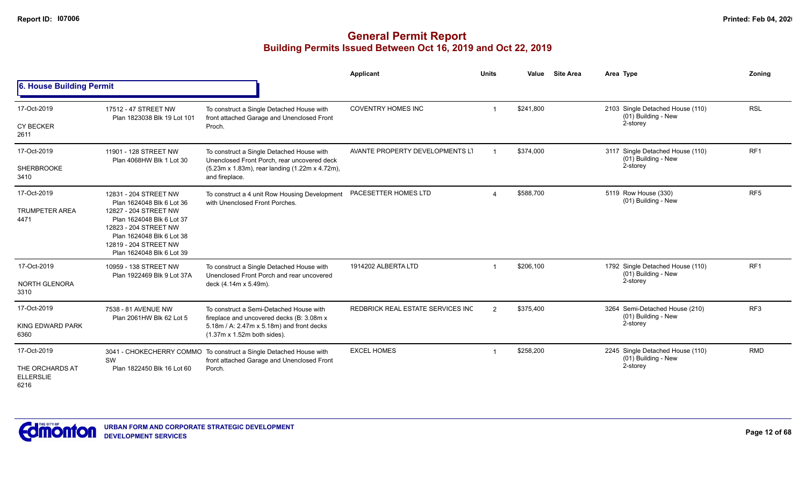|                                                            |                                                                                                                                                                                                                      |                                                                                                                                                                          | <b>Applicant</b>                  | <b>Units</b> | Value     | <b>Site Area</b> | Area Type                                                           | Zoning          |
|------------------------------------------------------------|----------------------------------------------------------------------------------------------------------------------------------------------------------------------------------------------------------------------|--------------------------------------------------------------------------------------------------------------------------------------------------------------------------|-----------------------------------|--------------|-----------|------------------|---------------------------------------------------------------------|-----------------|
| 6. House Building Permit                                   |                                                                                                                                                                                                                      |                                                                                                                                                                          |                                   |              |           |                  |                                                                     |                 |
| 17-Oct-2019<br><b>CY BECKER</b><br>2611                    | 17512 - 47 STREET NW<br>Plan 1823038 Blk 19 Lot 101                                                                                                                                                                  | To construct a Single Detached House with<br>front attached Garage and Unenclosed Front<br>Proch.                                                                        | <b>COVENTRY HOMES INC</b>         |              | \$241,800 |                  | 2103 Single Detached House (110)<br>(01) Building - New<br>2-storey | <b>RSL</b>      |
| 17-Oct-2019<br><b>SHERBROOKE</b><br>3410                   | 11901 - 128 STREET NW<br>Plan 4068HW Blk 1 Lot 30                                                                                                                                                                    | To construct a Single Detached House with<br>Unenclosed Front Porch, rear uncovered deck<br>(5.23m x 1.83m), rear landing (1.22m x 4.72m),<br>and fireplace.             | AVANTE PROPERTY DEVELOPMENTS LT   |              | \$374,000 |                  | 3117 Single Detached House (110)<br>(01) Building - New<br>2-storey | RF <sub>1</sub> |
| 17-Oct-2019<br><b>TRUMPETER AREA</b><br>4471               | 12831 - 204 STREET NW<br>Plan 1624048 Blk 6 Lot 36<br>12827 - 204 STREET NW<br>Plan 1624048 Blk 6 Lot 37<br>12823 - 204 STREET NW<br>Plan 1624048 Blk 6 Lot 38<br>12819 - 204 STREET NW<br>Plan 1624048 Blk 6 Lot 39 | To construct a 4 unit Row Housing Development<br>with Unenclosed Front Porches.                                                                                          | PACESETTER HOMES LTD              |              | \$588,700 |                  | 5119 Row House (330)<br>(01) Building - New                         | RF <sub>5</sub> |
| 17-Oct-2019<br>NORTH GLENORA<br>3310                       | 10959 - 138 STREET NW<br>Plan 1922469 Blk 9 Lot 37A                                                                                                                                                                  | To construct a Single Detached House with<br>Unenclosed Front Porch and rear uncovered<br>deck (4.14m x 5.49m).                                                          | 1914202 ALBERTA LTD               |              | \$206,100 |                  | 1792 Single Detached House (110)<br>(01) Building - New<br>2-storey | RF <sub>1</sub> |
| 17-Oct-2019<br>KING EDWARD PARK<br>6360                    | 7538 - 81 AVENUE NW<br>Plan 2061HW Blk 62 Lot 5                                                                                                                                                                      | To construct a Semi-Detached House with<br>fireplace and uncovered decks (B: 3.08m x)<br>5.18m / A: 2.47m x 5.18m) and front decks<br>$(1.37m \times 1.52m$ both sides). | REDBRICK REAL ESTATE SERVICES INC | 2            | \$375,400 |                  | 3264 Semi-Detached House (210)<br>(01) Building - New<br>2-storey   | RF <sub>3</sub> |
| 17-Oct-2019<br>THE ORCHARDS AT<br><b>ELLERSLIE</b><br>6216 | 3041 - CHOKECHERRY COMMO<br>SW<br>Plan 1822450 Blk 16 Lot 60                                                                                                                                                         | To construct a Single Detached House with<br>front attached Garage and Unenclosed Front<br>Porch.                                                                        | <b>EXCEL HOMES</b>                |              | \$258,200 |                  | 2245 Single Detached House (110)<br>(01) Building - New<br>2-storey | <b>RMD</b>      |

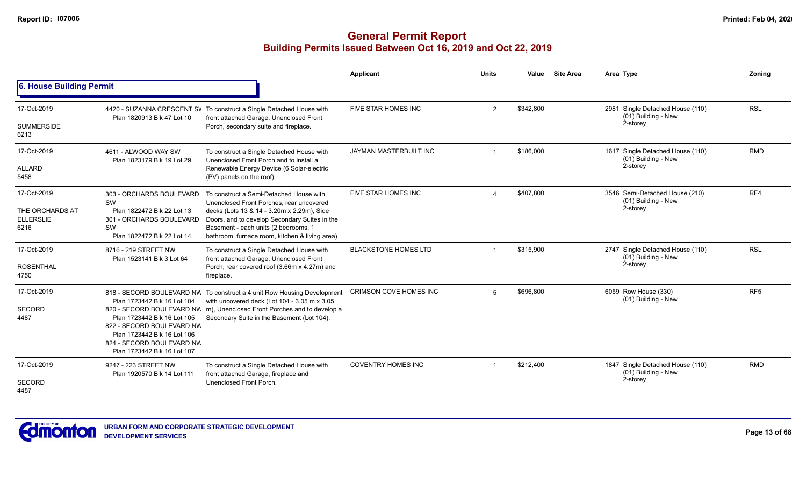|                                                            |                                                                                                                                                                                    |                                                                                                                                                                                                                                                                              | Applicant                   | <b>Units</b>   | Value     | <b>Site Area</b> | Area Type                                                           | Zoning          |
|------------------------------------------------------------|------------------------------------------------------------------------------------------------------------------------------------------------------------------------------------|------------------------------------------------------------------------------------------------------------------------------------------------------------------------------------------------------------------------------------------------------------------------------|-----------------------------|----------------|-----------|------------------|---------------------------------------------------------------------|-----------------|
| 6. House Building Permit                                   |                                                                                                                                                                                    |                                                                                                                                                                                                                                                                              |                             |                |           |                  |                                                                     |                 |
| 17-Oct-2019<br><b>SUMMERSIDE</b><br>6213                   | Plan 1820913 Blk 47 Lot 10                                                                                                                                                         | 4420 - SUZANNA CRESCENT SV To construct a Single Detached House with<br>front attached Garage, Unenclosed Front<br>Porch, secondary suite and fireplace.                                                                                                                     | FIVE STAR HOMES INC         | $\overline{2}$ | \$342,800 |                  | 2981 Single Detached House (110)<br>(01) Building - New<br>2-storey | <b>RSL</b>      |
| 17-Oct-2019<br>ALLARD<br>5458                              | 4611 - ALWOOD WAY SW<br>Plan 1823179 Blk 19 Lot 29                                                                                                                                 | To construct a Single Detached House with<br>Unenclosed Front Porch and to install a<br>Renewable Energy Device (6 Solar-electric<br>(PV) panels on the roof).                                                                                                               | JAYMAN MASTERBUILT INC      | -1             | \$186,000 |                  | 1617 Single Detached House (110)<br>(01) Building - New<br>2-storey | <b>RMD</b>      |
| 17-Oct-2019<br>THE ORCHARDS AT<br><b>ELLERSLIE</b><br>6216 | 303 - ORCHARDS BOULEVARD<br>SW<br>Plan 1822472 Blk 22 Lot 13<br>301 - ORCHARDS BOULEVARD<br>SW<br>Plan 1822472 Blk 22 Lot 14                                                       | To construct a Semi-Detached House with<br>Unenclosed Front Porches, rear uncovered<br>decks (Lots 13 & 14 - 3.20m x 2.29m), Side<br>Doors, and to develop Secondary Suites in the<br>Basement - each units (2 bedrooms, 1<br>bathroom, furnace room, kitchen & living area) | FIVE STAR HOMES INC         |                | \$407,800 |                  | 3546 Semi-Detached House (210)<br>(01) Building - New<br>2-storey   | RF4             |
| 17-Oct-2019<br><b>ROSENTHAL</b><br>4750                    | 8716 - 219 STREET NW<br>Plan 1523141 Blk 3 Lot 64                                                                                                                                  | To construct a Single Detached House with<br>front attached Garage, Unenclosed Front<br>Porch, rear covered roof (3.66m x 4.27m) and<br>fireplace.                                                                                                                           | <b>BLACKSTONE HOMES LTD</b> |                | \$315,900 |                  | 2747 Single Detached House (110)<br>(01) Building - New<br>2-storey | <b>RSL</b>      |
| 17-Oct-2019<br><b>SECORD</b><br>4487                       | Plan 1723442 Blk 16 Lot 104<br>Plan 1723442 Blk 16 Lot 105<br>822 - SECORD BOULEVARD NW<br>Plan 1723442 Blk 16 Lot 106<br>824 - SECORD BOULEVARD NW<br>Plan 1723442 Blk 16 Lot 107 | 818 - SECORD BOULEVARD NW To construct a 4 unit Row Housing Development<br>with uncovered deck (Lot 104 - 3.05 m x 3.05<br>820 - SECORD BOULEVARD NW m), Unenclosed Front Porches and to develop a<br>Secondary Suite in the Basement (Lot 104).                             | CRIMSON COVE HOMES INC      | $\overline{5}$ | \$696.800 |                  | 6059 Row House (330)<br>(01) Building - New                         | RF <sub>5</sub> |
| 17-Oct-2019<br><b>SECORD</b><br>4487                       | 9247 - 223 STREET NW<br>Plan 1920570 Blk 14 Lot 111                                                                                                                                | To construct a Single Detached House with<br>front attached Garage, fireplace and<br>Unenclosed Front Porch.                                                                                                                                                                 | <b>COVENTRY HOMES INC</b>   |                | \$212,400 |                  | 1847 Single Detached House (110)<br>(01) Building - New<br>2-storey | <b>RMD</b>      |

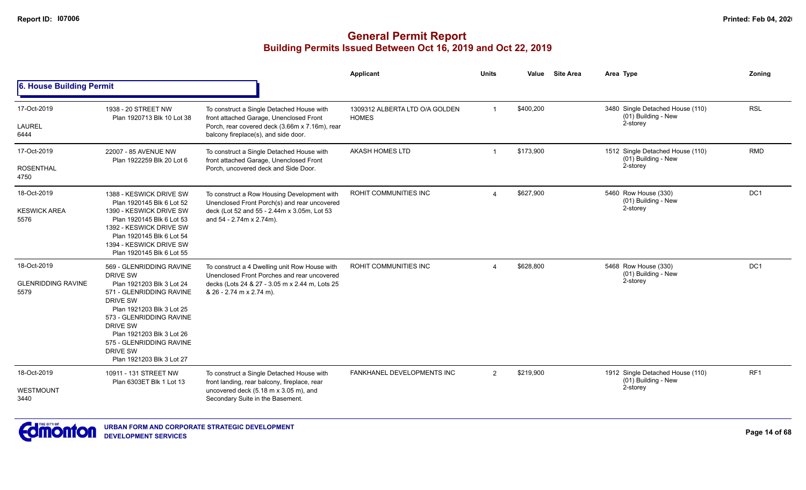|                                                  |                                                                                                                                                                                                                                                                                                |                                                                                                                                                                            | <b>Applicant</b>                               | <b>Units</b>   | Value     | <b>Site Area</b> | Area Type                                                           | Zoning          |
|--------------------------------------------------|------------------------------------------------------------------------------------------------------------------------------------------------------------------------------------------------------------------------------------------------------------------------------------------------|----------------------------------------------------------------------------------------------------------------------------------------------------------------------------|------------------------------------------------|----------------|-----------|------------------|---------------------------------------------------------------------|-----------------|
| 6. House Building Permit                         |                                                                                                                                                                                                                                                                                                |                                                                                                                                                                            |                                                |                |           |                  |                                                                     |                 |
| 17-Oct-2019                                      | 1938 - 20 STREET NW<br>Plan 1920713 Blk 10 Lot 38                                                                                                                                                                                                                                              | To construct a Single Detached House with<br>front attached Garage, Unenclosed Front                                                                                       | 1309312 ALBERTA LTD O/A GOLDEN<br><b>HOMES</b> | $\overline{1}$ | \$400,200 |                  | 3480 Single Detached House (110)<br>(01) Building - New             | <b>RSL</b>      |
| <b>LAUREL</b><br>6444                            |                                                                                                                                                                                                                                                                                                | Porch, rear covered deck (3.66m x 7.16m), rear<br>balcony fireplace(s), and side door.                                                                                     |                                                |                |           |                  | 2-storey                                                            |                 |
| 17-Oct-2019                                      | 22007 - 85 AVENUE NW<br>Plan 1922259 Blk 20 Lot 6                                                                                                                                                                                                                                              | To construct a Single Detached House with<br>front attached Garage, Unenclosed Front                                                                                       | <b>AKASH HOMES LTD</b>                         |                | \$173,900 |                  | 1512 Single Detached House (110)<br>(01) Building - New             | <b>RMD</b>      |
| <b>ROSENTHAL</b><br>4750                         |                                                                                                                                                                                                                                                                                                | Porch, uncovered deck and Side Door.                                                                                                                                       |                                                |                |           |                  | 2-storey                                                            |                 |
| 18-Oct-2019                                      | 1388 - KESWICK DRIVE SW<br>Plan 1920145 Blk 6 Lot 52                                                                                                                                                                                                                                           | To construct a Row Housing Development with                                                                                                                                | ROHIT COMMUNITIES INC                          | $\Delta$       | \$627,900 |                  | 5460 Row House (330)<br>(01) Building - New                         | DC <sub>1</sub> |
| <b>KESWICK AREA</b><br>5576                      | 1390 - KESWICK DRIVE SW<br>Plan 1920145 Blk 6 Lot 53<br>1392 - KESWICK DRIVE SW<br>Plan 1920145 Blk 6 Lot 54<br>1394 - KESWICK DRIVE SW<br>Plan 1920145 Blk 6 Lot 55                                                                                                                           | Unenclosed Front Porch(s) and rear uncovered<br>deck (Lot 52 and 55 - 2.44m x 3.05m, Lot 53<br>and 54 - 2.74m x 2.74m).                                                    |                                                |                |           |                  | 2-storey                                                            |                 |
| 18-Oct-2019<br><b>GLENRIDDING RAVINE</b><br>5579 | 569 - GLENRIDDING RAVINE<br>DRIVE SW<br>Plan 1921203 Blk 3 Lot 24<br>571 - GLENRIDDING RAVINE<br><b>DRIVE SW</b><br>Plan 1921203 Blk 3 Lot 25<br>573 - GLENRIDDING RAVINE<br><b>DRIVE SW</b><br>Plan 1921203 Blk 3 Lot 26<br>575 - GLENRIDDING RAVINE<br>DRIVE SW<br>Plan 1921203 Blk 3 Lot 27 | To construct a 4 Dwelling unit Row House with<br>Unenclosed Front Porches and rear uncovered<br>decks (Lots 24 & 27 - 3.05 m x 2.44 m, Lots 25<br>& 26 - 2.74 m x 2.74 m). | ROHIT COMMUNITIES INC                          | $\Delta$       | \$628,800 |                  | 5468 Row House (330)<br>(01) Building - New<br>2-storey             | DC <sub>1</sub> |
| 18-Oct-2019<br><b>WESTMOUNT</b><br>3440          | 10911 - 131 STREET NW<br>Plan 6303ET Blk 1 Lot 13                                                                                                                                                                                                                                              | To construct a Single Detached House with<br>front landing, rear balcony, fireplace, rear<br>uncovered deck (5.18 m x 3.05 m), and<br>Secondary Suite in the Basement.     | FANKHANEL DEVELOPMENTS INC                     | 2              | \$219,900 |                  | 1912 Single Detached House (110)<br>(01) Building - New<br>2-storey | RF <sub>1</sub> |

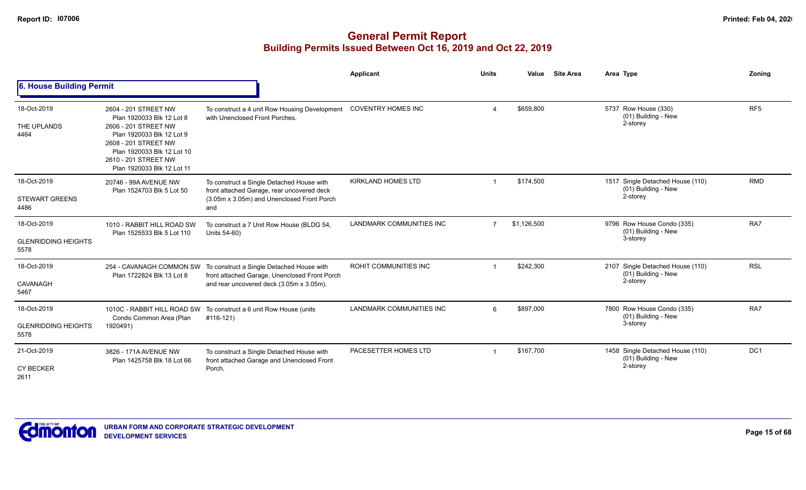|                                                   |                                                                                                                                                                                                                    |                                                                                                                                                                 | Applicant                       | <b>Units</b>   | Value       | <b>Site Area</b> | Area Type                                                           | Zonina          |
|---------------------------------------------------|--------------------------------------------------------------------------------------------------------------------------------------------------------------------------------------------------------------------|-----------------------------------------------------------------------------------------------------------------------------------------------------------------|---------------------------------|----------------|-------------|------------------|---------------------------------------------------------------------|-----------------|
| 6. House Building Permit                          |                                                                                                                                                                                                                    |                                                                                                                                                                 |                                 |                |             |                  |                                                                     |                 |
| 18-Oct-2019<br>THE UPLANDS<br>4464                | 2604 - 201 STREET NW<br>Plan 1920033 Blk 12 Lot 8<br>2606 - 201 STREET NW<br>Plan 1920033 Blk 12 Lot 9<br>2608 - 201 STREET NW<br>Plan 1920033 Blk 12 Lot 10<br>2610 - 201 STREET NW<br>Plan 1920033 Blk 12 Lot 11 | To construct a 4 unit Row Housing Development<br>with Unenclosed Front Porches.                                                                                 | <b>COVENTRY HOMES INC</b>       | $\overline{4}$ | \$659,800   |                  | 5737 Row House (330)<br>(01) Building - New<br>2-storey             | RF <sub>5</sub> |
| 18-Oct-2019<br><b>STEWART GREENS</b><br>4486      | 20746 - 99A AVENUE NW<br>Plan 1524703 Blk 5 Lot 50                                                                                                                                                                 | To construct a Single Detached House with<br>front attached Garage, rear uncovered deck<br>(3.05m x 3.05m) and Unenclosed Front Porch<br>and                    | <b>KIRKLAND HOMES LTD</b>       |                | \$174,500   |                  | 1517 Single Detached House (110)<br>(01) Building - New<br>2-storey | <b>RMD</b>      |
| 18-Oct-2019<br><b>GLENRIDDING HEIGHTS</b><br>5578 | 1010 - RABBIT HILL ROAD SW<br>Plan 1525533 Blk 5 Lot 110                                                                                                                                                           | To construct a 7 Unit Row House (BLDG 54,<br>Units 54-60)                                                                                                       | LANDMARK COMMUNITIES INC        | $\overline{7}$ | \$1,126,500 |                  | 9796 Row House Condo (335)<br>(01) Building - New<br>3-storey       | RA7             |
| 18-Oct-2019<br>CAVANAGH<br>5467                   | Plan 1722824 Blk 13 Lot 8                                                                                                                                                                                          | 254 - CAVANAGH COMMON SW To construct a Single Detached House with<br>front attached Garage, Unenclosed Front Porch<br>and rear uncovered deck (3.05m x 3.05m). | ROHIT COMMUNITIES INC           |                | \$242,300   |                  | 2107 Single Detached House (110)<br>(01) Building - New<br>2-storey | <b>RSL</b>      |
| 18-Oct-2019<br><b>GLENRIDDING HEIGHTS</b><br>5578 | 1010C - RABBIT HILL ROAD SW<br>Condo Common Area (Plan<br>1920491)                                                                                                                                                 | To construct a 6 unit Row House (units<br>#116-121)                                                                                                             | <b>LANDMARK COMMUNITIES INC</b> | 6              | \$897,000   |                  | 7800 Row House Condo (335)<br>(01) Building - New<br>3-storey       | RA7             |
| 21-Oct-2019<br><b>CY BECKER</b><br>2611           | 3826 - 171A AVENUE NW<br>Plan 1425758 Blk 18 Lot 66                                                                                                                                                                | To construct a Single Detached House with<br>front attached Garage and Unenclosed Front<br>Porch.                                                               | PACESETTER HOMES LTD            |                | \$167,700   |                  | 1458 Single Detached House (110)<br>(01) Building - New<br>2-storey | DC <sub>1</sub> |

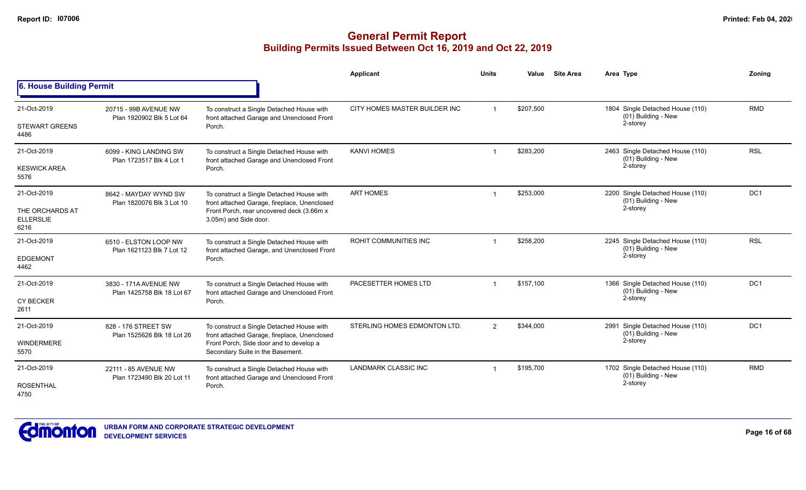|                                             |                                                     |                                                                                           | <b>Applicant</b>              | <b>Units</b> | Value     | <b>Site Area</b> | Area Type                                                 | Zoning          |
|---------------------------------------------|-----------------------------------------------------|-------------------------------------------------------------------------------------------|-------------------------------|--------------|-----------|------------------|-----------------------------------------------------------|-----------------|
| 6. House Building Permit                    |                                                     |                                                                                           |                               |              |           |                  |                                                           |                 |
| 21-Oct-2019                                 | 20715 - 99B AVENUE NW<br>Plan 1920902 Blk 5 Lot 64  | To construct a Single Detached House with<br>front attached Garage and Unenclosed Front   | CITY HOMES MASTER BUILDER INC |              | \$207,500 |                  | 1804 Single Detached House (110)<br>(01) Building - New   | <b>RMD</b>      |
| <b>STEWART GREENS</b><br>4486               |                                                     | Porch.                                                                                    |                               |              |           |                  | 2-storey                                                  |                 |
| 21-Oct-2019                                 | 6099 - KING LANDING SW<br>Plan 1723517 Blk 4 Lot 1  | To construct a Single Detached House with<br>front attached Garage and Unenclosed Front   | <b>KANVI HOMES</b>            |              | \$283,200 |                  | 2463 Single Detached House (110)<br>$(01)$ Building - New | <b>RSL</b>      |
| <b>KESWICK AREA</b><br>5576                 |                                                     | Porch.                                                                                    |                               |              |           |                  | 2-storey                                                  |                 |
| 21-Oct-2019                                 | 8642 - MAYDAY WYND SW<br>Plan 1820076 Blk 3 Lot 10  | To construct a Single Detached House with<br>front attached Garage, fireplace, Unenclosed | <b>ART HOMES</b>              |              | \$253,000 |                  | 2200 Single Detached House (110)<br>(01) Building - New   | DC1             |
| THE ORCHARDS AT<br><b>ELLERSLIE</b><br>6216 |                                                     | Front Porch, rear uncovered deck (3.66m x<br>3.05m) and Side door.                        |                               |              |           | 2-storey         |                                                           |                 |
| 21-Oct-2019                                 | 6510 - ELSTON LOOP NW<br>Plan 1621123 Blk 7 Lot 12  | To construct a Single Detached House with<br>front attached Garage, and Unenclosed Front  | <b>ROHIT COMMUNITIES INC</b>  |              | \$258,200 |                  | 2245 Single Detached House (110)<br>(01) Building - New   | <b>RSL</b>      |
| <b>EDGEMONT</b><br>4462                     |                                                     | Porch.                                                                                    |                               |              |           |                  | 2-storey                                                  |                 |
| 21-Oct-2019                                 | 3830 - 171A AVENUE NW<br>Plan 1425758 Blk 18 Lot 67 | To construct a Single Detached House with<br>front attached Garage and Unenclosed Front   | PACESETTER HOMES LTD          |              | \$157,100 |                  | 1366 Single Detached House (110)<br>$(01)$ Building - New | DC <sub>1</sub> |
| CY BECKER<br>2611                           |                                                     | Porch.                                                                                    |                               |              |           |                  | 2-storey                                                  |                 |
| 21-Oct-2019                                 | 828 - 176 STREET SW                                 | To construct a Single Detached House with<br>front attached Garage, fireplace, Unenclosed | STERLING HOMES EDMONTON LTD.  | 2            | \$344,000 |                  | 2991 Single Detached House (110)<br>(01) Building - New   | DC1             |
| <b>WINDERMERE</b><br>5570                   | Plan 1525626 Blk 18 Lot 26                          | Front Porch, Side door and to develop a<br>Secondary Suite in the Basement.               |                               |              |           |                  | 2-storey                                                  |                 |
| 21-Oct-2019                                 | 22111 - 85 AVENUE NW<br>Plan 1723490 Blk 20 Lot 11  | To construct a Single Detached House with<br>front attached Garage and Unenclosed Front   | <b>LANDMARK CLASSIC INC</b>   |              | \$195,700 |                  | 1702 Single Detached House (110)<br>(01) Building - New   | <b>RMD</b>      |
| <b>ROSENTHAL</b><br>4750                    |                                                     | Porch.                                                                                    |                               |              |           |                  | 2-storey                                                  |                 |

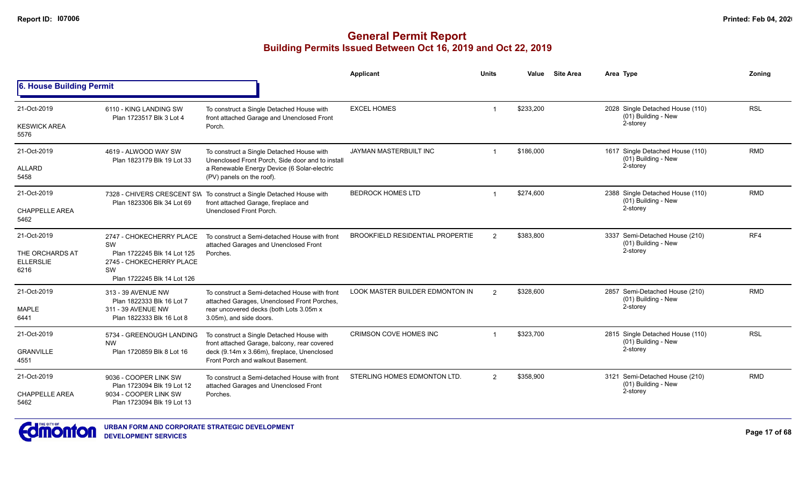|                                                            |                                                                                                                                |                                                                                                                                  | Applicant                               | <b>Units</b>  | Value     | <b>Site Area</b> | Area Type                                                           | Zoning     |
|------------------------------------------------------------|--------------------------------------------------------------------------------------------------------------------------------|----------------------------------------------------------------------------------------------------------------------------------|-----------------------------------------|---------------|-----------|------------------|---------------------------------------------------------------------|------------|
| 6. House Building Permit                                   |                                                                                                                                |                                                                                                                                  |                                         |               |           |                  |                                                                     |            |
| 21-Oct-2019<br><b>KESWICK AREA</b>                         | 6110 - KING LANDING SW<br>Plan 1723517 Blk 3 Lot 4                                                                             | To construct a Single Detached House with<br>front attached Garage and Unenclosed Front<br>Porch.                                | <b>EXCEL HOMES</b>                      |               | \$233,200 |                  | 2028 Single Detached House (110)<br>(01) Building - New<br>2-storey | <b>RSL</b> |
| 5576                                                       |                                                                                                                                |                                                                                                                                  |                                         |               |           |                  |                                                                     |            |
| 21-Oct-2019                                                | 4619 - ALWOOD WAY SW<br>Plan 1823179 Blk 19 Lot 33                                                                             | To construct a Single Detached House with<br>Unenclosed Front Porch. Side door and to install                                    | JAYMAN MASTERBUILT INC                  |               | \$186,000 |                  | 1617 Single Detached House (110)<br>(01) Building - New             | <b>RMD</b> |
| ALLARD<br>5458                                             |                                                                                                                                | a Renewable Energy Device (6 Solar-electric<br>(PV) panels on the roof).                                                         |                                         |               |           |                  | 2-storey                                                            |            |
| 21-Oct-2019                                                | Plan 1823306 Blk 34 Lot 69                                                                                                     | 7328 - CHIVERS CRESCENT SW To construct a Single Detached House with<br>front attached Garage, fireplace and                     | <b>BEDROCK HOMES LTD</b>                |               | \$274,600 |                  | 2388 Single Detached House (110)<br>$(01)$ Building - New           | <b>RMD</b> |
| <b>CHAPPELLE AREA</b><br>5462                              |                                                                                                                                | Unenclosed Front Porch.                                                                                                          |                                         |               |           |                  | 2-storey                                                            |            |
| 21-Oct-2019<br>THE ORCHARDS AT<br><b>ELLERSLIE</b><br>6216 | 2747 - CHOKECHERRY PLACE<br>SW<br>Plan 1722245 Blk 14 Lot 125<br>2745 - CHOKECHERRY PLACE<br>SW<br>Plan 1722245 Blk 14 Lot 126 | To construct a Semi-detached House with front<br>attached Garages and Unenclosed Front<br>Porches.                               | <b>BROOKFIELD RESIDENTIAL PROPERTIE</b> | 2             | \$383,800 |                  | 3337 Semi-Detached House (210)<br>(01) Building - New<br>2-storey   | RF4        |
| 21-Oct-2019                                                | 313 - 39 AVENUE NW<br>Plan 1822333 Blk 16 Lot 7                                                                                | To construct a Semi-detached House with front<br>attached Garages, Unenclosed Front Porches,                                     | <b>LOOK MASTER BUILDER EDMONTON IN</b>  | 2             | \$328,600 |                  | 2857 Semi-Detached House (210)<br>(01) Building - New               | <b>RMD</b> |
| <b>MAPLE</b><br>6441                                       | 311 - 39 AVENUE NW<br>Plan 1822333 Blk 16 Lot 8                                                                                | rear uncovered decks (both Lots 3.05m x<br>3.05m), and side doors.                                                               |                                         |               |           |                  | 2-storey                                                            |            |
| 21-Oct-2019                                                | 5734 - GREENOUGH LANDING<br><b>NW</b>                                                                                          | To construct a Single Detached House with                                                                                        | <b>CRIMSON COVE HOMES INC</b>           |               | \$323,700 |                  | 2815 Single Detached House (110)<br>(01) Building - New             | <b>RSL</b> |
| <b>GRANVILLE</b><br>4551                                   | Plan 1720859 Blk 8 Lot 16                                                                                                      | front attached Garage, balcony, rear covered<br>deck (9.14m x 3.66m), fireplace, Unenclosed<br>Front Porch and walkout Basement. |                                         |               |           |                  | 2-storey                                                            |            |
| 21-Oct-2019                                                | 9036 - COOPER LINK SW<br>Plan 1723094 Blk 19 Lot 12                                                                            | To construct a Semi-detached House with front<br>attached Garages and Unenclosed Front                                           | STERLING HOMES EDMONTON LTD.            | $\mathcal{P}$ | \$358,900 |                  | 3121 Semi-Detached House (210)<br>(01) Building - New               | <b>RMD</b> |
| <b>CHAPPELLE AREA</b><br>5462                              | 9034 - COOPER LINK SW<br>Plan 1723094 Blk 19 Lot 13                                                                            | Porches.                                                                                                                         |                                         |               |           |                  | 2-storey                                                            |            |

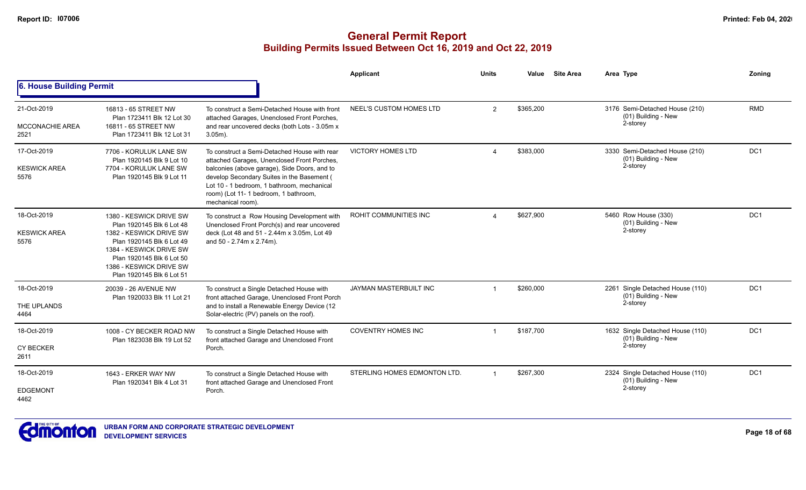|                                               |                                                                                                                                                                                                                              |                                                                                                                                                                                                                                                                                                       | Applicant                    | <b>Units</b>             | Value     | <b>Site Area</b> | Area Type                                                           | Zoning          |
|-----------------------------------------------|------------------------------------------------------------------------------------------------------------------------------------------------------------------------------------------------------------------------------|-------------------------------------------------------------------------------------------------------------------------------------------------------------------------------------------------------------------------------------------------------------------------------------------------------|------------------------------|--------------------------|-----------|------------------|---------------------------------------------------------------------|-----------------|
| 6. House Building Permit                      |                                                                                                                                                                                                                              |                                                                                                                                                                                                                                                                                                       |                              |                          |           |                  |                                                                     |                 |
| 21-Oct-2019<br><b>MCCONACHIE AREA</b><br>2521 | 16813 - 65 STREET NW<br>Plan 1723411 Blk 12 Lot 30<br>16811 - 65 STREET NW<br>Plan 1723411 Blk 12 Lot 31                                                                                                                     | To construct a Semi-Detached House with front<br>attached Garages, Unenclosed Front Porches,<br>and rear uncovered decks (both Lots - 3.05m x<br>$3.05m$ ).                                                                                                                                           | NEEL'S CUSTOM HOMES LTD      | 2                        | \$365,200 |                  | 3176 Semi-Detached House (210)<br>(01) Building - New<br>2-storey   | <b>RMD</b>      |
| 17-Oct-2019<br><b>KESWICK AREA</b><br>5576    | 7706 - KORULUK LANE SW<br>Plan 1920145 Blk 9 Lot 10<br>7704 - KORULUK LANE SW<br>Plan 1920145 Blk 9 Lot 11                                                                                                                   | To construct a Semi-Detached House with rear<br>attached Garages, Unenclosed Front Porches,<br>balconies (above garage), Side Doors, and to<br>develop Secondary Suites in the Basement (<br>Lot 10 - 1 bedroom, 1 bathroom, mechanical<br>room) (Lot 11- 1 bedroom, 1 bathroom,<br>mechanical room). | <b>VICTORY HOMES LTD</b>     | $\boldsymbol{\varDelta}$ | \$383,000 |                  | 3330 Semi-Detached House (210)<br>(01) Building - New<br>2-storey   | DC1             |
| 18-Oct-2019<br><b>KESWICK AREA</b><br>5576    | 1380 - KESWICK DRIVE SW<br>Plan 1920145 Blk 6 Lot 48<br>1382 - KESWICK DRIVE SW<br>Plan 1920145 Blk 6 Lot 49<br>1384 - KESWICK DRIVE SW<br>Plan 1920145 Blk 6 Lot 50<br>1386 - KESWICK DRIVE SW<br>Plan 1920145 Blk 6 Lot 51 | To construct a Row Housing Development with<br>Unenclosed Front Porch(s) and rear uncovered<br>deck (Lot 48 and 51 - 2.44m x 3.05m, Lot 49<br>and 50 - 2.74m x 2.74m).                                                                                                                                | <b>ROHIT COMMUNITIES INC</b> |                          | \$627,900 |                  | 5460 Row House (330)<br>(01) Building - New<br>2-storey             | DC <sub>1</sub> |
| 18-Oct-2019<br>THE UPLANDS<br>4464            | 20039 - 26 AVENUE NW<br>Plan 1920033 Blk 11 Lot 21                                                                                                                                                                           | To construct a Single Detached House with<br>front attached Garage, Unenclosed Front Porch<br>and to install a Renewable Energy Device (12<br>Solar-electric (PV) panels on the roof).                                                                                                                | JAYMAN MASTERBUILT INC       |                          | \$260,000 |                  | 2261 Single Detached House (110)<br>(01) Building - New<br>2-storey | DC <sub>1</sub> |
| 18-Oct-2019<br><b>CY BECKER</b><br>2611       | 1008 - CY BECKER ROAD NW<br>Plan 1823038 Blk 19 Lot 52                                                                                                                                                                       | To construct a Single Detached House with<br>front attached Garage and Unenclosed Front<br>Porch.                                                                                                                                                                                                     | <b>COVENTRY HOMES INC</b>    |                          | \$187,700 |                  | 1632 Single Detached House (110)<br>(01) Building - New<br>2-storey | DC1             |
| 18-Oct-2019<br><b>EDGEMONT</b><br>4462        | 1643 - ERKER WAY NW<br>Plan 1920341 Blk 4 Lot 31                                                                                                                                                                             | To construct a Single Detached House with<br>front attached Garage and Unenclosed Front<br>Porch.                                                                                                                                                                                                     | STERLING HOMES EDMONTON LTD. | $\overline{1}$           | \$267,300 |                  | 2324 Single Detached House (110)<br>(01) Building - New<br>2-storey | DC <sub>1</sub> |

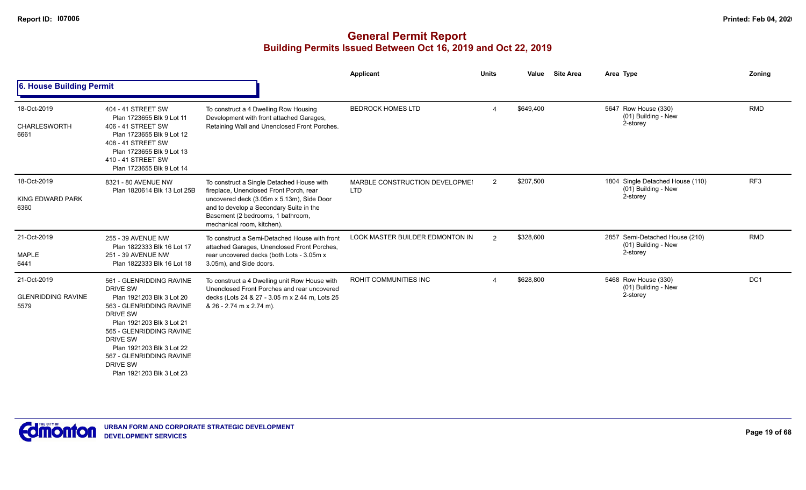|                                                  |                                                                                                                                                                                                                                                                                  |                                                                                                                                                                                                                                                 | Applicant                                    | <b>Units</b>   | Value     | <b>Site Area</b> | Area Type                                                           | Zoning          |
|--------------------------------------------------|----------------------------------------------------------------------------------------------------------------------------------------------------------------------------------------------------------------------------------------------------------------------------------|-------------------------------------------------------------------------------------------------------------------------------------------------------------------------------------------------------------------------------------------------|----------------------------------------------|----------------|-----------|------------------|---------------------------------------------------------------------|-----------------|
| 6. House Building Permit                         |                                                                                                                                                                                                                                                                                  |                                                                                                                                                                                                                                                 |                                              |                |           |                  |                                                                     |                 |
| 18-Oct-2019<br>CHARLESWORTH<br>6661              | 404 - 41 STREET SW<br>Plan 1723655 Blk 9 Lot 11<br>406 - 41 STREET SW<br>Plan 1723655 Blk 9 Lot 12<br>408 - 41 STREET SW<br>Plan 1723655 Blk 9 Lot 13<br>410 - 41 STREET SW<br>Plan 1723655 Blk 9 Lot 14                                                                         | To construct a 4 Dwelling Row Housing<br>Development with front attached Garages,<br>Retaining Wall and Unenclosed Front Porches.                                                                                                               | <b>BEDROCK HOMES LTD</b>                     | $\overline{4}$ | \$649,400 |                  | 5647 Row House (330)<br>(01) Building - New<br>2-storey             | <b>RMD</b>      |
| 18-Oct-2019<br>KING EDWARD PARK<br>6360          | 8321 - 80 AVENUE NW<br>Plan 1820614 Blk 13 Lot 25B                                                                                                                                                                                                                               | To construct a Single Detached House with<br>fireplace, Unenclosed Front Porch, rear<br>uncovered deck (3.05m x 5.13m), Side Door<br>and to develop a Secondary Suite in the<br>Basement (2 bedrooms, 1 bathroom,<br>mechanical room, kitchen). | MARBLE CONSTRUCTION DEVELOPMEI<br><b>LTD</b> | 2              | \$207,500 |                  | 1804 Single Detached House (110)<br>(01) Building - New<br>2-storey | RF <sub>3</sub> |
| 21-Oct-2019<br><b>MAPLE</b><br>6441              | 255 - 39 AVENUE NW<br>Plan 1822333 Blk 16 Lot 17<br>251 - 39 AVENUE NW<br>Plan 1822333 Blk 16 Lot 18                                                                                                                                                                             | To construct a Semi-Detached House with front<br>attached Garages, Unenclosed Front Porches,<br>rear uncovered decks (both Lots - 3.05m x<br>3.05m), and Side doors.                                                                            | <b>LOOK MASTER BUILDER EDMONTON IN</b>       | 2              | \$328,600 |                  | 2857 Semi-Detached House (210)<br>(01) Building - New<br>2-storey   | <b>RMD</b>      |
| 21-Oct-2019<br><b>GLENRIDDING RAVINE</b><br>5579 | 561 - GLENRIDDING RAVINE<br>DRIVE SW<br>Plan 1921203 Blk 3 Lot 20<br>563 - GLENRIDDING RAVINE<br>DRIVE SW<br>Plan 1921203 Blk 3 Lot 21<br>565 - GLENRIDDING RAVINE<br>DRIVE SW<br>Plan 1921203 Blk 3 Lot 22<br>567 - GLENRIDDING RAVINE<br>DRIVE SW<br>Plan 1921203 Blk 3 Lot 23 | To construct a 4 Dwelling unit Row House with<br>Unenclosed Front Porches and rear uncovered<br>decks (Lots 24 & 27 - 3.05 m x 2.44 m, Lots 25<br>& 26 - 2.74 m x 2.74 m).                                                                      | <b>ROHIT COMMUNITIES INC</b>                 |                | \$628,800 |                  | 5468 Row House (330)<br>(01) Building - New<br>2-storey             | DC <sub>1</sub> |

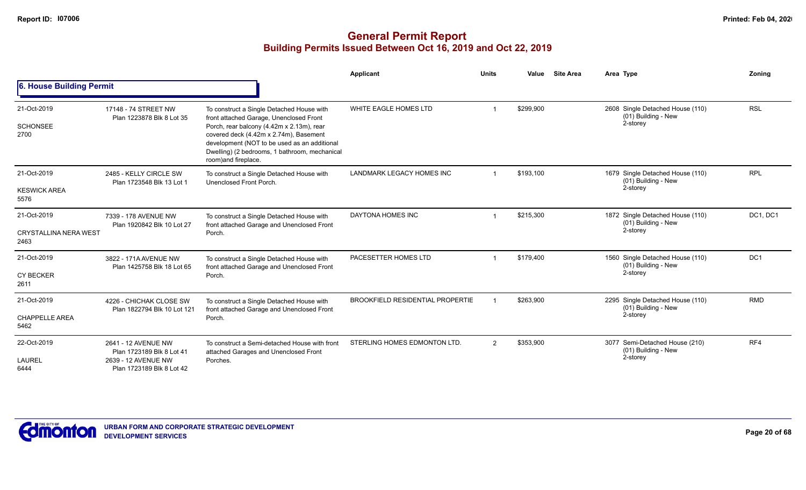|                                                     |                                                                                                      |                                                                                                                                                                                                                                                                                                      | Applicant                               | <b>Units</b>   | Value     | <b>Site Area</b> | Area Type                                                           | Zoning          |
|-----------------------------------------------------|------------------------------------------------------------------------------------------------------|------------------------------------------------------------------------------------------------------------------------------------------------------------------------------------------------------------------------------------------------------------------------------------------------------|-----------------------------------------|----------------|-----------|------------------|---------------------------------------------------------------------|-----------------|
| 6. House Building Permit                            |                                                                                                      |                                                                                                                                                                                                                                                                                                      |                                         |                |           |                  |                                                                     |                 |
| 21-Oct-2019<br><b>SCHONSEE</b><br>2700              | 17148 - 74 STREET NW<br>Plan 1223878 Blk 8 Lot 35                                                    | To construct a Single Detached House with<br>front attached Garage, Unenclosed Front<br>Porch, rear balcony (4.42m x 2.13m), rear<br>covered deck (4.42m x 2.74m), Basement<br>development (NOT to be used as an additional<br>Dwelling) (2 bedrooms, 1 bathroom, mechanical<br>room) and fireplace. | WHITE EAGLE HOMES LTD                   |                | \$299,900 |                  | 2608 Single Detached House (110)<br>(01) Building - New<br>2-storey | <b>RSL</b>      |
| 21-Oct-2019<br><b>KESWICK AREA</b><br>5576          | 2485 - KELLY CIRCLE SW<br>Plan 1723548 Blk 13 Lot 1                                                  | To construct a Single Detached House with<br>Unenclosed Front Porch.                                                                                                                                                                                                                                 | LANDMARK LEGACY HOMES INC               |                | \$193,100 |                  | 1679 Single Detached House (110)<br>(01) Building - New<br>2-storey | <b>RPL</b>      |
| 21-Oct-2019<br><b>CRYSTALLINA NERA WEST</b><br>2463 | 7339 - 178 AVENUE NW<br>Plan 1920842 Blk 10 Lot 27                                                   | To construct a Single Detached House with<br>front attached Garage and Unenclosed Front<br>Porch.                                                                                                                                                                                                    | DAYTONA HOMES INC                       |                | \$215,300 |                  | 1872 Single Detached House (110)<br>(01) Building - New<br>2-storey | DC1, DC1        |
| 21-Oct-2019<br><b>CY BECKER</b><br>2611             | 3822 - 171A AVENUE NW<br>Plan 1425758 Blk 18 Lot 65                                                  | To construct a Single Detached House with<br>front attached Garage and Unenclosed Front<br>Porch.                                                                                                                                                                                                    | PACESETTER HOMES LTD                    |                | \$179,400 |                  | 1560 Single Detached House (110)<br>(01) Building - New<br>2-storey | DC <sub>1</sub> |
| 21-Oct-2019<br><b>CHAPPELLE AREA</b><br>5462        | 4226 - CHICHAK CLOSE SW<br>Plan 1822794 Blk 10 Lot 121                                               | To construct a Single Detached House with<br>front attached Garage and Unenclosed Front<br>Porch.                                                                                                                                                                                                    | <b>BROOKFIELD RESIDENTIAL PROPERTIE</b> |                | \$263,900 |                  | 2295 Single Detached House (110)<br>(01) Building - New<br>2-storey | <b>RMD</b>      |
| 22-Oct-2019<br>LAUREL<br>6444                       | 2641 - 12 AVENUE NW<br>Plan 1723189 Blk 8 Lot 41<br>2639 - 12 AVENUE NW<br>Plan 1723189 Blk 8 Lot 42 | To construct a Semi-detached House with front<br>attached Garages and Unenclosed Front<br>Porches.                                                                                                                                                                                                   | STERLING HOMES EDMONTON LTD.            | $\overline{2}$ | \$353,900 |                  | 3077 Semi-Detached House (210)<br>(01) Building - New<br>2-storey   | RF4             |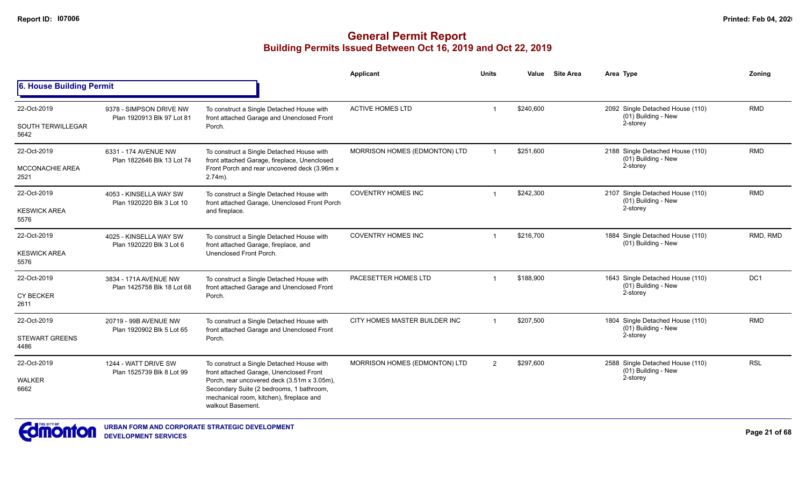|                                         |                                                       |                                                                                                                                                          | Applicant                     | Units          | Value     | <b>Site Area</b>                                        | Area Type                                                           | Zoning     |
|-----------------------------------------|-------------------------------------------------------|----------------------------------------------------------------------------------------------------------------------------------------------------------|-------------------------------|----------------|-----------|---------------------------------------------------------|---------------------------------------------------------------------|------------|
| 6. House Building Permit                |                                                       |                                                                                                                                                          |                               |                |           |                                                         |                                                                     |            |
| 22-Oct-2019<br><b>SOUTH TERWILLEGAR</b> | 9378 - SIMPSON DRIVE NW<br>Plan 1920913 Blk 97 Lot 81 | To construct a Single Detached House with<br>front attached Garage and Unenclosed Front                                                                  | <b>ACTIVE HOMES LTD</b>       | -1             | \$240,600 |                                                         | 2092 Single Detached House (110)<br>(01) Building - New<br>2-storey | <b>RMD</b> |
| 5642                                    |                                                       | Porch.                                                                                                                                                   |                               |                |           |                                                         |                                                                     |            |
| 22-Oct-2019                             | 6331 - 174 AVENUE NW<br>Plan 1822646 Blk 13 Lot 74    | To construct a Single Detached House with<br>front attached Garage, fireplace, Unenclosed                                                                | MORRISON HOMES (EDMONTON) LTD |                | \$251,600 |                                                         | 2188 Single Detached House (110)<br>(01) Building - New             | <b>RMD</b> |
| MCCONACHIE AREA<br>2521                 |                                                       | Front Porch and rear uncovered deck (3.96m x<br>$2.74m$ ).                                                                                               |                               |                |           |                                                         | 2-storey                                                            |            |
| 22-Oct-2019                             | 4053 - KINSELLA WAY SW<br>Plan 1920220 Blk 3 Lot 10   | To construct a Single Detached House with<br>front attached Garage, Unenclosed Front Porch                                                               | <b>COVENTRY HOMES INC</b>     | $\overline{1}$ | \$242,300 |                                                         | 2107 Single Detached House (110)<br>(01) Building - New             | <b>RMD</b> |
| <b>KESWICK AREA</b><br>5576             |                                                       | and fireplace.                                                                                                                                           |                               |                |           | 2-storey                                                |                                                                     |            |
| 22-Oct-2019                             | 4025 - KINSELLA WAY SW<br>Plan 1920220 Blk 3 Lot 6    | To construct a Single Detached House with<br>front attached Garage, fireplace, and                                                                       | <b>COVENTRY HOMES INC</b>     |                | \$216,700 |                                                         | 1884 Single Detached House (110)<br>(01) Building - New             | RMD, RMD   |
| <b>KESWICK AREA</b><br>5576             |                                                       | Unenclosed Front Porch.                                                                                                                                  |                               |                |           |                                                         |                                                                     |            |
| 22-Oct-2019                             | 3834 - 171A AVENUE NW<br>Plan 1425758 Blk 18 Lot 68   | To construct a Single Detached House with<br>front attached Garage and Unenclosed Front                                                                  | PACESETTER HOMES LTD          |                | \$188,900 | 1643 Single Detached House (110)<br>(01) Building - New | DC <sub>1</sub>                                                     |            |
| <b>CY BECKER</b><br>2611                |                                                       | Porch.                                                                                                                                                   |                               | 2-storey       |           |                                                         |                                                                     |            |
| 22-Oct-2019                             | 20719 - 99B AVENUE NW                                 | To construct a Single Detached House with<br>front attached Garage and Unenclosed Front                                                                  | CITY HOMES MASTER BUILDER INC | $\mathbf{1}$   | \$207.500 |                                                         | 1804 Single Detached House (110)<br>(01) Building - New             | <b>RMD</b> |
| <b>STEWART GREENS</b><br>4486           | Plan 1920902 Blk 5 Lot 65                             | Porch.                                                                                                                                                   |                               |                |           |                                                         | 2-storey                                                            |            |
| 22-Oct-2019                             | 1244 - WATT DRIVE SW                                  | To construct a Single Detached House with<br>front attached Garage, Unenclosed Front                                                                     | MORRISON HOMES (EDMONTON) LTD | $\overline{2}$ | \$297,600 |                                                         | 2588 Single Detached House (110)<br>(01) Building - New             | <b>RSL</b> |
| <b>WALKER</b><br>6662                   | Plan 1525739 Blk 8 Lot 99                             | Porch, rear uncovered deck (3.51m x 3.05m),<br>Secondary Suite (2 bedrooms, 1 bathroom,<br>mechanical room, kitchen), fireplace and<br>walkout Basement. |                               |                |           | 2-storey                                                |                                                                     |            |

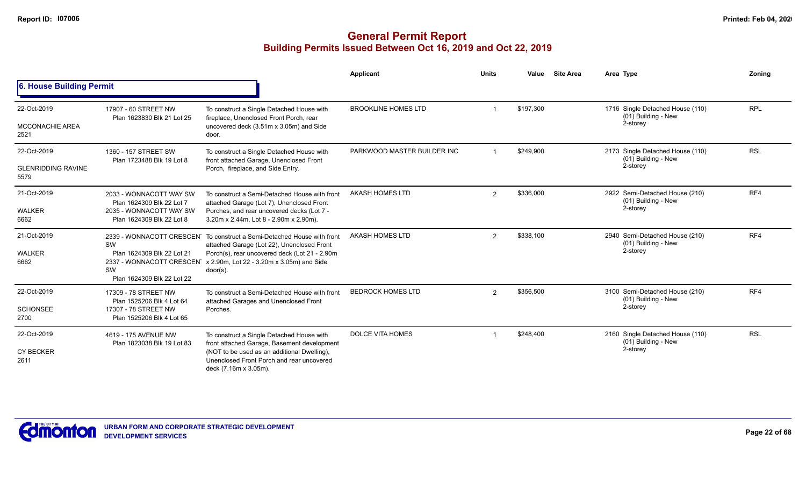|                                                  |                                                                                                              |                                                                                                                                                                                                                                                            | Applicant                   | <b>Units</b>   | Value     | <b>Site Area</b> | Area Type                                                           | Zoning     |
|--------------------------------------------------|--------------------------------------------------------------------------------------------------------------|------------------------------------------------------------------------------------------------------------------------------------------------------------------------------------------------------------------------------------------------------------|-----------------------------|----------------|-----------|------------------|---------------------------------------------------------------------|------------|
| 6. House Building Permit                         |                                                                                                              |                                                                                                                                                                                                                                                            |                             |                |           |                  |                                                                     |            |
| 22-Oct-2019<br><b>MCCONACHIE AREA</b><br>2521    | 17907 - 60 STREET NW<br>Plan 1623830 Blk 21 Lot 25                                                           | To construct a Single Detached House with<br>fireplace, Unenclosed Front Porch, rear<br>uncovered deck (3.51m x 3.05m) and Side<br>door.                                                                                                                   | <b>BROOKLINE HOMES LTD</b>  |                | \$197,300 |                  | 1716 Single Detached House (110)<br>(01) Building - New<br>2-storey | <b>RPL</b> |
| 22-Oct-2019<br><b>GLENRIDDING RAVINE</b><br>5579 | 1360 - 157 STREET SW<br>Plan 1723488 Blk 19 Lot 8                                                            | To construct a Single Detached House with<br>front attached Garage, Unenclosed Front<br>Porch, fireplace, and Side Entry.                                                                                                                                  | PARKWOOD MASTER BUILDER INC |                | \$249,900 |                  | 2173 Single Detached House (110)<br>(01) Building - New<br>2-storey | <b>RSL</b> |
| 21-Oct-2019<br><b>WALKER</b><br>6662             | 2033 - WONNACOTT WAY SW<br>Plan 1624309 Blk 22 Lot 7<br>2035 - WONNACOTT WAY SW<br>Plan 1624309 Blk 22 Lot 8 | To construct a Semi-Detached House with front<br>attached Garage (Lot 7), Unenclosed Front<br>Porches, and rear uncovered decks (Lot 7 -<br>3.20m x 2.44m, Lot 8 - 2.90m x 2.90m).                                                                         | AKASH HOMES LTD             | $\overline{2}$ | \$336,000 |                  | 2922 Semi-Detached House (210)<br>(01) Building - New<br>2-storey   | RF4        |
| 21-Oct-2019<br>WALKER<br>6662                    | SW<br>Plan 1624309 Blk 22 Lot 21<br>SW<br>Plan 1624309 Blk 22 Lot 22                                         | 2339 - WONNACOTT CRESCEN To construct a Semi-Detached House with front<br>attached Garage (Lot 22), Unenclosed Front<br>Porch(s), rear uncovered deck (Lot 21 - 2.90m<br>2337 - WONNACOTT CRESCEN x 2.90m, Lot 22 - 3.20m x 3.05m) and Side<br>$door(s)$ . | AKASH HOMES LTD             | 2              | \$338,100 |                  | 2940 Semi-Detached House (210)<br>(01) Building - New<br>2-storey   | RF4        |
| 22-Oct-2019<br><b>SCHONSEE</b><br>2700           | 17309 - 78 STREET NW<br>Plan 1525206 Blk 4 Lot 64<br>17307 - 78 STREET NW<br>Plan 1525206 Blk 4 Lot 65       | To construct a Semi-Detached House with front<br>attached Garages and Unenclosed Front<br>Porches.                                                                                                                                                         | <b>BEDROCK HOMES LTD</b>    | $\overline{2}$ | \$356,500 |                  | 3100 Semi-Detached House (210)<br>(01) Building - New<br>2-storey   | RF4        |
| 22-Oct-2019<br><b>CY BECKER</b><br>2611          | 4619 - 175 AVENUE NW<br>Plan 1823038 Blk 19 Lot 83                                                           | To construct a Single Detached House with<br>front attached Garage, Basement development<br>(NOT to be used as an additional Dwelling),<br>Unenclosed Front Porch and rear uncovered<br>deck (7.16m x 3.05m).                                              | <b>DOLCE VITA HOMES</b>     |                | \$248,400 |                  | 2160 Single Detached House (110)<br>(01) Building - New<br>2-storey | <b>RSL</b> |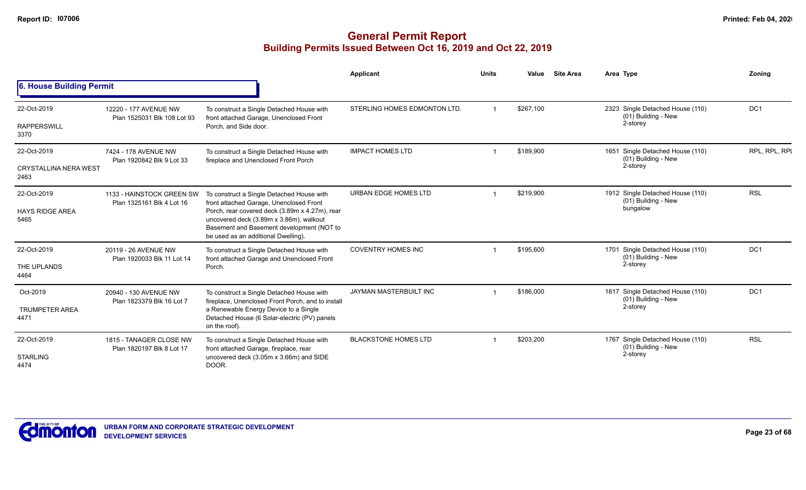|                                      |                                                        |                                                                                                                                                                               | <b>Applicant</b>              | <b>Units</b> | Value                                        | <b>Site Area</b>                 | Area Type                                               | Zonina          |
|--------------------------------------|--------------------------------------------------------|-------------------------------------------------------------------------------------------------------------------------------------------------------------------------------|-------------------------------|--------------|----------------------------------------------|----------------------------------|---------------------------------------------------------|-----------------|
| 6. House Building Permit             |                                                        |                                                                                                                                                                               |                               |              |                                              |                                  |                                                         |                 |
| 22-Oct-2019                          | 12220 - 177 AVENUE NW                                  | To construct a Single Detached House with                                                                                                                                     | STERLING HOMES EDMONTON LTD.  |              | \$267,100                                    |                                  | 2323 Single Detached House (110)                        | DC <sub>1</sub> |
| <b>RAPPERSWILL</b><br>3370           | Plan 1525031 Blk 108 Lot 93                            | front attached Garage, Unenclosed Front<br>Porch, and Side door.                                                                                                              |                               |              |                                              |                                  | (01) Building - New<br>2-storey                         |                 |
| 22-Oct-2019                          | 7424 - 178 AVENUE NW<br>Plan 1920842 Blk 9 Lot 33      | To construct a Single Detached House with<br>fireplace and Unenclosed Front Porch                                                                                             | <b>IMPACT HOMES LTD</b>       |              | \$189,900                                    |                                  | 1651 Single Detached House (110)<br>(01) Building - New | RPL, RPL, RPI   |
| <b>CRYSTALLINA NERA WEST</b><br>2463 |                                                        |                                                                                                                                                                               |                               |              |                                              |                                  | 2-storey                                                |                 |
| 22-Oct-2019                          | 1133 - HAINSTOCK GREEN SW<br>Plan 1325161 Blk 4 Lot 16 | To construct a Single Detached House with<br>front attached Garage, Unenclosed Front                                                                                          | URBAN EDGE HOMES LTD          |              | \$219,900                                    |                                  | 1912 Single Detached House (110)<br>(01) Building - New | <b>RSL</b>      |
| <b>HAYS RIDGE AREA</b><br>5465       |                                                        | Porch, rear covered deck (3.89m x 4.27m), rear<br>uncovered deck (3.89m x 3.86m), walkout<br>Basement and Basement development (NOT to<br>be used as an additional Dwelling). |                               |              |                                              | bungalow                         |                                                         |                 |
| 22-Oct-2019                          | 20119 - 26 AVENUE NW<br>Plan 1920033 Blk 11 Lot 14     | To construct a Single Detached House with<br>front attached Garage and Unenclosed Front                                                                                       | <b>COVENTRY HOMES INC</b>     |              | \$195,600<br>(01) Building - New<br>2-storey | 1701 Single Detached House (110) | DC <sub>1</sub>                                         |                 |
| THE UPLANDS<br>4464                  |                                                        | Porch.                                                                                                                                                                        |                               |              |                                              |                                  |                                                         |                 |
| Oct-2019                             | 20940 - 130 AVENUE NW                                  | To construct a Single Detached House with<br>fireplace, Unenclosed Front Porch, and to install                                                                                | <b>JAYMAN MASTERBUILT INC</b> |              | \$186,000                                    |                                  | 1617 Single Detached House (110)                        | DC <sub>1</sub> |
| <b>TRUMPETER AREA</b><br>4471        | Plan 1823379 Blk 16 Lot 7                              | a Renewable Energy Device to a Single<br>Detached House (6 Solar-electric (PV) panels<br>on the roof).                                                                        |                               |              |                                              |                                  | (01) Building - New<br>2-storey                         |                 |
| 22-Oct-2019                          | 1815 - TANAGER CLOSE NW<br>Plan 1820197 Blk 8 Lot 17   | To construct a Single Detached House with<br>front attached Garage, fireplace, rear                                                                                           | <b>BLACKSTONE HOMES LTD</b>   |              | \$203,200                                    |                                  | 1767 Single Detached House (110)<br>(01) Building - New | <b>RSL</b>      |
| <b>STARLING</b><br>4474              |                                                        | uncovered deck (3.05m x 3.66m) and SIDE<br>DOOR.                                                                                                                              |                               |              |                                              |                                  | 2-storey                                                |                 |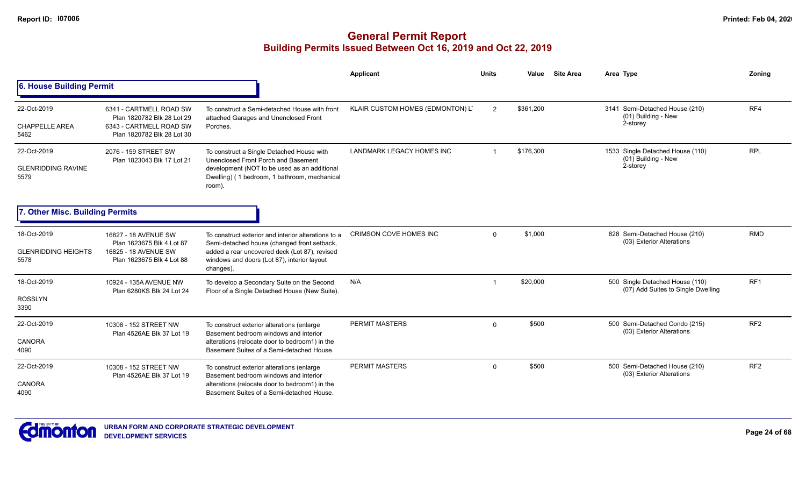|                                                   |                                                                                                                |                                                                                                                                                                                                                 | Applicant                        | <b>Units</b> | Value     | <b>Site Area</b> | Area Type                                                             | Zonina          |
|---------------------------------------------------|----------------------------------------------------------------------------------------------------------------|-----------------------------------------------------------------------------------------------------------------------------------------------------------------------------------------------------------------|----------------------------------|--------------|-----------|------------------|-----------------------------------------------------------------------|-----------------|
| 6. House Building Permit                          |                                                                                                                |                                                                                                                                                                                                                 |                                  |              |           |                  |                                                                       |                 |
| 22-Oct-2019<br><b>CHAPPELLE AREA</b><br>5462      | 6341 - CARTMELL ROAD SW<br>Plan 1820782 Blk 28 Lot 29<br>6343 - CARTMELL ROAD SW<br>Plan 1820782 Blk 28 Lot 30 | To construct a Semi-detached House with front<br>attached Garages and Unenclosed Front<br>Porches.                                                                                                              | KLAIR CUSTOM HOMES (EDMONTON) L' | 2            | \$361,200 |                  | 3141 Semi-Detached House (210)<br>(01) Building - New<br>2-storey     | RF4             |
| 22-Oct-2019<br><b>GLENRIDDING RAVINE</b><br>5579  | 2076 - 159 STREET SW<br>Plan 1823043 Blk 17 Lot 21                                                             | To construct a Single Detached House with<br>Unenclosed Front Porch and Basement<br>development (NOT to be used as an additional<br>Dwelling) (1 bedroom, 1 bathroom, mechanical<br>room).                      | <b>LANDMARK LEGACY HOMES INC</b> |              | \$176,300 |                  | 1533 Single Detached House (110)<br>$(01)$ Building - New<br>2-storey | <b>RPL</b>      |
| 7. Other Misc. Building Permits                   |                                                                                                                |                                                                                                                                                                                                                 |                                  |              |           |                  |                                                                       |                 |
| 18-Oct-2019<br><b>GLENRIDDING HEIGHTS</b><br>5578 | 16827 - 18 AVENUE SW<br>Plan 1623675 Blk 4 Lot 87<br>16825 - 18 AVENUE SW<br>Plan 1623675 Blk 4 Lot 88         | To construct exterior and interior alterations to a<br>Semi-detached house (changed front setback,<br>added a rear uncovered deck (Lot 87), revised<br>windows and doors (Lot 87), interior layout<br>changes). | <b>CRIMSON COVE HOMES INC</b>    | $\Omega$     | \$1,000   |                  | 828 Semi-Detached House (210)<br>(03) Exterior Alterations            | <b>RMD</b>      |
| 18-Oct-2019<br><b>ROSSLYN</b><br>3390             | 10924 - 135A AVENUE NW<br>Plan 6280KS Blk 24 Lot 24                                                            | To develop a Secondary Suite on the Second<br>Floor of a Single Detached House (New Suite).                                                                                                                     | N/A                              |              | \$20,000  |                  | 500 Single Detached House (110)<br>(07) Add Suites to Single Dwelling | RF <sub>1</sub> |
| 22-Oct-2019<br><b>CANORA</b><br>4090              | 10308 - 152 STREET NW<br>Plan 4526AE Blk 37 Lot 19                                                             | To construct exterior alterations (enlarge<br>Basement bedroom windows and interior<br>alterations (relocate door to bedroom1) in the<br>Basement Suites of a Semi-detached House.                              | PERMIT MASTERS                   | $\Omega$     | \$500     |                  | 500 Semi-Detached Condo (215)<br>(03) Exterior Alterations            | RF <sub>2</sub> |
| 22-Oct-2019<br><b>CANORA</b><br>4090              | 10308 - 152 STREET NW<br>Plan 4526AE Blk 37 Lot 19                                                             | To construct exterior alterations (enlarge<br>Basement bedroom windows and interior<br>alterations (relocate door to bedroom1) in the<br>Basement Suites of a Semi-detached House.                              | <b>PERMIT MASTERS</b>            | $\Omega$     | \$500     |                  | 500 Semi-Detached House (210)<br>(03) Exterior Alterations            | RF <sub>2</sub> |

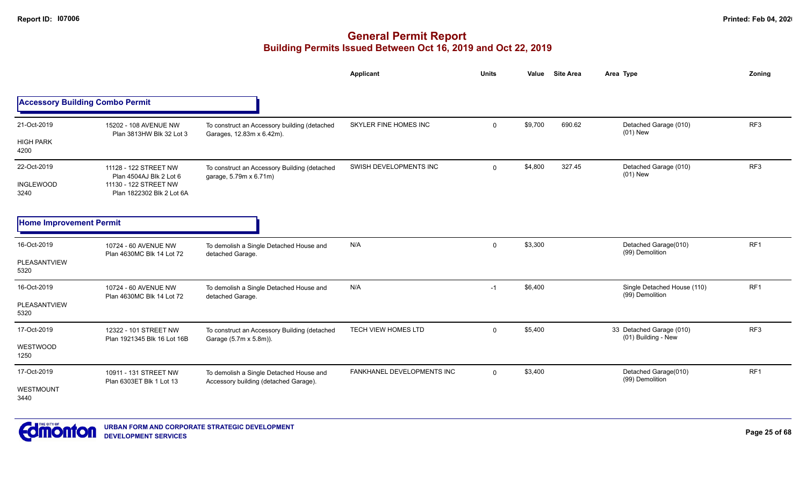|                                         |                                                                                                        |                                                                                  | Applicant                  | <b>Units</b> | Value   | <b>Site Area</b> | Area Type                                       | Zoning          |
|-----------------------------------------|--------------------------------------------------------------------------------------------------------|----------------------------------------------------------------------------------|----------------------------|--------------|---------|------------------|-------------------------------------------------|-----------------|
| <b>Accessory Building Combo Permit</b>  |                                                                                                        |                                                                                  |                            |              |         |                  |                                                 |                 |
| 21-Oct-2019                             | 15202 - 108 AVENUE NW<br>Plan 3813HW Blk 32 Lot 3                                                      | To construct an Accessory building (detached<br>Garages, 12.83m x 6.42m).        | SKYLER FINE HOMES INC      | $\mathbf 0$  | \$9,700 | 690.62           | Detached Garage (010)<br>$(01)$ New             | RF3             |
| <b>HIGH PARK</b><br>4200                |                                                                                                        |                                                                                  |                            |              |         |                  |                                                 |                 |
| 22-Oct-2019<br><b>INGLEWOOD</b><br>3240 | 11128 - 122 STREET NW<br>Plan 4504AJ Blk 2 Lot 6<br>11130 - 122 STREET NW<br>Plan 1822302 Blk 2 Lot 6A | To construct an Accessory Building (detached<br>garage, 5.79m x 6.71m)           | SWISH DEVELOPMENTS INC     | $\mathbf 0$  | \$4,800 | 327.45           | Detached Garage (010)<br>$(01)$ New             | RF <sub>3</sub> |
| <b>Home Improvement Permit</b>          |                                                                                                        |                                                                                  |                            |              |         |                  |                                                 |                 |
| 16-Oct-2019<br>PLEASANTVIEW<br>5320     | 10724 - 60 AVENUE NW<br>Plan 4630MC Blk 14 Lot 72                                                      | To demolish a Single Detached House and<br>detached Garage.                      | N/A                        | $\mathbf 0$  | \$3,300 |                  | Detached Garage(010)<br>(99) Demolition         | RF1             |
| 16-Oct-2019<br>PLEASANTVIEW<br>5320     | 10724 - 60 AVENUE NW<br>Plan 4630MC Blk 14 Lot 72                                                      | To demolish a Single Detached House and<br>detached Garage.                      | N/A                        | $-1$         | \$6,400 |                  | Single Detached House (110)<br>(99) Demolition  | RF <sub>1</sub> |
| 17-Oct-2019<br>WESTWOOD<br>1250         | 12322 - 101 STREET NW<br>Plan 1921345 Blk 16 Lot 16B                                                   | To construct an Accessory Building (detached<br>Garage (5.7m x 5.8m)).           | <b>TECH VIEW HOMES LTD</b> | $\mathbf 0$  | \$5,400 |                  | 33 Detached Garage (010)<br>(01) Building - New | RF3             |
| 17-Oct-2019<br>WESTMOUNT<br>3440        | 10911 - 131 STREET NW<br>Plan 6303ET Blk 1 Lot 13                                                      | To demolish a Single Detached House and<br>Accessory building (detached Garage). | FANKHANEL DEVELOPMENTS INC | $\Omega$     | \$3,400 |                  | Detached Garage(010)<br>(99) Demolition         | RF <sub>1</sub> |

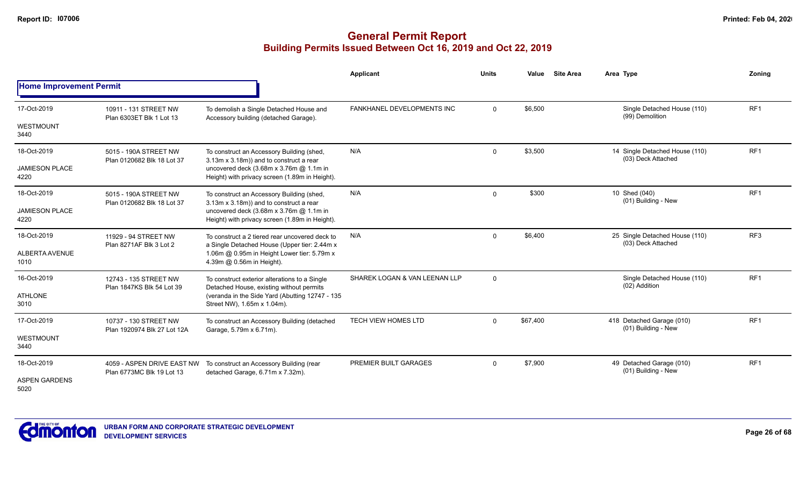|                                |                                                         |                                                                                                | <b>Applicant</b>              | <b>Units</b>   | <b>Site Area</b><br>Value | Area Type                                            | Zoning          |
|--------------------------------|---------------------------------------------------------|------------------------------------------------------------------------------------------------|-------------------------------|----------------|---------------------------|------------------------------------------------------|-----------------|
| <b>Home Improvement Permit</b> |                                                         |                                                                                                |                               |                |                           |                                                      |                 |
| 17-Oct-2019                    | 10911 - 131 STREET NW<br>Plan 6303ET Blk 1 Lot 13       | To demolish a Single Detached House and<br>Accessory building (detached Garage).               | FANKHANEL DEVELOPMENTS INC    | $\mathbf 0$    | \$6,500                   | Single Detached House (110)<br>(99) Demolition       | RF <sub>1</sub> |
| WESTMOUNT<br>3440              |                                                         |                                                                                                |                               |                |                           |                                                      |                 |
| 18-Oct-2019                    | 5015 - 190A STREET NW<br>Plan 0120682 Blk 18 Lot 37     | To construct an Accessory Building (shed,<br>3.13m x 3.18m)) and to construct a rear           | N/A                           | $\mathbf 0$    | \$3,500                   | 14 Single Detached House (110)<br>(03) Deck Attached | RF <sub>1</sub> |
| <b>JAMIESON PLACE</b><br>4220  |                                                         | uncovered deck (3.68m x 3.76m @ 1.1m in<br>Height) with privacy screen (1.89m in Height).      |                               |                |                           |                                                      |                 |
| 18-Oct-2019                    | 5015 - 190A STREET NW<br>Plan 0120682 Blk 18 Lot 37     | To construct an Accessory Building (shed,<br>3.13m x 3.18m)) and to construct a rear           | N/A                           | $\Omega$       | \$300                     | 10 Shed (040)<br>(01) Building - New                 | RF <sub>1</sub> |
| <b>JAMIESON PLACE</b><br>4220  |                                                         | uncovered deck (3.68m x 3.76m @ 1.1m in<br>Height) with privacy screen (1.89m in Height).      |                               |                |                           |                                                      |                 |
| 18-Oct-2019                    | 11929 - 94 STREET NW<br>Plan 8271AF Blk 3 Lot 2         | To construct a 2 tiered rear uncovered deck to<br>a Single Detached House (Upper tier: 2.44m x | N/A                           | $\Omega$       | \$6,400                   | 25 Single Detached House (110)<br>(03) Deck Attached | RF <sub>3</sub> |
| ALBERTA AVENUE<br>1010         |                                                         | 1.06m @ 0.95m in Height Lower tier: 5.79m x<br>4.39m @ 0.56m in Height).                       |                               |                |                           |                                                      |                 |
| 16-Oct-2019                    | 12743 - 135 STREET NW<br>Plan 1847KS Blk 54 Lot 39      | To construct exterior alterations to a Single<br>Detached House, existing without permits      | SHAREK LOGAN & VAN LEENAN LLP | $\overline{0}$ |                           | Single Detached House (110)<br>(02) Addition         | RF1             |
| <b>ATHLONE</b><br>3010         |                                                         | (veranda in the Side Yard (Abutting 12747 - 135<br>Street NW), 1.65m x 1.04m).                 |                               |                |                           |                                                      |                 |
| 17-Oct-2019                    | 10737 - 130 STREET NW<br>Plan 1920974 Blk 27 Lot 12A    | To construct an Accessory Building (detached<br>Garage, 5.79m x 6.71m).                        | <b>TECH VIEW HOMES LTD</b>    | $\Omega$       | \$67,400                  | 418 Detached Garage (010)<br>(01) Building - New     | RF <sub>1</sub> |
| WESTMOUNT<br>3440              |                                                         |                                                                                                |                               |                |                           |                                                      |                 |
| 18-Oct-2019                    | 4059 - ASPEN DRIVE EAST NW<br>Plan 6773MC Blk 19 Lot 13 | To construct an Accessory Building (rear<br>detached Garage, 6.71m x 7.32m).                   | PREMIER BUILT GARAGES         | $\mathbf 0$    | \$7,900                   | 49 Detached Garage (010)<br>(01) Building - New      | RF <sub>1</sub> |
| <b>ASPEN GARDENS</b><br>5020   |                                                         |                                                                                                |                               |                |                           |                                                      |                 |

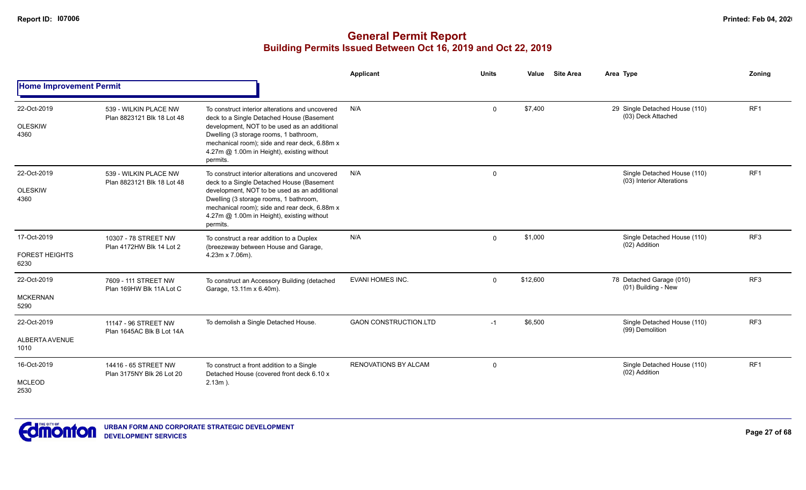|                                              |                                                     |                                                                                                                                                                                                                                                                                                   | Applicant                    | <b>Units</b> | Value    | <b>Site Area</b> | Area Type                                                | Zoning          |
|----------------------------------------------|-----------------------------------------------------|---------------------------------------------------------------------------------------------------------------------------------------------------------------------------------------------------------------------------------------------------------------------------------------------------|------------------------------|--------------|----------|------------------|----------------------------------------------------------|-----------------|
| <b>Home Improvement Permit</b>               |                                                     |                                                                                                                                                                                                                                                                                                   |                              |              |          |                  |                                                          |                 |
| 22-Oct-2019<br><b>OLESKIW</b><br>4360        | 539 - WILKIN PLACE NW<br>Plan 8823121 Blk 18 Lot 48 | To construct interior alterations and uncovered<br>deck to a Single Detached House (Basement<br>development, NOT to be used as an additional<br>Dwelling (3 storage rooms, 1 bathroom,<br>mechanical room); side and rear deck, 6.88m x<br>4.27m @ 1.00m in Height), existing without<br>permits. | N/A                          | $\Omega$     | \$7,400  |                  | 29 Single Detached House (110)<br>(03) Deck Attached     | RF1             |
| 22-Oct-2019<br><b>OLESKIW</b><br>4360        | 539 - WILKIN PLACE NW<br>Plan 8823121 Blk 18 Lot 48 | To construct interior alterations and uncovered<br>deck to a Single Detached House (Basement<br>development, NOT to be used as an additional<br>Dwelling (3 storage rooms, 1 bathroom,<br>mechanical room); side and rear deck, 6.88m x<br>4.27m @ 1.00m in Height), existing without<br>permits. | N/A                          | $\mathbf 0$  |          |                  | Single Detached House (110)<br>(03) Interior Alterations | RF1             |
| 17-Oct-2019<br><b>FOREST HEIGHTS</b><br>6230 | 10307 - 78 STREET NW<br>Plan 4172HW Blk 14 Lot 2    | To construct a rear addition to a Duplex<br>(breezeway between House and Garage,<br>4.23m x 7.06m).                                                                                                                                                                                               | N/A                          | $\mathbf 0$  | \$1,000  |                  | Single Detached House (110)<br>(02) Addition             | RF3             |
| 22-Oct-2019<br><b>MCKERNAN</b><br>5290       | 7609 - 111 STREET NW<br>Plan 169HW Blk 11A Lot C    | To construct an Accessory Building (detached<br>Garage, 13.11m x 6.40m).                                                                                                                                                                                                                          | <b>EVANI HOMES INC.</b>      | $\mathbf 0$  | \$12,600 |                  | 78 Detached Garage (010)<br>(01) Building - New          | RF <sub>3</sub> |
| 22-Oct-2019<br>ALBERTA AVENUE<br>1010        | 11147 - 96 STREET NW<br>Plan 1645AC Blk B Lot 14A   | To demolish a Single Detached House.                                                                                                                                                                                                                                                              | <b>GAON CONSTRUCTION.LTD</b> | $-1$         | \$6,500  |                  | Single Detached House (110)<br>(99) Demolition           | RF3             |
| 16-Oct-2019<br><b>MCLEOD</b><br>2530         | 14416 - 65 STREET NW<br>Plan 3175NY Blk 26 Lot 20   | To construct a front addition to a Single<br>Detached House (covered front deck 6.10 x<br>$2.13m$ ).                                                                                                                                                                                              | RENOVATIONS BY ALCAM         | $\Omega$     |          |                  | Single Detached House (110)<br>(02) Addition             | RF1             |

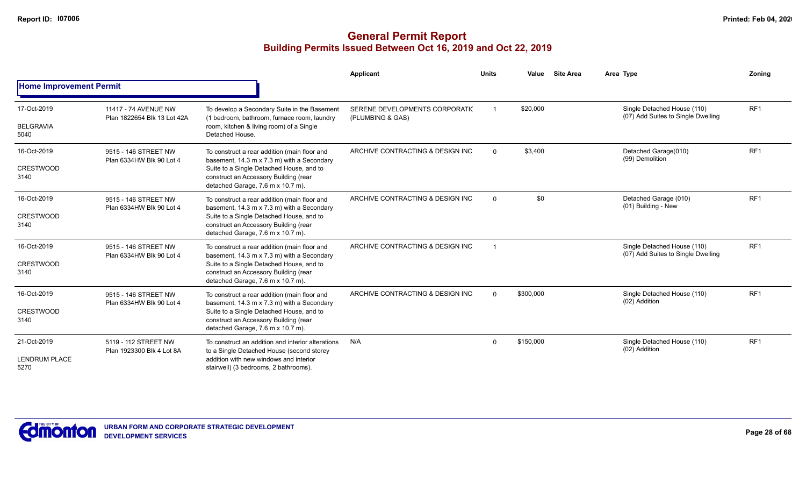|                                             |                                                     |                                                                                                                                                                                   | Applicant                                          | <b>Units</b> | Value     | <b>Site Area</b> | Area Type                                                         | Zoning          |
|---------------------------------------------|-----------------------------------------------------|-----------------------------------------------------------------------------------------------------------------------------------------------------------------------------------|----------------------------------------------------|--------------|-----------|------------------|-------------------------------------------------------------------|-----------------|
| <b>Home Improvement Permit</b>              |                                                     |                                                                                                                                                                                   |                                                    |              |           |                  |                                                                   |                 |
| 17-Oct-2019                                 | 11417 - 74 AVENUE NW<br>Plan 1822654 Blk 13 Lot 42A | To develop a Secondary Suite in the Basement<br>(1 bedroom, bathroom, furnace room, laundry                                                                                       | SERENE DEVELOPMENTS CORPORATIC<br>(PLUMBING & GAS) |              | \$20,000  |                  | Single Detached House (110)<br>(07) Add Suites to Single Dwelling | RF <sub>1</sub> |
| <b>BELGRAVIA</b><br>5040                    |                                                     | room, kitchen & living room) of a Single<br>Detached House.                                                                                                                       |                                                    |              |           |                  |                                                                   |                 |
| 16-Oct-2019                                 | 9515 - 146 STREET NW<br>Plan 6334HW Blk 90 Lot 4    | To construct a rear addition (main floor and<br>basement, 14.3 m x 7.3 m) with a Secondary                                                                                        | ARCHIVE CONTRACTING & DESIGN INC                   | $\mathbf{0}$ | \$3,400   |                  | Detached Garage(010)<br>(99) Demolition                           | RF <sub>1</sub> |
| <b>CRESTWOOD</b><br>3140                    |                                                     | Suite to a Single Detached House, and to<br>construct an Accessory Building (rear<br>detached Garage, 7.6 m x 10.7 m).                                                            |                                                    |              |           |                  |                                                                   |                 |
| 16-Oct-2019                                 | 9515 - 146 STREET NW<br>Plan 6334HW Blk 90 Lot 4    | To construct a rear addition (main floor and<br>basement, 14.3 m x 7.3 m) with a Secondary                                                                                        | ARCHIVE CONTRACTING & DESIGN INC                   | $\Omega$     | \$0       |                  | Detached Garage (010)<br>(01) Building - New                      | RF <sub>1</sub> |
| <b>CRESTWOOD</b><br>3140                    |                                                     | Suite to a Single Detached House, and to<br>construct an Accessory Building (rear<br>detached Garage, 7.6 m x 10.7 m).                                                            |                                                    |              |           |                  |                                                                   |                 |
| 16-Oct-2019                                 | 9515 - 146 STREET NW<br>Plan 6334HW Blk 90 Lot 4    | To construct a rear addition (main floor and<br>basement, 14.3 m x 7.3 m) with a Secondary                                                                                        | ARCHIVE CONTRACTING & DESIGN INC                   |              |           |                  | Single Detached House (110)<br>(07) Add Suites to Single Dwelling | RF <sub>1</sub> |
| <b>CRESTWOOD</b><br>3140                    |                                                     | Suite to a Single Detached House, and to<br>construct an Accessory Building (rear<br>detached Garage, 7.6 m x 10.7 m).                                                            |                                                    |              |           |                  |                                                                   |                 |
| 16-Oct-2019                                 | 9515 - 146 STREET NW<br>Plan 6334HW Blk 90 Lot 4    | To construct a rear addition (main floor and<br>basement, 14.3 m x 7.3 m) with a Secondary                                                                                        | ARCHIVE CONTRACTING & DESIGN INC                   | $\Omega$     | \$300,000 |                  | Single Detached House (110)<br>(02) Addition                      | RF <sub>1</sub> |
| <b>CRESTWOOD</b><br>3140                    |                                                     | Suite to a Single Detached House, and to<br>construct an Accessory Building (rear<br>detached Garage, 7.6 m x 10.7 m).                                                            |                                                    |              |           |                  |                                                                   |                 |
| 21-Oct-2019<br><b>LENDRUM PLACE</b><br>5270 | 5119 - 112 STREET NW<br>Plan 1923300 Blk 4 Lot 8A   | To construct an addition and interior alterations<br>to a Single Detached House (second storey<br>addition with new windows and interior<br>stairwell) (3 bedrooms, 2 bathrooms). | N/A                                                | $\Omega$     | \$150,000 |                  | Single Detached House (110)<br>(02) Addition                      | RF <sub>1</sub> |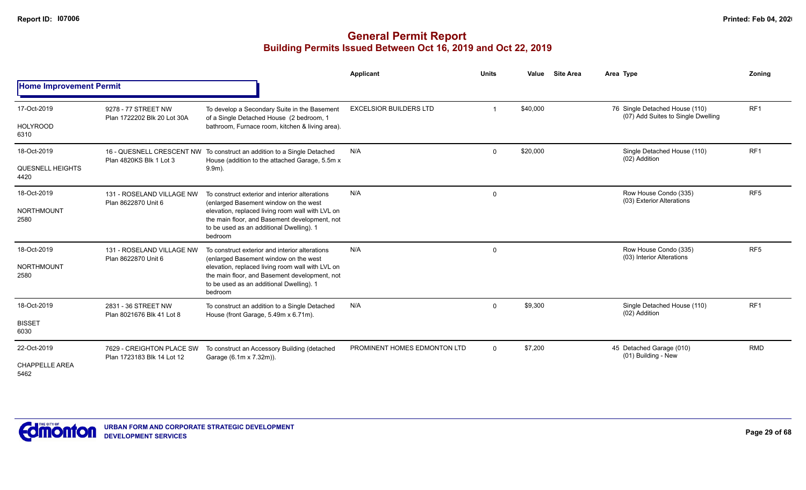|                                 |                                                         |                                                                                                                                                          | Applicant                     | <b>Units</b> | Value    | <b>Site Area</b> | Area Type                                                            | Zoning          |
|---------------------------------|---------------------------------------------------------|----------------------------------------------------------------------------------------------------------------------------------------------------------|-------------------------------|--------------|----------|------------------|----------------------------------------------------------------------|-----------------|
| <b>Home Improvement Permit</b>  |                                                         |                                                                                                                                                          |                               |              |          |                  |                                                                      |                 |
| 17-Oct-2019                     | 9278 - 77 STREET NW<br>Plan 1722202 Blk 20 Lot 30A      | To develop a Secondary Suite in the Basement<br>of a Single Detached House (2 bedroom, 1                                                                 | <b>EXCELSIOR BUILDERS LTD</b> |              | \$40,000 |                  | 76 Single Detached House (110)<br>(07) Add Suites to Single Dwelling | RF <sub>1</sub> |
| <b>HOLYROOD</b><br>6310         |                                                         | bathroom, Furnace room, kitchen & living area).                                                                                                          |                               |              |          |                  |                                                                      |                 |
| 18-Oct-2019                     | Plan 4820KS Blk 1 Lot 3                                 | 16 - QUESNELL CRESCENT NW To construct an addition to a Single Detached<br>House (addition to the attached Garage, 5.5m x                                | N/A                           | $\Omega$     | \$20,000 |                  | Single Detached House (110)<br>(02) Addition                         | RF <sub>1</sub> |
| <b>QUESNELL HEIGHTS</b><br>4420 |                                                         | $9.9m$ ).                                                                                                                                                |                               |              |          |                  |                                                                      |                 |
| 18-Oct-2019                     | 131 - ROSELAND VILLAGE NW                               | To construct exterior and interior alterations<br>(enlarged Basement window on the west                                                                  | N/A                           | $\mathbf 0$  |          |                  | Row House Condo (335)<br>(03) Exterior Alterations                   | RF <sub>5</sub> |
| <b>NORTHMOUNT</b><br>2580       | Plan 8622870 Unit 6                                     | elevation, replaced living room wall with LVL on<br>the main floor, and Basement development, not<br>to be used as an additional Dwelling). 1<br>bedroom |                               |              |          |                  |                                                                      |                 |
| 18-Oct-2019                     | 131 - ROSELAND VILLAGE NW<br>Plan 8622870 Unit 6        | To construct exterior and interior alterations<br>(enlarged Basement window on the west                                                                  | N/A                           | $\mathbf 0$  |          |                  | Row House Condo (335)<br>(03) Interior Alterations                   | RF <sub>5</sub> |
| <b>NORTHMOUNT</b><br>2580       |                                                         | elevation, replaced living room wall with LVL on<br>the main floor, and Basement development, not<br>to be used as an additional Dwelling). 1<br>bedroom |                               |              |          |                  |                                                                      |                 |
| 18-Oct-2019                     | 2831 - 36 STREET NW<br>Plan 8021676 Blk 41 Lot 8        | To construct an addition to a Single Detached<br>House (front Garage, 5.49m x 6.71m).                                                                    | N/A                           | $\Omega$     | \$9,300  |                  | Single Detached House (110)<br>(02) Addition                         | RF <sub>1</sub> |
| <b>BISSET</b><br>6030           |                                                         |                                                                                                                                                          |                               |              |          |                  |                                                                      |                 |
| 22-Oct-2019                     | 7629 - CREIGHTON PLACE SW<br>Plan 1723183 Blk 14 Lot 12 | To construct an Accessory Building (detached<br>Garage (6.1m x 7.32m)).                                                                                  | PROMINENT HOMES EDMONTON LTD  | $\mathbf 0$  | \$7,200  |                  | 45 Detached Garage (010)<br>(01) Building - New                      | <b>RMD</b>      |
| <b>CHAPPELLE AREA</b><br>5462   |                                                         |                                                                                                                                                          |                               |              |          |                  |                                                                      |                 |

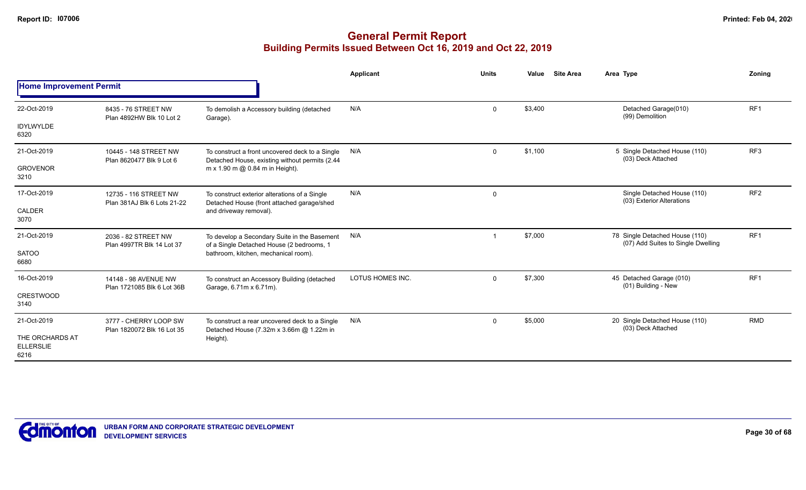|                                             |                                                     |                                                                                                                                   | Applicant        | <b>Units</b> | <b>Site Area</b><br>Value | Area Type                                                            | Zoning          |
|---------------------------------------------|-----------------------------------------------------|-----------------------------------------------------------------------------------------------------------------------------------|------------------|--------------|---------------------------|----------------------------------------------------------------------|-----------------|
| <b>Home Improvement Permit</b>              |                                                     |                                                                                                                                   |                  |              |                           |                                                                      |                 |
| 22-Oct-2019                                 | 8435 - 76 STREET NW<br>Plan 4892HW Blk 10 Lot 2     | To demolish a Accessory building (detached<br>Garage).                                                                            | N/A              | $\mathbf 0$  | \$3,400                   | Detached Garage(010)<br>(99) Demolition                              | RF <sub>1</sub> |
| <b>IDYLWYLDE</b><br>6320                    |                                                     |                                                                                                                                   |                  |              |                           |                                                                      |                 |
| 21-Oct-2019                                 | 10445 - 148 STREET NW<br>Plan 8620477 Blk 9 Lot 6   | To construct a front uncovered deck to a Single<br>Detached House, existing without permits (2.44                                 | N/A              | $\Omega$     | \$1,100                   | 5 Single Detached House (110)<br>(03) Deck Attached                  | RF <sub>3</sub> |
| <b>GROVENOR</b><br>3210                     |                                                     | m x 1.90 m @ 0.84 m in Height).                                                                                                   |                  |              |                           |                                                                      |                 |
| 17-Oct-2019                                 | 12735 - 116 STREET NW                               | To construct exterior alterations of a Single<br>Detached House (front attached garage/shed                                       | N/A              | $\mathbf 0$  |                           | Single Detached House (110)<br>(03) Exterior Alterations             | RF <sub>2</sub> |
| CALDER<br>3070                              | Plan 381AJ Blk 6 Lots 21-22                         | and driveway removal).                                                                                                            |                  |              |                           |                                                                      |                 |
| 21-Oct-2019                                 | 2036 - 82 STREET NW<br>Plan 4997TR Blk 14 Lot 37    | To develop a Secondary Suite in the Basement<br>of a Single Detached House (2 bedrooms, 1<br>bathroom, kitchen, mechanical room). | N/A              |              | \$7,000                   | 78 Single Detached House (110)<br>(07) Add Suites to Single Dwelling | RF <sub>1</sub> |
| <b>SATOO</b><br>6680                        |                                                     |                                                                                                                                   |                  |              |                           |                                                                      |                 |
| 16-Oct-2019                                 | 14148 - 98 AVENUE NW<br>Plan 1721085 Blk 6 Lot 36B  | To construct an Accessory Building (detached<br>Garage, 6.71m x 6.71m).                                                           | LOTUS HOMES INC. | $\Omega$     | \$7,300                   | 45 Detached Garage (010)<br>(01) Building - New                      | RF <sub>1</sub> |
| <b>CRESTWOOD</b><br>3140                    |                                                     |                                                                                                                                   |                  |              |                           |                                                                      |                 |
| 21-Oct-2019                                 | 3777 - CHERRY LOOP SW<br>Plan 1820072 Blk 16 Lot 35 | To construct a rear uncovered deck to a Single<br>Detached House (7.32m x 3.66m @ 1.22m in                                        | N/A              | $\Omega$     | \$5,000                   | 20 Single Detached House (110)<br>(03) Deck Attached                 | <b>RMD</b>      |
| THE ORCHARDS AT<br><b>ELLERSLIE</b><br>6216 |                                                     | Height).                                                                                                                          |                  |              |                           |                                                                      |                 |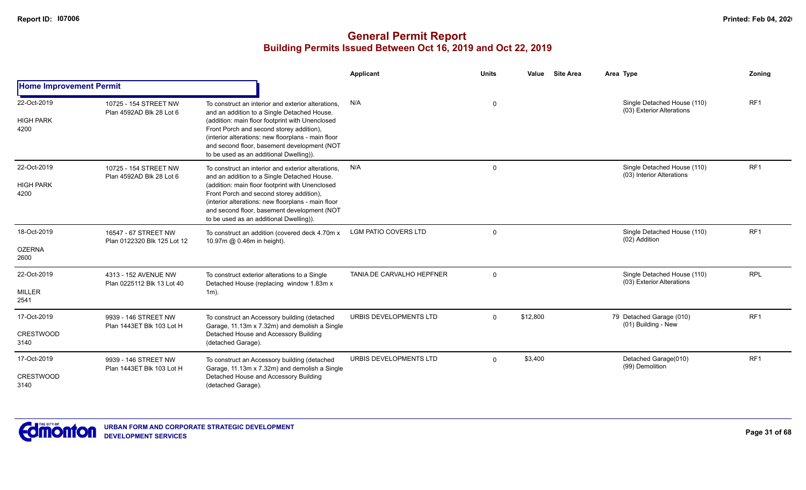|                                         |                                                     |                                                                                                                                                                                                                                                                                                                                                  | Applicant                   | <b>Units</b> | <b>Site Area</b><br>Value | Area Type                                                | Zoning          |
|-----------------------------------------|-----------------------------------------------------|--------------------------------------------------------------------------------------------------------------------------------------------------------------------------------------------------------------------------------------------------------------------------------------------------------------------------------------------------|-----------------------------|--------------|---------------------------|----------------------------------------------------------|-----------------|
| <b>Home Improvement Permit</b>          |                                                     |                                                                                                                                                                                                                                                                                                                                                  |                             |              |                           |                                                          |                 |
| 22-Oct-2019<br><b>HIGH PARK</b><br>4200 | 10725 - 154 STREET NW<br>Plan 4592AD Blk 28 Lot 6   | To construct an interior and exterior alterations.<br>and an addition to a Single Detached House.<br>(addition: main floor footprint with Unenclosed<br>Front Porch and second storey addition),<br>(interior alterations: new floorplans - main floor<br>and second floor, basement development (NOT<br>to be used as an additional Dwelling)). | N/A                         | $\Omega$     |                           | Single Detached House (110)<br>(03) Exterior Alterations | RF <sub>1</sub> |
| 22-Oct-2019<br><b>HIGH PARK</b><br>4200 | 10725 - 154 STREET NW<br>Plan 4592AD Blk 28 Lot 6   | To construct an interior and exterior alterations.<br>and an addition to a Single Detached House.<br>(addition: main floor footprint with Unenclosed<br>Front Porch and second storey addition),<br>(interior alterations: new floorplans - main floor<br>and second floor, basement development (NOT<br>to be used as an additional Dwelling)). | N/A                         | $\Omega$     |                           | Single Detached House (110)<br>(03) Interior Alterations | RF1             |
| 18-Oct-2019<br><b>OZERNA</b><br>2600    | 16547 - 67 STREET NW<br>Plan 0122320 Blk 125 Lot 12 | To construct an addition (covered deck 4.70m x<br>10.97m @ 0.46m in height).                                                                                                                                                                                                                                                                     | <b>LGM PATIO COVERS LTD</b> | $\Omega$     |                           | Single Detached House (110)<br>(02) Addition             | RF <sub>1</sub> |
| 22-Oct-2019<br><b>MILLER</b><br>2541    | 4313 - 152 AVENUE NW<br>Plan 0225112 Blk 13 Lot 40  | To construct exterior alterations to a Single<br>Detached House (replacing window 1.83m x<br>$1m$ ).                                                                                                                                                                                                                                             | TANIA DE CARVALHO HEPFNER   | $\Omega$     |                           | Single Detached House (110)<br>(03) Exterior Alterations | <b>RPL</b>      |
| 17-Oct-2019<br><b>CRESTWOOD</b><br>3140 | 9939 - 146 STREET NW<br>Plan 1443ET Blk 103 Lot H   | To construct an Accessory building (detached<br>Garage, 11.13m x 7.32m) and demolish a Single<br>Detached House and Accessory Building<br>(detached Garage).                                                                                                                                                                                     | URBIS DEVELOPMENTS LTD      | $\mathbf{0}$ | \$12,800                  | 79 Detached Garage (010)<br>(01) Building - New          | RF <sub>1</sub> |
| 17-Oct-2019<br><b>CRESTWOOD</b><br>3140 | 9939 - 146 STREET NW<br>Plan 1443ET Blk 103 Lot H   | To construct an Accessory building (detached<br>Garage, 11.13m x 7.32m) and demolish a Single<br>Detached House and Accessory Building<br>(detached Garage).                                                                                                                                                                                     | URBIS DEVELOPMENTS LTD      | $\Omega$     | \$3,400                   | Detached Garage(010)<br>(99) Demolition                  | RF <sub>1</sub> |

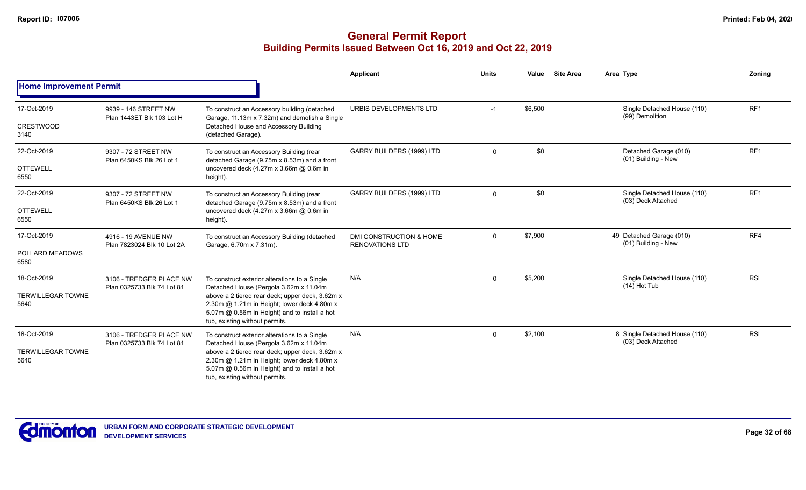|                                                 |                                                       |                                                                                                                                                                                                                                                                              | <b>Applicant</b>                                  | <b>Units</b> | <b>Site Area</b><br>Value | Area Type                                           | Zoning          |
|-------------------------------------------------|-------------------------------------------------------|------------------------------------------------------------------------------------------------------------------------------------------------------------------------------------------------------------------------------------------------------------------------------|---------------------------------------------------|--------------|---------------------------|-----------------------------------------------------|-----------------|
| <b>Home Improvement Permit</b>                  |                                                       |                                                                                                                                                                                                                                                                              |                                                   |              |                           |                                                     |                 |
| 17-Oct-2019<br><b>CRESTWOOD</b><br>3140         | 9939 - 146 STREET NW<br>Plan 1443ET Blk 103 Lot H     | To construct an Accessory building (detached<br>Garage, 11.13m x 7.32m) and demolish a Single<br>Detached House and Accessory Building<br>(detached Garage).                                                                                                                 | URBIS DEVELOPMENTS LTD                            | $-1$         | \$6,500                   | Single Detached House (110)<br>(99) Demolition      | RF <sub>1</sub> |
| 22-Oct-2019<br><b>OTTEWELL</b><br>6550          | 9307 - 72 STREET NW<br>Plan 6450KS Blk 26 Lot 1       | To construct an Accessory Building (rear<br>detached Garage (9.75m x 8.53m) and a front<br>uncovered deck (4.27m x 3.66m @ 0.6m in<br>height).                                                                                                                               | GARRY BUILDERS (1999) LTD                         | $\mathbf 0$  | \$0                       | Detached Garage (010)<br>(01) Building - New        | RF <sub>1</sub> |
| 22-Oct-2019<br><b>OTTEWELL</b><br>6550          | 9307 - 72 STREET NW<br>Plan 6450KS Blk 26 Lot 1       | To construct an Accessory Building (rear<br>detached Garage (9.75m x 8.53m) and a front<br>uncovered deck (4.27m x 3.66m @ 0.6m in<br>height).                                                                                                                               | GARRY BUILDERS (1999) LTD                         | $\Omega$     | \$0                       | Single Detached House (110)<br>(03) Deck Attached   | RF1             |
| 17-Oct-2019<br>POLLARD MEADOWS<br>6580          | 4916 - 19 AVENUE NW<br>Plan 7823024 Blk 10 Lot 2A     | To construct an Accessory Building (detached<br>Garage, 6.70m x 7.31m).                                                                                                                                                                                                      | DMI CONSTRUCTION & HOME<br><b>RENOVATIONS LTD</b> | $\mathbf 0$  | \$7,900                   | 49 Detached Garage (010)<br>(01) Building - New     | RF4             |
| 18-Oct-2019<br><b>TERWILLEGAR TOWNE</b><br>5640 | 3106 - TREDGER PLACE NW<br>Plan 0325733 Blk 74 Lot 81 | To construct exterior alterations to a Single<br>Detached House (Pergola 3.62m x 11.04m<br>above a 2 tiered rear deck; upper deck, 3.62m x<br>2.30m @ 1.21m in Height; lower deck 4.80m x<br>5.07m @ 0.56m in Height) and to install a hot<br>tub, existing without permits. | N/A                                               | $\mathbf 0$  | \$5,200                   | Single Detached House (110)<br>$(14)$ Hot Tub       | <b>RSL</b>      |
| 18-Oct-2019<br><b>TERWILLEGAR TOWNE</b><br>5640 | 3106 - TREDGER PLACE NW<br>Plan 0325733 Blk 74 Lot 81 | To construct exterior alterations to a Single<br>Detached House (Pergola 3.62m x 11.04m<br>above a 2 tiered rear deck; upper deck, 3.62m x<br>2.30m @ 1.21m in Height; lower deck 4.80m x<br>5.07m @ 0.56m in Height) and to install a hot<br>tub, existing without permits. | N/A                                               | $\Omega$     | \$2,100                   | 8 Single Detached House (110)<br>(03) Deck Attached | <b>RSL</b>      |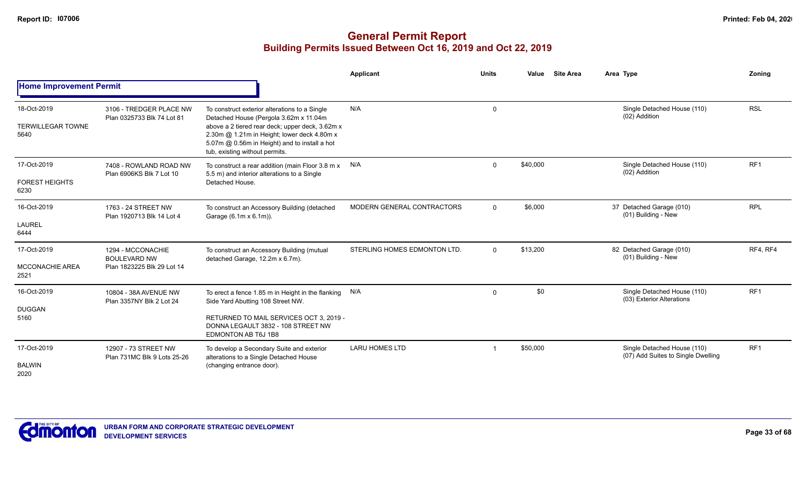|                                                 |                                                                        |                                                                                                                                                                                                                                                                              | Applicant                    | <b>Units</b> | <b>Site Area</b><br>Value | Area Type                                                         | Zoning          |
|-------------------------------------------------|------------------------------------------------------------------------|------------------------------------------------------------------------------------------------------------------------------------------------------------------------------------------------------------------------------------------------------------------------------|------------------------------|--------------|---------------------------|-------------------------------------------------------------------|-----------------|
| <b>Home Improvement Permit</b>                  |                                                                        |                                                                                                                                                                                                                                                                              |                              |              |                           |                                                                   |                 |
| 18-Oct-2019<br><b>TERWILLEGAR TOWNE</b><br>5640 | 3106 - TREDGER PLACE NW<br>Plan 0325733 Blk 74 Lot 81                  | To construct exterior alterations to a Single<br>Detached House (Pergola 3.62m x 11.04m<br>above a 2 tiered rear deck; upper deck, 3.62m x<br>2.30m @ 1.21m in Height; lower deck 4.80m x<br>5.07m @ 0.56m in Height) and to install a hot<br>tub, existing without permits. | N/A                          | $\mathbf 0$  |                           | Single Detached House (110)<br>(02) Addition                      | <b>RSL</b>      |
| 17-Oct-2019<br><b>FOREST HEIGHTS</b><br>6230    | 7408 - ROWLAND ROAD NW<br>Plan 6906KS Blk 7 Lot 10                     | To construct a rear addition (main Floor 3.8 m x<br>5.5 m) and interior alterations to a Single<br>Detached House.                                                                                                                                                           | N/A                          | $\Omega$     | \$40,000                  | Single Detached House (110)<br>(02) Addition                      | RF <sub>1</sub> |
| 16-Oct-2019<br>LAUREL<br>6444                   | 1763 - 24 STREET NW<br>Plan 1920713 Blk 14 Lot 4                       | To construct an Accessory Building (detached<br>Garage (6.1m x 6.1m)).                                                                                                                                                                                                       | MODERN GENERAL CONTRACTORS   | $\Omega$     | \$6,000                   | 37 Detached Garage (010)<br>(01) Building - New                   | <b>RPL</b>      |
| 17-Oct-2019<br><b>MCCONACHIE AREA</b><br>2521   | 1294 - MCCONACHIE<br><b>BOULEVARD NW</b><br>Plan 1823225 Blk 29 Lot 14 | To construct an Accessory Building (mutual<br>detached Garage, 12.2m x 6.7m).                                                                                                                                                                                                | STERLING HOMES EDMONTON LTD. | $\Omega$     | \$13,200                  | 82 Detached Garage (010)<br>(01) Building - New                   | RF4, RF4        |
| 16-Oct-2019<br><b>DUGGAN</b><br>5160            | 10804 - 38A AVENUE NW<br>Plan 3357NY Blk 2 Lot 24                      | To erect a fence 1.85 m in Height in the flanking N/A<br>Side Yard Abutting 108 Street NW.<br>RETURNED TO MAIL SERVICES OCT 3, 2019 -<br>DONNA LEGAULT 3832 - 108 STREET NW<br>EDMONTON AB T6J 1B8                                                                           |                              | $\Omega$     | \$0                       | Single Detached House (110)<br>(03) Exterior Alterations          | RF <sub>1</sub> |
| 17-Oct-2019<br><b>BALWIN</b><br>2020            | 12907 - 73 STREET NW<br>Plan 731MC Blk 9 Lots 25-26                    | To develop a Secondary Suite and exterior<br>alterations to a Single Detached House<br>(changing entrance door).                                                                                                                                                             | <b>LARU HOMES LTD</b>        |              | \$50,000                  | Single Detached House (110)<br>(07) Add Suites to Single Dwelling | RF <sub>1</sub> |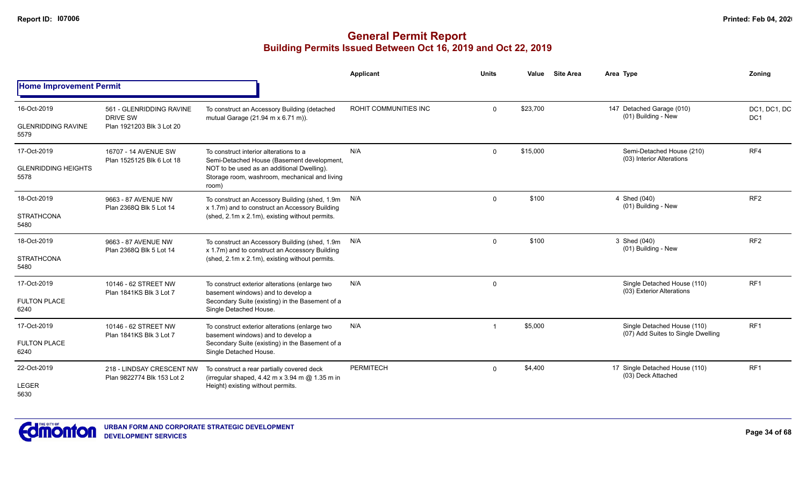|                                    |                                                         |                                                                                                                                                    | Applicant             | <b>Units</b> | Value    | <b>Site Area</b> | Area Type                                                         | Zoning                          |
|------------------------------------|---------------------------------------------------------|----------------------------------------------------------------------------------------------------------------------------------------------------|-----------------------|--------------|----------|------------------|-------------------------------------------------------------------|---------------------------------|
| <b>Home Improvement Permit</b>     |                                                         |                                                                                                                                                    |                       |              |          |                  |                                                                   |                                 |
| 16-Oct-2019                        | 561 - GLENRIDDING RAVINE<br>DRIVE SW                    | To construct an Accessory Building (detached<br>mutual Garage (21.94 m x 6.71 m)).                                                                 | ROHIT COMMUNITIES INC | $\Omega$     | \$23,700 |                  | 147 Detached Garage (010)<br>(01) Building - New                  | DC1, DC1, DC<br>DC <sub>1</sub> |
| <b>GLENRIDDING RAVINE</b><br>5579  | Plan 1921203 Blk 3 Lot 20                               |                                                                                                                                                    |                       |              |          |                  |                                                                   |                                 |
| 17-Oct-2019                        | 16707 - 14 AVENUE SW<br>Plan 1525125 Blk 6 Lot 18       | To construct interior alterations to a<br>Semi-Detached House (Basement development,                                                               | N/A                   | $\mathbf 0$  | \$15,000 |                  | Semi-Detached House (210)<br>(03) Interior Alterations            | RF4                             |
| <b>GLENRIDDING HEIGHTS</b><br>5578 |                                                         | NOT to be used as an additional Dwelling).<br>Storage room, washroom, mechanical and living<br>room)                                               |                       |              |          |                  |                                                                   |                                 |
| 18-Oct-2019                        | 9663 - 87 AVENUE NW<br>Plan 2368Q Blk 5 Lot 14          | To construct an Accessory Building (shed, 1.9m<br>x 1.7m) and to construct an Accessory Building                                                   | N/A                   | $\Omega$     | \$100    |                  | 4 Shed (040)<br>(01) Building - New                               | RF <sub>2</sub>                 |
| <b>STRATHCONA</b><br>5480          |                                                         | (shed, 2.1m x 2.1m), existing without permits.                                                                                                     |                       |              |          |                  |                                                                   |                                 |
| 18-Oct-2019                        | 9663 - 87 AVENUE NW<br>Plan 2368Q Blk 5 Lot 14          | To construct an Accessory Building (shed, 1.9m<br>x 1.7m) and to construct an Accessory Building<br>(shed, 2.1m x 2.1m), existing without permits. | N/A                   | $\Omega$     | \$100    |                  | 3 Shed (040)<br>(01) Building - New                               | RF <sub>2</sub>                 |
| <b>STRATHCONA</b><br>5480          |                                                         |                                                                                                                                                    |                       |              |          |                  |                                                                   |                                 |
| 17-Oct-2019                        | 10146 - 62 STREET NW<br>Plan 1841KS Blk 3 Lot 7         | To construct exterior alterations (enlarge two<br>basement windows) and to develop a                                                               | N/A                   | $\mathbf 0$  |          |                  | Single Detached House (110)<br>(03) Exterior Alterations          | RF <sub>1</sub>                 |
| <b>FULTON PLACE</b><br>6240        |                                                         | Secondary Suite (existing) in the Basement of a<br>Single Detached House.                                                                          |                       |              |          |                  |                                                                   |                                 |
| 17-Oct-2019                        | 10146 - 62 STREET NW<br>Plan 1841KS Blk 3 Lot 7         | To construct exterior alterations (enlarge two<br>basement windows) and to develop a                                                               | N/A                   |              | \$5,000  |                  | Single Detached House (110)<br>(07) Add Suites to Single Dwelling | RF1                             |
| <b>FULTON PLACE</b><br>6240        |                                                         | Secondary Suite (existing) in the Basement of a<br>Single Detached House.                                                                          |                       |              |          |                  |                                                                   |                                 |
| 22-Oct-2019                        | 218 - LINDSAY CRESCENT NW<br>Plan 9822774 Blk 153 Lot 2 | To construct a rear partially covered deck<br>(irregular shaped, 4.42 m x 3.94 m @ 1.35 m in                                                       | <b>PERMITECH</b>      | $\Omega$     | \$4,400  |                  | 17 Single Detached House (110)<br>(03) Deck Attached              | RF <sub>1</sub>                 |
| <b>LEGER</b><br>5630               |                                                         | Height) existing without permits.                                                                                                                  |                       |              |          |                  |                                                                   |                                 |

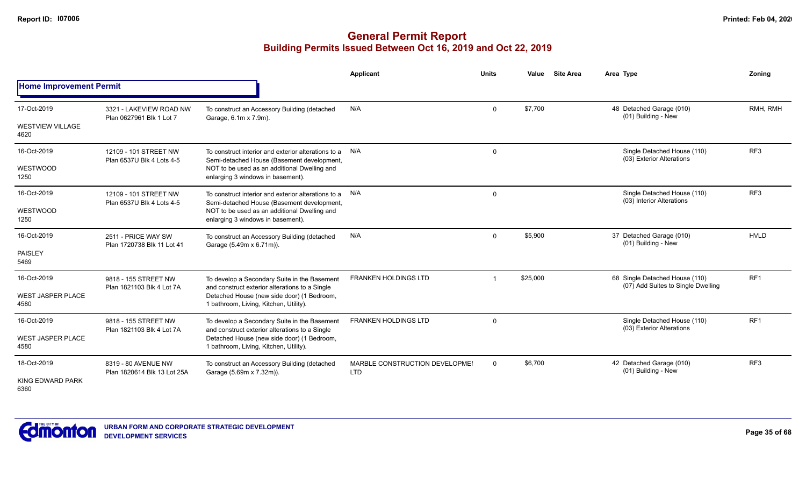|                                  |                                                     |                                                                                                   | <b>Applicant</b>                             | <b>Units</b> | Value    | <b>Site Area</b> | Area Type                                                            | Zonina          |
|----------------------------------|-----------------------------------------------------|---------------------------------------------------------------------------------------------------|----------------------------------------------|--------------|----------|------------------|----------------------------------------------------------------------|-----------------|
| <b>Home Improvement Permit</b>   |                                                     |                                                                                                   |                                              |              |          |                  |                                                                      |                 |
| 17-Oct-2019                      | 3321 - LAKEVIEW ROAD NW<br>Plan 0627961 Blk 1 Lot 7 | To construct an Accessory Building (detached<br>Garage, 6.1m x 7.9m).                             | N/A                                          | $\mathbf 0$  | \$7,700  |                  | 48 Detached Garage (010)<br>(01) Building - New                      | RMH, RMH        |
| <b>WESTVIEW VILLAGE</b><br>4620  |                                                     |                                                                                                   |                                              |              |          |                  |                                                                      |                 |
| 16-Oct-2019                      | 12109 - 101 STREET NW<br>Plan 6537U Blk 4 Lots 4-5  | To construct interior and exterior alterations to a<br>Semi-detached House (Basement development, | N/A                                          | $\mathbf 0$  |          |                  | Single Detached House (110)<br>(03) Exterior Alterations             | RF <sub>3</sub> |
| WESTWOOD<br>1250                 |                                                     | NOT to be used as an additional Dwelling and<br>enlarging 3 windows in basement).                 |                                              |              |          |                  |                                                                      |                 |
| 16-Oct-2019                      | 12109 - 101 STREET NW<br>Plan 6537U Blk 4 Lots 4-5  | To construct interior and exterior alterations to a<br>Semi-detached House (Basement development, | N/A                                          | $\mathbf 0$  |          |                  | Single Detached House (110)<br>(03) Interior Alterations             | RF <sub>3</sub> |
| WESTWOOD<br>1250                 |                                                     | NOT to be used as an additional Dwelling and<br>enlarging 3 windows in basement).                 |                                              |              |          |                  |                                                                      |                 |
| 16-Oct-2019                      | 2511 - PRICE WAY SW<br>Plan 1720738 Blk 11 Lot 41   | To construct an Accessory Building (detached<br>Garage (5.49m x 6.71m)).                          | N/A                                          | $\mathbf 0$  | \$5,900  |                  | 37 Detached Garage (010)<br>(01) Building - New                      | <b>HVLD</b>     |
| <b>PAISLEY</b><br>5469           |                                                     |                                                                                                   |                                              |              |          |                  |                                                                      |                 |
| 16-Oct-2019                      | 9818 - 155 STREET NW<br>Plan 1821103 Blk 4 Lot 7A   | To develop a Secondary Suite in the Basement<br>and construct exterior alterations to a Single    | <b>FRANKEN HOLDINGS LTD</b>                  |              | \$25,000 |                  | 68 Single Detached House (110)<br>(07) Add Suites to Single Dwelling | RF <sub>1</sub> |
| <b>WEST JASPER PLACE</b><br>4580 |                                                     | Detached House (new side door) (1 Bedroom,<br>1 bathroom, Living, Kitchen, Utility).              |                                              |              |          |                  |                                                                      |                 |
| 16-Oct-2019                      | 9818 - 155 STREET NW<br>Plan 1821103 Blk 4 Lot 7A   | To develop a Secondary Suite in the Basement<br>and construct exterior alterations to a Single    | <b>FRANKEN HOLDINGS LTD</b>                  | $\mathbf 0$  |          |                  | Single Detached House (110)<br>(03) Exterior Alterations             | RF <sub>1</sub> |
| <b>WEST JASPER PLACE</b><br>4580 |                                                     | Detached House (new side door) (1 Bedroom,<br>1 bathroom, Living, Kitchen, Utility).              |                                              |              |          |                  |                                                                      |                 |
| 18-Oct-2019                      | 8319 - 80 AVENUE NW<br>Plan 1820614 Blk 13 Lot 25A  | To construct an Accessory Building (detached<br>Garage (5.69m x 7.32m)).                          | MARBLE CONSTRUCTION DEVELOPMEI<br><b>LTD</b> | $\mathbf 0$  | \$6,700  |                  | 42 Detached Garage (010)<br>(01) Building - New                      | RF <sub>3</sub> |
| KING EDWARD PARK<br>6360         |                                                     |                                                                                                   |                                              |              |          |                  |                                                                      |                 |

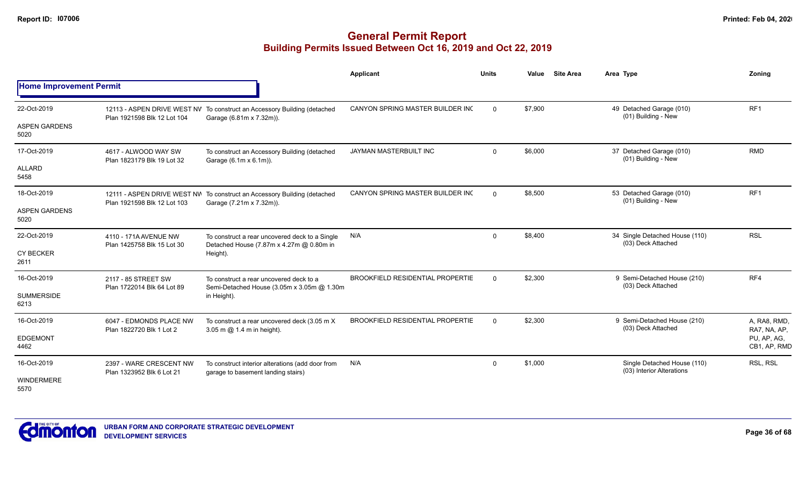|                                |                                                      |                                                                                                      | Applicant                               | <b>Units</b> | Value   | <b>Site Area</b> | Area Type                                                | <b>Zoning</b>                |
|--------------------------------|------------------------------------------------------|------------------------------------------------------------------------------------------------------|-----------------------------------------|--------------|---------|------------------|----------------------------------------------------------|------------------------------|
| <b>Home Improvement Permit</b> |                                                      |                                                                                                      |                                         |              |         |                  |                                                          |                              |
| 22-Oct-2019                    | Plan 1921598 Blk 12 Lot 104                          | 12113 - ASPEN DRIVE WEST NV To construct an Accessory Building (detached<br>Garage (6.81m x 7.32m)). | CANYON SPRING MASTER BUILDER INC        | $\Omega$     | \$7,900 |                  | 49 Detached Garage (010)<br>(01) Building - New          | RF <sub>1</sub>              |
| <b>ASPEN GARDENS</b><br>5020   |                                                      |                                                                                                      |                                         |              |         |                  |                                                          |                              |
| 17-Oct-2019                    | 4617 - ALWOOD WAY SW<br>Plan 1823179 Blk 19 Lot 32   | To construct an Accessory Building (detached<br>Garage (6.1m x 6.1m)).                               | JAYMAN MASTERBUILT INC                  | $\Omega$     | \$6,000 |                  | 37 Detached Garage (010)<br>(01) Building - New          | <b>RMD</b>                   |
| ALLARD<br>5458                 |                                                      |                                                                                                      |                                         |              |         |                  |                                                          |                              |
| 18-Oct-2019                    |                                                      | 12111 - ASPEN DRIVE WEST NW To construct an Accessory Building (detached                             | CANYON SPRING MASTER BUILDER INC        | $\Omega$     | \$8,500 |                  | 53 Detached Garage (010)<br>(01) Building - New          | RF <sub>1</sub>              |
| <b>ASPEN GARDENS</b><br>5020   | Plan 1921598 Blk 12 Lot 103                          | Garage (7.21m x 7.32m)).                                                                             |                                         |              |         |                  |                                                          |                              |
| 22-Oct-2019                    | 4110 - 171A AVENUE NW                                | To construct a rear uncovered deck to a Single<br>Detached House (7.87m x 4.27m @ 0.80m in           | N/A                                     | $\mathbf{0}$ | \$8,400 |                  | 34 Single Detached House (110)<br>(03) Deck Attached     | <b>RSL</b>                   |
| <b>CY BECKER</b><br>2611       | Plan 1425758 Blk 15 Lot 30                           | Height).                                                                                             |                                         |              |         |                  |                                                          |                              |
| 16-Oct-2019                    | 2117 - 85 STREET SW<br>Plan 1722014 Blk 64 Lot 89    | To construct a rear uncovered deck to a<br>Semi-Detached House (3.05m x 3.05m @ 1.30m                | <b>BROOKFIELD RESIDENTIAL PROPERTIE</b> | $\Omega$     | \$2,300 |                  | 9 Semi-Detached House (210)<br>(03) Deck Attached        | RF4                          |
| <b>SUMMERSIDE</b><br>6213      |                                                      | in Height).                                                                                          |                                         |              |         |                  |                                                          |                              |
| 16-Oct-2019                    | 6047 - EDMONDS PLACE NW<br>Plan 1822720 Blk 1 Lot 2  | To construct a rear uncovered deck (3.05 m X)                                                        | <b>BROOKFIELD RESIDENTIAL PROPERTIE</b> | $\Omega$     | \$2,300 |                  | 9 Semi-Detached House (210)<br>(03) Deck Attached        | A, RA8, RMD,<br>RA7, NA, AP, |
| <b>EDGEMONT</b><br>4462        |                                                      | 3.05 m @ 1.4 m in height).                                                                           |                                         |              |         |                  |                                                          | PU, AP, AG,<br>CB1, AP, RMD  |
| 16-Oct-2019                    | 2397 - WARE CRESCENT NW<br>Plan 1323952 Blk 6 Lot 21 | To construct interior alterations (add door from                                                     | N/A                                     | $\Omega$     | \$1,000 |                  | Single Detached House (110)<br>(03) Interior Alterations | RSL, RSL                     |
| WINDERMERE<br>5570             |                                                      | garage to basement landing stairs)                                                                   |                                         |              |         |                  |                                                          |                              |

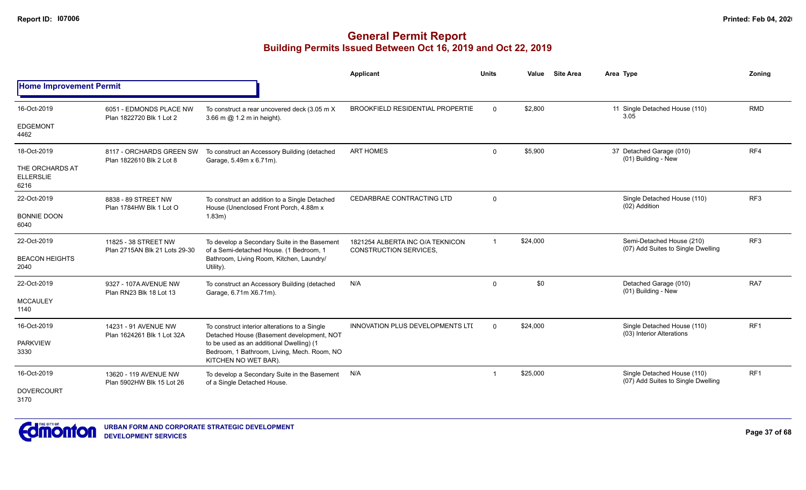|                                             |                                                       |                                                                                                                 | Applicant                                                         | <b>Units</b>   | Value    | <b>Site Area</b> | Area Type                                                         | <b>Zoning</b>   |
|---------------------------------------------|-------------------------------------------------------|-----------------------------------------------------------------------------------------------------------------|-------------------------------------------------------------------|----------------|----------|------------------|-------------------------------------------------------------------|-----------------|
| <b>Home Improvement Permit</b>              |                                                       |                                                                                                                 |                                                                   |                |          |                  |                                                                   |                 |
| 16-Oct-2019                                 | 6051 - EDMONDS PLACE NW<br>Plan 1822720 Blk 1 Lot 2   | To construct a rear uncovered deck (3.05 m X)<br>3.66 m @ 1.2 m in height).                                     | <b>BROOKFIELD RESIDENTIAL PROPERTIE</b>                           | $\Omega$       | \$2,800  |                  | 11 Single Detached House (110)<br>3.05                            | <b>RMD</b>      |
| <b>EDGEMONT</b><br>4462                     |                                                       |                                                                                                                 |                                                                   |                |          |                  |                                                                   |                 |
| 18-Oct-2019                                 | 8117 - ORCHARDS GREEN SW<br>Plan 1822610 Blk 2 Lot 8  | To construct an Accessory Building (detached<br>Garage, 5.49m x 6.71m).                                         | <b>ART HOMES</b>                                                  | $\Omega$       | \$5,900  |                  | 37 Detached Garage (010)<br>(01) Building - New                   | RF4             |
| THE ORCHARDS AT<br><b>ELLERSLIE</b><br>6216 |                                                       |                                                                                                                 |                                                                   |                |          |                  |                                                                   |                 |
| 22-Oct-2019                                 | 8838 - 89 STREET NW<br>Plan 1784HW Blk 1 Lot O        | To construct an addition to a Single Detached<br>House (Unenclosed Front Porch, 4.88m x                         | CEDARBRAE CONTRACTING LTD                                         | $\mathbf 0$    |          |                  | Single Detached House (110)<br>(02) Addition                      | RF <sub>3</sub> |
| <b>BONNIE DOON</b><br>6040                  |                                                       | 1.83m)                                                                                                          |                                                                   |                |          |                  |                                                                   |                 |
| 22-Oct-2019                                 | 11825 - 38 STREET NW<br>Plan 2715AN Blk 21 Lots 29-30 | To develop a Secondary Suite in the Basement<br>of a Semi-detached House. (1 Bedroom, 1                         | 1821254 ALBERTA INC O/A TEKNICON<br><b>CONSTRUCTION SERVICES,</b> | $\overline{1}$ | \$24,000 |                  | Semi-Detached House (210)<br>(07) Add Suites to Single Dwelling   | RF <sub>3</sub> |
| <b>BEACON HEIGHTS</b><br>2040               |                                                       | Bathroom, Living Room, Kitchen, Laundry/<br>Utility).                                                           |                                                                   |                |          |                  |                                                                   |                 |
| 22-Oct-2019                                 | 9327 - 107A AVENUE NW<br>Plan RN23 Blk 18 Lot 13      | To construct an Accessory Building (detached<br>Garage, 6.71m X6.71m).                                          | N/A                                                               | $\Omega$       | \$0      |                  | Detached Garage (010)<br>(01) Building - New                      | RA7             |
| <b>MCCAULEY</b><br>1140                     |                                                       |                                                                                                                 |                                                                   |                |          |                  |                                                                   |                 |
| 16-Oct-2019                                 | 14231 - 91 AVENUE NW<br>Plan 1624261 Blk 1 Lot 32A    | To construct interior alterations to a Single<br>Detached House (Basement development, NOT                      | <b>INNOVATION PLUS DEVELOPMENTS LTL</b>                           | $\Omega$       | \$24,000 |                  | Single Detached House (110)<br>(03) Interior Alterations          | RF <sub>1</sub> |
| <b>PARKVIEW</b><br>3330                     |                                                       | to be used as an additional Dwelling) (1<br>Bedroom, 1 Bathroom, Living, Mech. Room, NO<br>KITCHEN NO WET BAR). |                                                                   |                |          |                  |                                                                   |                 |
| 16-Oct-2019                                 | 13620 - 119 AVENUE NW<br>Plan 5902HW Blk 15 Lot 26    | To develop a Secondary Suite in the Basement<br>of a Single Detached House.                                     | N/A                                                               | -1             | \$25,000 |                  | Single Detached House (110)<br>(07) Add Suites to Single Dwelling | RF1             |
| <b>DOVERCOURT</b><br>3170                   |                                                       |                                                                                                                 |                                                                   |                |          |                  |                                                                   |                 |

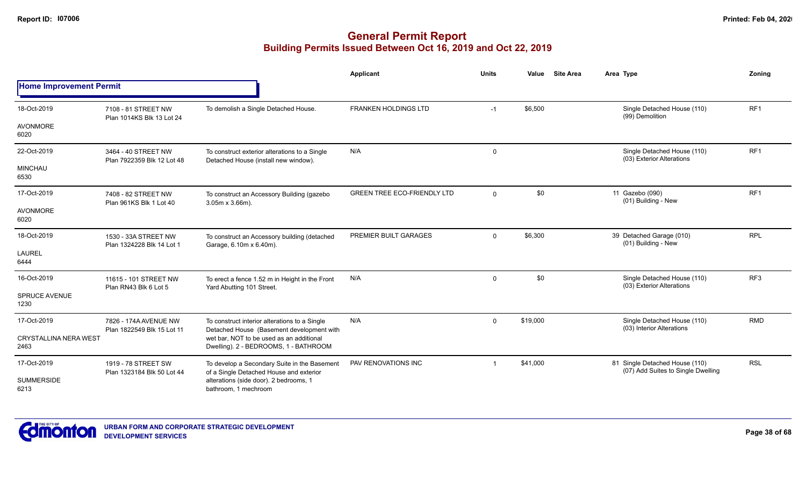|                                      |                                                     |                                                                                                                | Applicant                          | <b>Units</b> | <b>Site Area</b><br>Value | Area Type                                                            | Zoning          |
|--------------------------------------|-----------------------------------------------------|----------------------------------------------------------------------------------------------------------------|------------------------------------|--------------|---------------------------|----------------------------------------------------------------------|-----------------|
| <b>Home Improvement Permit</b>       |                                                     |                                                                                                                |                                    |              |                           |                                                                      |                 |
| 18-Oct-2019                          | 7108 - 81 STREET NW<br>Plan 1014KS Blk 13 Lot 24    | To demolish a Single Detached House.                                                                           | FRANKEN HOLDINGS LTD               | $-1$         | \$6,500                   | Single Detached House (110)<br>(99) Demolition                       | RF <sub>1</sub> |
| <b>AVONMORE</b><br>6020              |                                                     |                                                                                                                |                                    |              |                           |                                                                      |                 |
| 22-Oct-2019                          | 3464 - 40 STREET NW<br>Plan 7922359 Blk 12 Lot 48   | To construct exterior alterations to a Single<br>Detached House (install new window).                          | N/A                                | 0            |                           | Single Detached House (110)<br>(03) Exterior Alterations             | RF <sub>1</sub> |
| <b>MINCHAU</b><br>6530               |                                                     |                                                                                                                |                                    |              |                           |                                                                      |                 |
| 17-Oct-2019                          | 7408 - 82 STREET NW<br>Plan 961KS Blk 1 Lot 40      | To construct an Accessory Building (gazebo<br>$3.05m \times 3.66m$ ).                                          | <b>GREEN TREE ECO-FRIENDLY LTD</b> | $\Omega$     | \$0                       | 11 Gazebo (090)<br>(01) Building - New                               | RF <sub>1</sub> |
| <b>AVONMORE</b><br>6020              |                                                     |                                                                                                                |                                    |              |                           |                                                                      |                 |
| 18-Oct-2019                          | 1530 - 33A STREET NW<br>Plan 1324228 Blk 14 Lot 1   | To construct an Accessory building (detached<br>Garage, 6.10m x 6.40m).                                        | PREMIER BUILT GARAGES              | $\Omega$     | \$6,300                   | 39 Detached Garage (010)<br>(01) Building - New                      | <b>RPL</b>      |
| <b>LAUREL</b><br>6444                |                                                     |                                                                                                                |                                    |              |                           |                                                                      |                 |
| 16-Oct-2019                          | 11615 - 101 STREET NW<br>Plan RN43 Blk 6 Lot 5      | To erect a fence 1.52 m in Height in the Front<br>Yard Abutting 101 Street.                                    | N/A                                | 0            | \$0                       | Single Detached House (110)<br>(03) Exterior Alterations             | RF3             |
| <b>SPRUCE AVENUE</b><br>1230         |                                                     |                                                                                                                |                                    |              |                           |                                                                      |                 |
| 17-Oct-2019                          | 7826 - 174A AVENUE NW<br>Plan 1822549 Blk 15 Lot 11 | To construct interior alterations to a Single<br>Detached House (Basement development with                     | N/A                                | $\Omega$     | \$19,000                  | Single Detached House (110)<br>(03) Interior Alterations             | <b>RMD</b>      |
| <b>CRYSTALLINA NERA WEST</b><br>2463 |                                                     | wet bar. NOT to be used as an additional<br>Dwelling). 2 - BEDROOMS, 1 - BATHROOM                              |                                    |              |                           |                                                                      |                 |
| 17-Oct-2019                          | 1919 - 78 STREET SW<br>Plan 1323184 Blk 50 Lot 44   | PAV RENOVATIONS INC<br>To develop a Secondary Suite in the Basement<br>of a Single Detached House and exterior |                                    |              | \$41,000                  | 81 Single Detached House (110)<br>(07) Add Suites to Single Dwelling | <b>RSL</b>      |
| <b>SUMMERSIDE</b><br>6213            |                                                     | alterations (side door). 2 bedrooms, 1<br>bathroom. 1 mechroom                                                 |                                    |              |                           |                                                                      |                 |

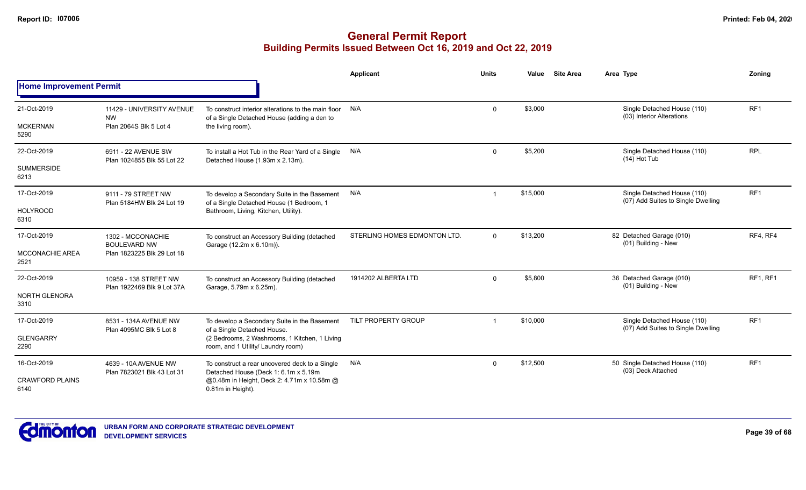|                                               |                                                                        |                                                                                                                                                                    | <b>Applicant</b>             | <b>Units</b> | Value    | <b>Site Area</b> | Area Type                                                         | Zoning          |
|-----------------------------------------------|------------------------------------------------------------------------|--------------------------------------------------------------------------------------------------------------------------------------------------------------------|------------------------------|--------------|----------|------------------|-------------------------------------------------------------------|-----------------|
| <b>Home Improvement Permit</b>                |                                                                        |                                                                                                                                                                    |                              |              |          |                  |                                                                   |                 |
| 21-Oct-2019<br><b>MCKERNAN</b><br>5290        | 11429 - UNIVERSITY AVENUE<br><b>NW</b><br>Plan 2064S Blk 5 Lot 4       | To construct interior alterations to the main floor<br>of a Single Detached House (adding a den to<br>the living room).                                            | N/A                          | $\Omega$     | \$3,000  |                  | Single Detached House (110)<br>(03) Interior Alterations          | RF <sub>1</sub> |
| 22-Oct-2019<br><b>SUMMERSIDE</b><br>6213      | 6911 - 22 AVENUE SW<br>Plan 1024855 Blk 55 Lot 22                      | To install a Hot Tub in the Rear Yard of a Single N/A<br>Detached House (1.93m x 2.13m).                                                                           |                              | $\mathbf 0$  | \$5,200  |                  | Single Detached House (110)<br>$(14)$ Hot Tub                     | <b>RPL</b>      |
| 17-Oct-2019<br><b>HOLYROOD</b><br>6310        | 9111 - 79 STREET NW<br>Plan 5184HW Blk 24 Lot 19                       | To develop a Secondary Suite in the Basement<br>of a Single Detached House (1 Bedroom, 1<br>Bathroom, Living, Kitchen, Utility).                                   | N/A                          |              | \$15,000 |                  | Single Detached House (110)<br>(07) Add Suites to Single Dwelling | RF <sub>1</sub> |
| 17-Oct-2019<br><b>MCCONACHIE AREA</b><br>2521 | 1302 - MCCONACHIE<br><b>BOULEVARD NW</b><br>Plan 1823225 Blk 29 Lot 18 | To construct an Accessory Building (detached<br>Garage (12.2m x 6.10m)).                                                                                           | STERLING HOMES EDMONTON LTD. | $\Omega$     | \$13,200 |                  | 82 Detached Garage (010)<br>(01) Building - New                   | RF4, RF4        |
| 22-Oct-2019<br>NORTH GLENORA<br>3310          | 10959 - 138 STREET NW<br>Plan 1922469 Blk 9 Lot 37A                    | To construct an Accessory Building (detached<br>Garage, 5.79m x 6.25m).                                                                                            | 1914202 ALBERTA LTD          | $\Omega$     | \$5,800  |                  | 36 Detached Garage (010)<br>(01) Building - New                   | <b>RF1. RF1</b> |
| 17-Oct-2019<br><b>GLENGARRY</b><br>2290       | 8531 - 134A AVENUE NW<br>Plan 4095MC Blk 5 Lot 8                       | To develop a Secondary Suite in the Basement<br>of a Single Detached House.<br>(2 Bedrooms, 2 Washrooms, 1 Kitchen, 1 Living<br>room, and 1 Utility/ Laundry room) | TILT PROPERTY GROUP          |              | \$10,000 |                  | Single Detached House (110)<br>(07) Add Suites to Single Dwelling | RF <sub>1</sub> |
| 16-Oct-2019<br><b>CRAWFORD PLAINS</b><br>6140 | 4639 - 10A AVENUE NW<br>Plan 7823021 Blk 43 Lot 31                     | To construct a rear uncovered deck to a Single<br>Detached House (Deck 1: 6.1m x 5.19m<br>@0.48m in Height, Deck 2: 4.71m x 10.58m @<br>0.81m in Height).          | N/A                          | $\Omega$     | \$12,500 |                  | 50 Single Detached House (110)<br>(03) Deck Attached              | RF1             |

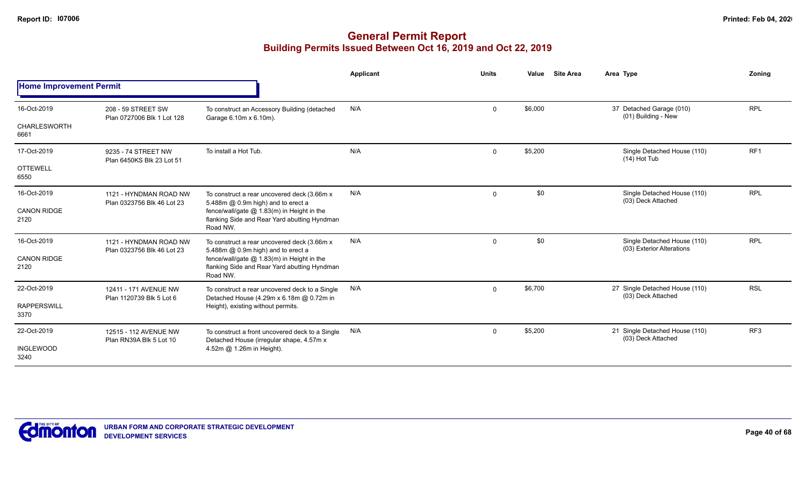|                                |                                                      |                                                                                                        | Applicant | <b>Units</b>   | Value   | <b>Site Area</b> | Area Type                                                              | Zoning          |
|--------------------------------|------------------------------------------------------|--------------------------------------------------------------------------------------------------------|-----------|----------------|---------|------------------|------------------------------------------------------------------------|-----------------|
| <b>Home Improvement Permit</b> |                                                      |                                                                                                        |           |                |         |                  |                                                                        |                 |
| 16-Oct-2019                    | 208 - 59 STREET SW<br>Plan 0727006 Blk 1 Lot 128     | To construct an Accessory Building (detached<br>Garage 6.10m x 6.10m).                                 | N/A       | $\mathbf 0$    | \$6,000 |                  | 37 Detached Garage (010)<br>(01) Building - New                        | <b>RPL</b>      |
| <b>CHARLESWORTH</b><br>6661    |                                                      |                                                                                                        |           |                |         |                  |                                                                        |                 |
| 17-Oct-2019                    | 9235 - 74 STREET NW<br>Plan 6450KS Blk 23 Lot 51     | To install a Hot Tub.                                                                                  | N/A       | $\Omega$       | \$5,200 |                  | Single Detached House (110)<br>$(14)$ Hot Tub                          | RF1             |
| <b>OTTEWELL</b><br>6550        |                                                      |                                                                                                        |           |                |         |                  |                                                                        |                 |
| 16-Oct-2019                    | 1121 - HYNDMAN ROAD NW<br>Plan 0323756 Blk 46 Lot 23 | To construct a rear uncovered deck (3.66m x<br>5.488m @ 0.9m high) and to erect a                      | N/A       | $\mathbf 0$    | \$0     |                  | Single Detached House (110)<br>(03) Deck Attached                      | <b>RPL</b>      |
| <b>CANON RIDGE</b><br>2120     |                                                      | fence/wall/gate @ 1.83(m) in Height in the<br>flanking Side and Rear Yard abutting Hyndman<br>Road NW. |           |                |         |                  | Single Detached House (110)<br><b>RPL</b><br>(03) Exterior Alterations |                 |
| 16-Oct-2019                    | 1121 - HYNDMAN ROAD NW<br>Plan 0323756 Blk 46 Lot 23 | To construct a rear uncovered deck (3.66m x<br>5.488m @ 0.9m high) and to erect a                      | N/A       | $\overline{0}$ | \$0     |                  |                                                                        |                 |
| <b>CANON RIDGE</b><br>2120     |                                                      | fence/wall/gate @ 1.83(m) in Height in the<br>flanking Side and Rear Yard abutting Hyndman<br>Road NW. |           |                |         |                  |                                                                        |                 |
| 22-Oct-2019                    | 12411 - 171 AVENUE NW                                | To construct a rear uncovered deck to a Single<br>Detached House (4.29m x 6.18m @ 0.72m in             | N/A       | $\Omega$       | \$6,700 |                  | 27 Single Detached House (110)<br>(03) Deck Attached                   | <b>RSL</b>      |
| <b>RAPPERSWILL</b><br>3370     | Plan 1120739 Blk 5 Lot 6                             | Height), existing without permits.                                                                     |           |                |         |                  |                                                                        |                 |
| 22-Oct-2019                    | 12515 - 112 AVENUE NW<br>Plan RN39A Blk 5 Lot 10     | To construct a front uncovered deck to a Single<br>Detached House (irregular shape, 4.57m x            | N/A       | $\mathbf 0$    | \$5,200 |                  | 21 Single Detached House (110)<br>(03) Deck Attached                   | RF <sub>3</sub> |
| <b>INGLEWOOD</b><br>3240       |                                                      | 4.52m @ 1.26m in Height).                                                                              |           |                |         |                  |                                                                        |                 |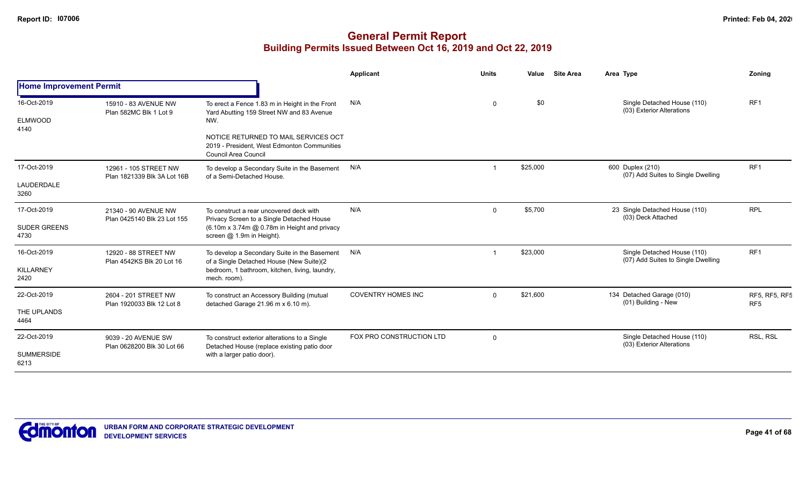|                                       |                                                      |                                                                                                                    | <b>Applicant</b>          | <b>Units</b> | Value    | <b>Site Area</b> | Area Type                                                         | Zoning                           |
|---------------------------------------|------------------------------------------------------|--------------------------------------------------------------------------------------------------------------------|---------------------------|--------------|----------|------------------|-------------------------------------------------------------------|----------------------------------|
| <b>Home Improvement Permit</b>        |                                                      |                                                                                                                    |                           |              |          |                  |                                                                   |                                  |
| 16-Oct-2019<br><b>ELMWOOD</b><br>4140 | 15910 - 83 AVENUE NW<br>Plan 582MC Blk 1 Lot 9       | To erect a Fence 1.83 m in Height in the Front<br>Yard Abutting 159 Street NW and 83 Avenue<br>NW.                 | N/A                       | $\mathbf{0}$ | \$0      |                  | Single Detached House (110)<br>(03) Exterior Alterations          | RF <sub>1</sub>                  |
|                                       |                                                      | NOTICE RETURNED TO MAIL SERVICES OCT<br>2019 - President. West Edmonton Communities<br><b>Council Area Council</b> |                           |              |          |                  |                                                                   |                                  |
| 17-Oct-2019                           | 12961 - 105 STREET NW<br>Plan 1821339 Blk 3A Lot 16B | To develop a Secondary Suite in the Basement<br>of a Semi-Detached House.                                          | N/A                       |              | \$25,000 |                  | 600 Duplex (210)<br>(07) Add Suites to Single Dwelling            | RF <sub>1</sub>                  |
| LAUDERDALE<br>3260                    |                                                      |                                                                                                                    |                           |              |          |                  |                                                                   |                                  |
| 17-Oct-2019                           | 21340 - 90 AVENUE NW<br>Plan 0425140 Blk 23 Lot 155  | To construct a rear uncovered deck with<br>Privacy Screen to a Single Detached House                               | N/A                       | $\Omega$     | \$5,700  |                  | 23 Single Detached House (110)<br>(03) Deck Attached              | <b>RPL</b>                       |
| <b>SUDER GREENS</b><br>4730           |                                                      | (6.10m x 3.74m @ 0.78m in Height and privacy<br>screen @ 1.9m in Height).                                          |                           |              |          |                  |                                                                   |                                  |
| 16-Oct-2019                           | 12920 - 88 STREET NW<br>Plan 4542KS Blk 20 Lot 16    | To develop a Secondary Suite in the Basement<br>of a Single Detached House (New Suite)(2                           | N/A                       |              | \$23,000 |                  | Single Detached House (110)<br>(07) Add Suites to Single Dwelling | RF <sub>1</sub>                  |
| <b>KILLARNEY</b><br>2420              |                                                      | bedroom, 1 bathroom, kitchen, living, laundry,<br>mech. room).                                                     |                           |              |          |                  |                                                                   |                                  |
| 22-Oct-2019                           | 2604 - 201 STREET NW                                 | To construct an Accessory Building (mutual<br>detached Garage 21.96 m x 6.10 m).                                   | <b>COVENTRY HOMES INC</b> | $\Omega$     | \$21,600 |                  | 134 Detached Garage (010)<br>(01) Building - New                  | RF5, RF5, RF5<br>RF <sub>5</sub> |
| THE UPLANDS<br>4464                   | Plan 1920033 Blk 12 Lot 8                            |                                                                                                                    |                           |              |          |                  |                                                                   |                                  |
| 22-Oct-2019                           | 9039 - 20 AVENUE SW<br>Plan 0628200 Blk 30 Lot 66    | To construct exterior alterations to a Single                                                                      | FOX PRO CONSTRUCTION LTD  | $\Omega$     |          |                  | Single Detached House (110)<br>(03) Exterior Alterations          | RSL, RSL                         |
| <b>SUMMERSIDE</b><br>6213             |                                                      | Detached House (replace existing patio door<br>with a larger patio door).                                          |                           |              |          |                  |                                                                   |                                  |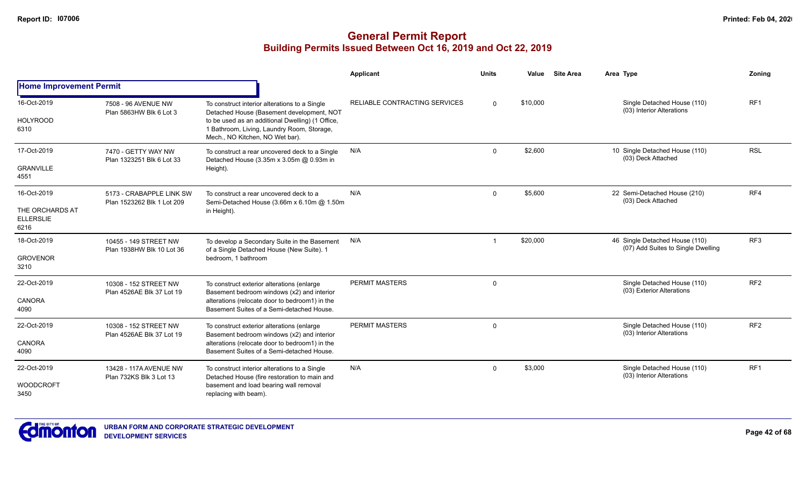|                                             |                                                        |                                                                                                                                   | Applicant                            | <b>Units</b> | Value    | <b>Site Area</b> | Area Type                                                            | <b>Zoning</b>   |
|---------------------------------------------|--------------------------------------------------------|-----------------------------------------------------------------------------------------------------------------------------------|--------------------------------------|--------------|----------|------------------|----------------------------------------------------------------------|-----------------|
| <b>Home Improvement Permit</b>              |                                                        |                                                                                                                                   |                                      |              |          |                  |                                                                      |                 |
| 16-Oct-2019                                 | 7508 - 96 AVENUE NW<br>Plan 5863HW Blk 6 Lot 3         | To construct interior alterations to a Single<br>Detached House (Basement development, NOT                                        | <b>RELIABLE CONTRACTING SERVICES</b> | $\Omega$     | \$10,000 |                  | Single Detached House (110)<br>(03) Interior Alterations             | RF <sub>1</sub> |
| <b>HOLYROOD</b><br>6310                     |                                                        | to be used as an additional Dwelling) (1 Office,<br>1 Bathroom, Living, Laundry Room, Storage,<br>Mech., NO Kitchen, NO Wet bar). |                                      |              |          |                  |                                                                      |                 |
| 17-Oct-2019                                 | 7470 - GETTY WAY NW<br>Plan 1323251 Blk 6 Lot 33       | To construct a rear uncovered deck to a Single<br>Detached House (3.35m x 3.05m @ 0.93m in                                        | N/A                                  | $\Omega$     | \$2,600  |                  | 10 Single Detached House (110)<br>(03) Deck Attached                 | <b>RSL</b>      |
| <b>GRANVILLE</b><br>4551                    |                                                        | Height).                                                                                                                          |                                      |              |          |                  |                                                                      |                 |
| 16-Oct-2019                                 | 5173 - CRABAPPLE LINK SW<br>Plan 1523262 Blk 1 Lot 209 | To construct a rear uncovered deck to a<br>Semi-Detached House (3.66m x 6.10m @ 1.50m                                             | N/A                                  | $\Omega$     | \$5,600  |                  | 22 Semi-Detached House (210)<br>(03) Deck Attached                   | RF4             |
| THE ORCHARDS AT<br><b>ELLERSLIE</b><br>6216 |                                                        | in Height).                                                                                                                       |                                      |              |          |                  |                                                                      |                 |
| 18-Oct-2019                                 | 10455 - 149 STREET NW<br>Plan 1938HW Blk 10 Lot 36     | To develop a Secondary Suite in the Basement<br>of a Single Detached House (New Suite). 1                                         | N/A                                  |              | \$20,000 |                  | 46 Single Detached House (110)<br>(07) Add Suites to Single Dwelling | RF <sub>3</sub> |
| <b>GROVENOR</b><br>3210                     |                                                        | bedroom, 1 bathroom                                                                                                               |                                      |              |          |                  |                                                                      |                 |
| 22-Oct-2019                                 | 10308 - 152 STREET NW<br>Plan 4526AE Blk 37 Lot 19     | To construct exterior alterations (enlarge<br>Basement bedroom windows (x2) and interior                                          | PERMIT MASTERS                       | $\mathbf 0$  |          |                  | Single Detached House (110)<br>(03) Exterior Alterations             | RF <sub>2</sub> |
| <b>CANORA</b><br>4090                       |                                                        | alterations (relocate door to bedroom1) in the<br>Basement Suites of a Semi-detached House.                                       |                                      |              |          |                  |                                                                      |                 |
| 22-Oct-2019                                 | 10308 - 152 STREET NW<br>Plan 4526AE Blk 37 Lot 19     | To construct exterior alterations (enlarge<br>Basement bedroom windows (x2) and interior                                          | PERMIT MASTERS                       | $\mathbf 0$  |          |                  | Single Detached House (110)<br>(03) Interior Alterations             | RF <sub>2</sub> |
| <b>CANORA</b><br>4090                       |                                                        | alterations (relocate door to bedroom1) in the<br>Basement Suites of a Semi-detached House.                                       |                                      |              |          |                  |                                                                      |                 |
| 22-Oct-2019                                 | 13428 - 117A AVENUE NW<br>Plan 732KS Blk 3 Lot 13      | To construct interior alterations to a Single<br>Detached House (fire restoration to main and                                     | N/A                                  | $\Omega$     | \$3,000  |                  | Single Detached House (110)<br>(03) Interior Alterations             | RF <sub>1</sub> |
| <b>WOODCROFT</b><br>3450                    |                                                        | basement and load bearing wall removal<br>replacing with beam).                                                                   |                                      |              |          |                  |                                                                      |                 |

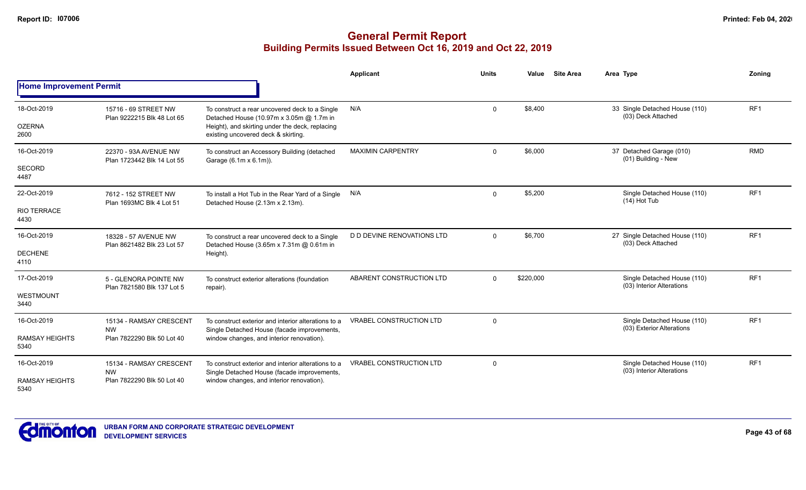|                                              |                                                                    |                                                                                                                                                                                      | <b>Applicant</b>                  | <b>Units</b> | Value     | <b>Site Area</b> | Area Type                                                | Zoning          |
|----------------------------------------------|--------------------------------------------------------------------|--------------------------------------------------------------------------------------------------------------------------------------------------------------------------------------|-----------------------------------|--------------|-----------|------------------|----------------------------------------------------------|-----------------|
| <b>Home Improvement Permit</b>               |                                                                    |                                                                                                                                                                                      |                                   |              |           |                  |                                                          |                 |
| 18-Oct-2019<br><b>OZERNA</b><br>2600         | 15716 - 69 STREET NW<br>Plan 9222215 Blk 48 Lot 65                 | To construct a rear uncovered deck to a Single<br>Detached House (10.97m x 3.05m @ 1.7m in<br>Height), and skirting under the deck, replacing<br>existing uncovered deck & skirting. | N/A                               | $\Omega$     | \$8,400   |                  | 33 Single Detached House (110)<br>(03) Deck Attached     | RF1             |
| 16-Oct-2019<br>SECORD<br>4487                | 22370 - 93A AVENUE NW<br>Plan 1723442 Blk 14 Lot 55                | To construct an Accessory Building (detached<br>Garage (6.1m x 6.1m)).                                                                                                               | <b>MAXIMIN CARPENTRY</b>          | $\Omega$     | \$6,000   |                  | 37 Detached Garage (010)<br>(01) Building - New          | <b>RMD</b>      |
| 22-Oct-2019<br><b>RIO TERRACE</b><br>4430    | 7612 - 152 STREET NW<br>Plan 1693MC Blk 4 Lot 51                   | To install a Hot Tub in the Rear Yard of a Single N/A<br>Detached House (2.13m x 2.13m).                                                                                             |                                   | $\mathbf 0$  | \$5,200   |                  | Single Detached House (110)<br>$(14)$ Hot Tub            | RF1             |
| 16-Oct-2019<br><b>DECHENE</b><br>4110        | 18328 - 57 AVENUE NW<br>Plan 8621482 Blk 23 Lot 57                 | To construct a rear uncovered deck to a Single<br>Detached House (3.65m x 7.31m @ 0.61m in<br>Height).                                                                               | <b>D D DEVINE RENOVATIONS LTD</b> | $\Omega$     | \$6,700   |                  | 27 Single Detached House (110)<br>(03) Deck Attached     | RF <sub>1</sub> |
| 17-Oct-2019<br>WESTMOUNT<br>3440             | 5 - GLENORA POINTE NW<br>Plan 7821580 Blk 137 Lot 5                | To construct exterior alterations (foundation<br>repair).                                                                                                                            | ABARENT CONSTRUCTION LTD          | $\Omega$     | \$220,000 |                  | Single Detached House (110)<br>(03) Interior Alterations | RF <sub>1</sub> |
| 16-Oct-2019<br><b>RAMSAY HEIGHTS</b><br>5340 | 15134 - RAMSAY CRESCENT<br><b>NW</b><br>Plan 7822290 Blk 50 Lot 40 | To construct exterior and interior alterations to a<br>Single Detached House (facade improvements,<br>window changes, and interior renovation).                                      | <b>VRABEL CONSTRUCTION LTD</b>    | $\Omega$     |           |                  | Single Detached House (110)<br>(03) Exterior Alterations | RF <sub>1</sub> |
| 16-Oct-2019<br><b>RAMSAY HEIGHTS</b><br>5340 | 15134 - RAMSAY CRESCENT<br><b>NW</b><br>Plan 7822290 Blk 50 Lot 40 | To construct exterior and interior alterations to a<br>Single Detached House (facade improvements,<br>window changes, and interior renovation).                                      | <b>VRABEL CONSTRUCTION LTD</b>    | $\Omega$     |           |                  | Single Detached House (110)<br>(03) Interior Alterations | RF <sub>1</sub> |

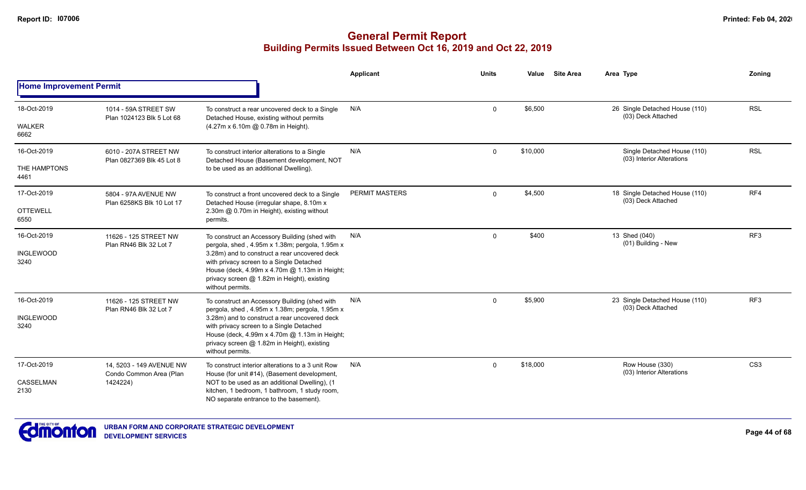|                                |                                                                                                                                                          |                                                                                                                                                                                                               | Applicant             | Units        | Value    | <b>Site Area</b>                             | Area Type                                                | Zoning          |
|--------------------------------|----------------------------------------------------------------------------------------------------------------------------------------------------------|---------------------------------------------------------------------------------------------------------------------------------------------------------------------------------------------------------------|-----------------------|--------------|----------|----------------------------------------------|----------------------------------------------------------|-----------------|
| <b>Home Improvement Permit</b> |                                                                                                                                                          |                                                                                                                                                                                                               |                       |              |          |                                              |                                                          |                 |
| 18-Oct-2019                    | 1014 - 59A STREET SW<br>Plan 1024123 Blk 5 Lot 68                                                                                                        | To construct a rear uncovered deck to a Single<br>Detached House, existing without permits                                                                                                                    | N/A                   | $\Omega$     | \$6,500  |                                              | 26 Single Detached House (110)<br>(03) Deck Attached     | <b>RSL</b>      |
| WALKER<br>6662                 |                                                                                                                                                          | (4.27m x 6.10m @ 0.78m in Height).                                                                                                                                                                            |                       |              |          |                                              |                                                          |                 |
| 16-Oct-2019                    | 6010 - 207A STREET NW<br>Plan 0827369 Blk 45 Lot 8                                                                                                       | To construct interior alterations to a Single<br>Detached House (Basement development, NOT                                                                                                                    | N/A                   | 0            | \$10,000 |                                              | Single Detached House (110)<br>(03) Interior Alterations | <b>RSL</b>      |
| THE HAMPTONS<br>4461           |                                                                                                                                                          | to be used as an additional Dwelling).                                                                                                                                                                        |                       |              |          |                                              |                                                          |                 |
| 17-Oct-2019                    | 5804 - 97A AVENUE NW<br>Plan 6258KS Blk 10 Lot 17                                                                                                        | To construct a front uncovered deck to a Single<br>Detached House (irregular shape, 8.10m x                                                                                                                   | <b>PERMIT MASTERS</b> | 0            | \$4,500  |                                              | 18 Single Detached House (110)<br>(03) Deck Attached     | RF4             |
| <b>OTTEWELL</b><br>6550        |                                                                                                                                                          | 2.30m @ 0.70m in Height), existing without<br>permits.                                                                                                                                                        |                       |              |          |                                              | RF3<br>13 Shed (040)<br>(01) Building - New              |                 |
| 16-Oct-2019                    | 11626 - 125 STREET NW<br>Plan RN46 Blk 32 Lot 7                                                                                                          | To construct an Accessory Building (shed with<br>pergola, shed, 4.95m x 1.38m; pergola, 1.95m x                                                                                                               | N/A                   | $\Omega$     | \$400    |                                              |                                                          |                 |
| <b>INGLEWOOD</b><br>3240       |                                                                                                                                                          | 3.28m) and to construct a rear uncovered deck<br>with privacy screen to a Single Detached<br>House (deck, 4.99m x 4.70m @ 1.13m in Height;<br>privacy screen @ 1.82m in Height), existing<br>without permits. |                       |              |          |                                              |                                                          |                 |
| 16-Oct-2019                    | 11626 - 125 STREET NW<br>Plan RN46 Blk 32 Lot 7                                                                                                          | To construct an Accessory Building (shed with<br>pergola, shed, 4.95m x 1.38m; pergola, 1.95m x                                                                                                               | N/A                   | $\mathbf{0}$ | \$5,900  |                                              | 23 Single Detached House (110)<br>(03) Deck Attached     | RF <sub>3</sub> |
| <b>INGLEWOOD</b><br>3240       |                                                                                                                                                          | 3.28m) and to construct a rear uncovered deck<br>with privacy screen to a Single Detached<br>House (deck, 4.99m x 4.70m @ 1.13m in Height;<br>privacy screen @ 1.82m in Height), existing<br>without permits. |                       |              |          |                                              |                                                          |                 |
| 17-Oct-2019                    | 14, 5203 - 149 AVENUE NW<br>To construct interior alterations to a 3 unit Row<br>Condo Common Area (Plan<br>House (for unit #14), (Basement development, | N/A                                                                                                                                                                                                           | $\Omega$              | \$18,000     |          | Row House (330)<br>(03) Interior Alterations | CS <sub>3</sub>                                          |                 |
| <b>CASSELMAN</b><br>2130       | 1424224)                                                                                                                                                 | NOT to be used as an additional Dwelling), (1<br>kitchen, 1 bedroom, 1 bathroom, 1 study room,<br>NO separate entrance to the basement).                                                                      |                       |              |          |                                              |                                                          |                 |

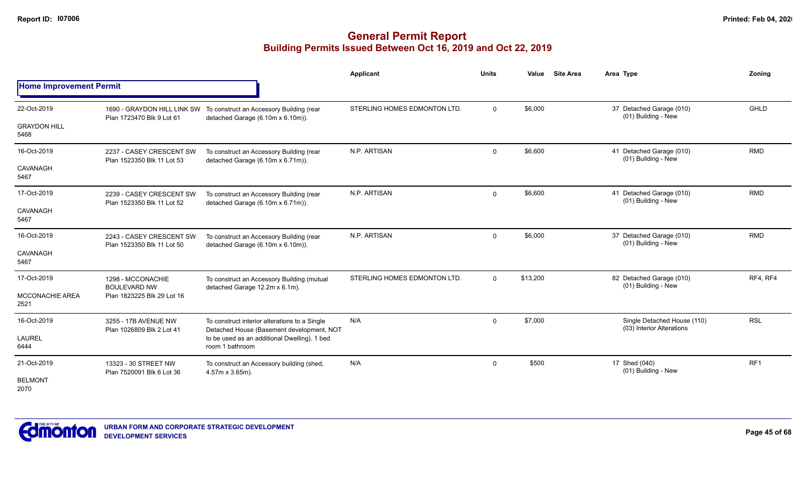|                                |                                                                                           |                                                                               | Applicant                    | <b>Units</b> | Value    | <b>Site Area</b> | Area Type                                                | Zonina          |
|--------------------------------|-------------------------------------------------------------------------------------------|-------------------------------------------------------------------------------|------------------------------|--------------|----------|------------------|----------------------------------------------------------|-----------------|
| <b>Home Improvement Permit</b> |                                                                                           |                                                                               |                              |              |          |                  |                                                          |                 |
| 22-Oct-2019                    |                                                                                           | 1690 - GRAYDON HILL LINK SW To construct an Accessory Building (rear          | STERLING HOMES EDMONTON LTD. | $\mathbf 0$  | \$6,000  |                  | 37 Detached Garage (010)<br>(01) Building - New          | <b>GHLD</b>     |
| <b>GRAYDON HILL</b><br>5468    | Plan 1723470 Blk 9 Lot 61                                                                 | detached Garage (6.10m x 6.10m)).                                             |                              |              |          |                  |                                                          |                 |
| 16-Oct-2019                    | 2237 - CASEY CRESCENT SW<br>Plan 1523350 Blk 11 Lot 53                                    | To construct an Accessory Building (rear<br>detached Garage (6.10m x 6.71m)). | N.P. ARTISAN                 | $\mathbf 0$  | \$6,600  |                  | 41 Detached Garage (010)<br>(01) Building - New          | <b>RMD</b>      |
| CAVANAGH<br>5467               |                                                                                           |                                                                               |                              |              |          |                  |                                                          |                 |
| 17-Oct-2019                    | 2239 - CASEY CRESCENT SW<br>Plan 1523350 Blk 11 Lot 52                                    | To construct an Accessory Building (rear                                      | N.P. ARTISAN                 | $\mathbf 0$  | \$6,600  |                  | 41 Detached Garage (010)<br>(01) Building - New          | <b>RMD</b>      |
| CAVANAGH<br>5467               |                                                                                           | detached Garage (6.10m x 6.71m)).                                             |                              |              |          |                  |                                                          |                 |
| 16-Oct-2019                    | 2243 - CASEY CRESCENT SW                                                                  | To construct an Accessory Building (rear                                      | N.P. ARTISAN                 | $\Omega$     | \$6,000  |                  | 37 Detached Garage (010)<br>(01) Building - New          | <b>RMD</b>      |
| CAVANAGH<br>5467               | Plan 1523350 Blk 11 Lot 50                                                                | detached Garage (6.10m x 6.10m)).                                             |                              |              |          |                  |                                                          |                 |
| 17-Oct-2019                    | 1298 - MCCONACHIE<br><b>BOULEVARD NW</b>                                                  | To construct an Accessory Building (mutual<br>detached Garage 12.2m x 6.1m).  | STERLING HOMES EDMONTON LTD. | $\Omega$     | \$13,200 |                  | 82 Detached Garage (010)<br>(01) Building - New          | RF4, RF4        |
| <b>MCCONACHIE AREA</b><br>2521 | Plan 1823225 Blk 29 Lot 16                                                                |                                                                               |                              |              |          |                  |                                                          |                 |
| 16-Oct-2019                    | 3255 - 17B AVENUE NW                                                                      | To construct interior alterations to a Single                                 | N/A                          | $\mathbf 0$  | \$7,000  |                  | Single Detached House (110)<br>(03) Interior Alterations | <b>RSL</b>      |
| <b>LAUREL</b><br>6444          | Detached House (Basement development, NOT<br>Plan 1026809 Blk 2 Lot 41<br>room 1 bathroom | to be used as an additional Dwelling). 1 bed                                  |                              |              |          |                  |                                                          |                 |
| 21-Oct-2019                    | 13323 - 30 STREET NW<br>Plan 7520091 Blk 6 Lot 36                                         | To construct an Accessory building (shed,<br>4.57m x 3.65m).                  | N/A                          | $\mathbf 0$  | \$500    |                  | 17 Shed (040)<br>(01) Building - New                     | RF <sub>1</sub> |
| <b>BELMONT</b><br>2070         |                                                                                           |                                                                               |                              |              |          |                  |                                                          |                 |

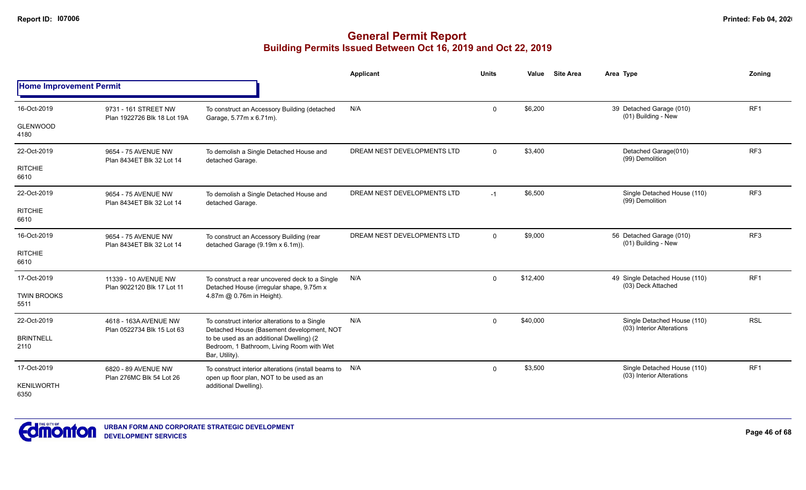|                                |                                                     |                                                                                                         | <b>Applicant</b>            | <b>Units</b> | Value    | <b>Site Area</b> | Area Type                                                | Zoning          |
|--------------------------------|-----------------------------------------------------|---------------------------------------------------------------------------------------------------------|-----------------------------|--------------|----------|------------------|----------------------------------------------------------|-----------------|
| <b>Home Improvement Permit</b> |                                                     |                                                                                                         |                             |              |          |                  |                                                          |                 |
| 16-Oct-2019                    | 9731 - 161 STREET NW<br>Plan 1922726 Blk 18 Lot 19A | To construct an Accessory Building (detached<br>Garage, 5.77m x 6.71m).                                 | N/A                         | $\mathbf 0$  | \$6,200  |                  | 39 Detached Garage (010)<br>(01) Building - New          | RF1             |
| <b>GLENWOOD</b><br>4180        |                                                     |                                                                                                         |                             |              |          |                  |                                                          |                 |
| 22-Oct-2019                    | 9654 - 75 AVENUE NW<br>Plan 8434ET Blk 32 Lot 14    | To demolish a Single Detached House and<br>detached Garage.                                             | DREAM NEST DEVELOPMENTS LTD | $\Omega$     | \$3,400  |                  | Detached Garage(010)<br>(99) Demolition                  | RF <sub>3</sub> |
| <b>RITCHIE</b><br>6610         |                                                     |                                                                                                         |                             |              |          |                  |                                                          |                 |
| 22-Oct-2019                    | 9654 - 75 AVENUE NW<br>Plan 8434ET Blk 32 Lot 14    | To demolish a Single Detached House and<br>detached Garage.                                             | DREAM NEST DEVELOPMENTS LTD | $-1$         | \$6,500  |                  | Single Detached House (110)<br>(99) Demolition           | RF <sub>3</sub> |
| <b>RITCHIE</b><br>6610         |                                                     |                                                                                                         |                             |              |          |                  |                                                          |                 |
| 16-Oct-2019                    | 9654 - 75 AVENUE NW<br>Plan 8434ET Blk 32 Lot 14    | To construct an Accessory Building (rear<br>detached Garage (9.19m x 6.1m)).                            | DREAM NEST DEVELOPMENTS LTD | $\Omega$     | \$9,000  |                  | 56 Detached Garage (010)<br>(01) Building - New          | RF <sub>3</sub> |
| <b>RITCHIE</b><br>6610         |                                                     |                                                                                                         |                             |              |          |                  |                                                          |                 |
| 17-Oct-2019                    | 11339 - 10 AVENUE NW<br>Plan 9022120 Blk 17 Lot 11  | To construct a rear uncovered deck to a Single<br>Detached House (irregular shape, 9.75m x              | N/A                         | $\mathbf 0$  | \$12,400 |                  | 49 Single Detached House (110)<br>(03) Deck Attached     | RF <sub>1</sub> |
| <b>TWIN BROOKS</b><br>5511     |                                                     | 4.87m @ 0.76m in Height).                                                                               |                             |              |          |                  |                                                          |                 |
| 22-Oct-2019                    | 4618 - 163A AVENUE NW<br>Plan 0522734 Blk 15 Lot 63 | To construct interior alterations to a Single<br>Detached House (Basement development, NOT              | N/A                         | $\mathbf 0$  | \$40,000 |                  | Single Detached House (110)<br>(03) Interior Alterations | <b>RSL</b>      |
| <b>BRINTNELL</b><br>2110       |                                                     | to be used as an additional Dwelling) (2<br>Bedroom, 1 Bathroom, Living Room with Wet<br>Bar, Utility). |                             |              |          |                  |                                                          |                 |
| 17-Oct-2019                    | 6820 - 89 AVENUE NW<br>Plan 276MC Blk 54 Lot 26     | To construct interior alterations (install beams to N/A<br>open up floor plan, NOT to be used as an     |                             | $\mathbf 0$  | \$3,500  |                  | Single Detached House (110)<br>(03) Interior Alterations | RF <sub>1</sub> |
| <b>KENILWORTH</b><br>6350      |                                                     | additional Dwelling).                                                                                   |                             |              |          |                  |                                                          |                 |

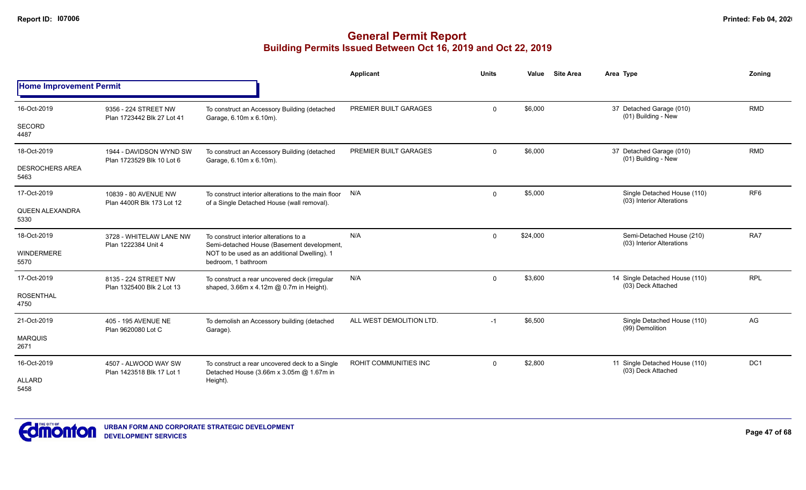|                                |                                                      |                                                                                                   | <b>Applicant</b>         | <b>Units</b> | Value    | <b>Site Area</b> | Area Type                                                | Zoning          |
|--------------------------------|------------------------------------------------------|---------------------------------------------------------------------------------------------------|--------------------------|--------------|----------|------------------|----------------------------------------------------------|-----------------|
| <b>Home Improvement Permit</b> |                                                      |                                                                                                   |                          |              |          |                  |                                                          |                 |
| 16-Oct-2019                    | 9356 - 224 STREET NW<br>Plan 1723442 Blk 27 Lot 41   | To construct an Accessory Building (detached<br>Garage, 6.10m x 6.10m).                           | PREMIER BUILT GARAGES    | $\Omega$     | \$6,000  |                  | 37 Detached Garage (010)<br>(01) Building - New          | <b>RMD</b>      |
| <b>SECORD</b><br>4487          |                                                      |                                                                                                   |                          |              |          |                  |                                                          |                 |
| 18-Oct-2019                    | 1944 - DAVIDSON WYND SW<br>Plan 1723529 Blk 10 Lot 6 | To construct an Accessory Building (detached<br>Garage, 6.10m x 6.10m).                           | PREMIER BUILT GARAGES    | $\Omega$     | \$6,000  |                  | 37 Detached Garage (010)<br>(01) Building - New          | <b>RMD</b>      |
| <b>DESROCHERS AREA</b><br>5463 |                                                      |                                                                                                   |                          |              |          |                  |                                                          |                 |
| 17-Oct-2019                    | 10839 - 80 AVENUE NW<br>Plan 4400R Blk 173 Lot 12    | To construct interior alterations to the main floor<br>of a Single Detached House (wall removal). | N/A                      | $\Omega$     | \$5,000  |                  | Single Detached House (110)<br>(03) Interior Alterations | RF <sub>6</sub> |
| <b>QUEEN ALEXANDRA</b><br>5330 |                                                      |                                                                                                   |                          |              |          |                  |                                                          |                 |
| 18-Oct-2019                    | 3728 - WHITELAW LANE NW<br>Plan 1222384 Unit 4       | To construct interior alterations to a<br>Semi-detached House (Basement development,              | N/A                      | $\Omega$     | \$24,000 |                  | Semi-Detached House (210)<br>(03) Interior Alterations   | RA7             |
| <b>WINDERMERE</b><br>5570      |                                                      | NOT to be used as an additional Dwelling). 1<br>bedroom, 1 bathroom                               |                          |              |          |                  |                                                          |                 |
| 17-Oct-2019                    | 8135 - 224 STREET NW<br>Plan 1325400 Blk 2 Lot 13    | To construct a rear uncovered deck (irregular<br>shaped, 3.66m x 4.12m @ 0.7m in Height).         | N/A                      | $\mathbf{0}$ | \$3,600  |                  | 14 Single Detached House (110)<br>(03) Deck Attached     | <b>RPL</b>      |
| <b>ROSENTHAL</b><br>4750       |                                                      |                                                                                                   |                          |              |          |                  |                                                          |                 |
| 21-Oct-2019                    | 405 - 195 AVENUE NE<br>Plan 9620080 Lot C            | To demolish an Accessory building (detached<br>Garage).                                           | ALL WEST DEMOLITION LTD. | $-1$         | \$6,500  |                  | Single Detached House (110)<br>(99) Demolition           | AG              |
| <b>MARQUIS</b><br>2671         |                                                      |                                                                                                   |                          |              |          |                  |                                                          |                 |
| 16-Oct-2019                    | 4507 - ALWOOD WAY SW<br>Plan 1423518 Blk 17 Lot 1    | To construct a rear uncovered deck to a Single<br>Detached House (3.66m x 3.05m @ 1.67m in        | ROHIT COMMUNITIES INC    | $\Omega$     | \$2,800  |                  | 11 Single Detached House (110)<br>(03) Deck Attached     | DC1             |
| <b>ALLARD</b><br>5458          |                                                      | Height).                                                                                          |                          |              |          |                  |                                                          |                 |

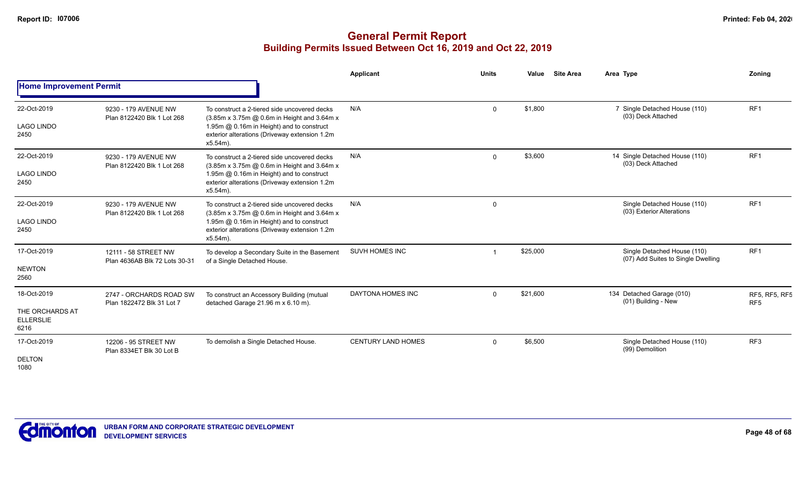|                                             |                                                       |                                                                                                                                          | <b>Applicant</b>          | <b>Units</b> | Value    | <b>Site Area</b> | Area Type                                                         | Zoning                                  |
|---------------------------------------------|-------------------------------------------------------|------------------------------------------------------------------------------------------------------------------------------------------|---------------------------|--------------|----------|------------------|-------------------------------------------------------------------|-----------------------------------------|
| <b>Home Improvement Permit</b>              |                                                       |                                                                                                                                          |                           |              |          |                  |                                                                   |                                         |
| 22-Oct-2019                                 | 9230 - 179 AVENUE NW<br>Plan 8122420 Blk 1 Lot 268    | To construct a 2-tiered side uncovered decks<br>(3.85m x 3.75m @ 0.6m in Height and 3.64m x                                              | N/A                       | $\Omega$     | \$1,800  |                  | 7 Single Detached House (110)<br>(03) Deck Attached               | RF <sub>1</sub>                         |
| <b>LAGO LINDO</b><br>2450                   |                                                       | 1.95m @ 0.16m in Height) and to construct<br>exterior alterations (Driveway extension 1.2m<br>$x5.54m$ ).                                |                           |              |          |                  |                                                                   |                                         |
| 22-Oct-2019<br><b>LAGO LINDO</b>            | 9230 - 179 AVENUE NW<br>Plan 8122420 Blk 1 Lot 268    | To construct a 2-tiered side uncovered decks<br>(3.85m x 3.75m @ 0.6m in Height and 3.64m x<br>1.95m @ 0.16m in Height) and to construct | N/A                       | $\Omega$     | \$3,600  |                  | 14 Single Detached House (110)<br>(03) Deck Attached              | RF <sub>1</sub>                         |
| 2450                                        |                                                       | exterior alterations (Driveway extension 1.2m<br>x5.54m).                                                                                |                           |              |          |                  |                                                                   |                                         |
| 22-Oct-2019                                 | 9230 - 179 AVENUE NW<br>Plan 8122420 Blk 1 Lot 268    | To construct a 2-tiered side uncovered decks<br>(3.85m x 3.75m @ 0.6m in Height and 3.64m x                                              | N/A                       | $\Omega$     |          |                  | Single Detached House (110)<br>(03) Exterior Alterations          | RF <sub>1</sub>                         |
| <b>LAGO LINDO</b><br>2450                   |                                                       | 1.95m @ 0.16m in Height) and to construct<br>exterior alterations (Driveway extension 1.2m<br>x5.54m).                                   |                           |              |          |                  |                                                                   |                                         |
| 17-Oct-2019                                 | 12111 - 58 STREET NW<br>Plan 4636AB Blk 72 Lots 30-31 | To develop a Secondary Suite in the Basement<br>of a Single Detached House.                                                              | <b>SUVH HOMES INC</b>     |              | \$25,000 |                  | Single Detached House (110)<br>(07) Add Suites to Single Dwelling | RF1                                     |
| <b>NEWTON</b><br>2560                       |                                                       |                                                                                                                                          |                           |              |          |                  |                                                                   |                                         |
| 18-Oct-2019                                 | 2747 - ORCHARDS ROAD SW<br>Plan 1822472 Blk 31 Lot 7  | To construct an Accessory Building (mutual<br>detached Garage 21.96 m x 6.10 m).                                                         | DAYTONA HOMES INC         | $\Omega$     | \$21,600 |                  | 134 Detached Garage (010)<br>(01) Building - New                  | <b>RF5, RF5, RF5</b><br>RF <sub>5</sub> |
| THE ORCHARDS AT<br><b>ELLERSLIE</b><br>6216 |                                                       |                                                                                                                                          |                           |              |          |                  |                                                                   |                                         |
| 17-Oct-2019                                 | 12206 - 95 STREET NW<br>Plan 8334ET Blk 30 Lot B      | To demolish a Single Detached House.                                                                                                     | <b>CENTURY LAND HOMES</b> | $\Omega$     | \$6,500  |                  | Single Detached House (110)<br>(99) Demolition                    | RF <sub>3</sub>                         |
| <b>DELTON</b><br>1080                       |                                                       |                                                                                                                                          |                           |              |          |                  |                                                                   |                                         |

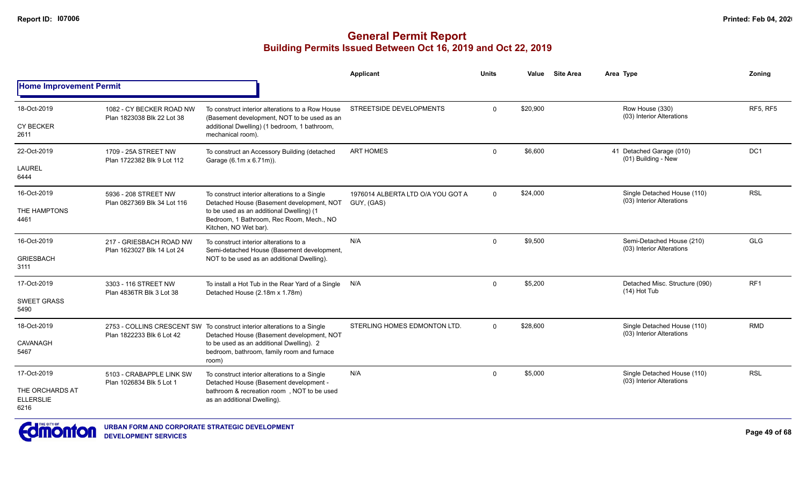|                                             |                                                      |                                                                                                                       | <b>Applicant</b>                  | <b>Units</b> | Value    | <b>Site Area</b> | Area Type                                                | Zoning          |
|---------------------------------------------|------------------------------------------------------|-----------------------------------------------------------------------------------------------------------------------|-----------------------------------|--------------|----------|------------------|----------------------------------------------------------|-----------------|
| <b>Home Improvement Permit</b>              |                                                      |                                                                                                                       |                                   |              |          |                  |                                                          |                 |
| 18-Oct-2019                                 | 1082 - CY BECKER ROAD NW                             | To construct interior alterations to a Row House                                                                      | STREETSIDE DEVELOPMENTS           | $\Omega$     | \$20,900 |                  | Row House (330)<br>(03) Interior Alterations             | RF5, RF5        |
| <b>CY BECKER</b><br>2611                    | Plan 1823038 Blk 22 Lot 38                           | (Basement development, NOT to be used as an<br>additional Dwelling) (1 bedroom, 1 bathroom,<br>mechanical room).      |                                   |              |          |                  |                                                          |                 |
| 22-Oct-2019                                 | 1709 - 25A STREET NW<br>Plan 1722382 Blk 9 Lot 112   | To construct an Accessory Building (detached<br>Garage (6.1m x 6.71m)).                                               | <b>ART HOMES</b>                  | $\Omega$     | \$6,600  |                  | 41 Detached Garage (010)<br>(01) Building - New          | DC <sub>1</sub> |
| LAUREL<br>6444                              |                                                      |                                                                                                                       |                                   |              |          |                  |                                                          |                 |
| 16-Oct-2019                                 | 5936 - 208 STREET NW                                 | To construct interior alterations to a Single<br>Detached House (Basement development, NOT                            | 1976014 ALBERTA LTD O/A YOU GOT A | $\mathbf 0$  | \$24,000 |                  | Single Detached House (110)<br>(03) Interior Alterations | <b>RSL</b>      |
| THE HAMPTONS<br>4461                        | Plan 0827369 Blk 34 Lot 116                          | to be used as an additional Dwelling) (1<br>Bedroom, 1 Bathroom, Rec Room, Mech., NO<br>Kitchen, NO Wet bar).         | GUY, (GAS)                        |              |          |                  |                                                          |                 |
| 16-Oct-2019                                 | 217 - GRIESBACH ROAD NW                              | To construct interior alterations to a<br>Semi-detached House (Basement development,                                  | N/A                               | $\Omega$     | \$9.500  |                  | Semi-Detached House (210)<br>(03) Interior Alterations   | <b>GLG</b>      |
| <b>GRIESBACH</b><br>3111                    | Plan 1623027 Blk 14 Lot 24                           | NOT to be used as an additional Dwelling).                                                                            |                                   |              |          |                  |                                                          |                 |
| 17-Oct-2019                                 | 3303 - 116 STREET NW<br>Plan 4836TR Blk 3 Lot 38     | To install a Hot Tub in the Rear Yard of a Single N/A<br>Detached House (2.18m x 1.78m)                               |                                   | $\mathbf 0$  | \$5,200  |                  | Detached Misc. Structure (090)<br>(14) Hot Tub           | RF <sub>1</sub> |
| <b>SWEET GRASS</b><br>5490                  |                                                      |                                                                                                                       |                                   |              |          |                  |                                                          |                 |
| 18-Oct-2019                                 |                                                      | 2753 - COLLINS CRESCENT SW To construct interior alterations to a Single<br>Detached House (Basement development, NOT | STERLING HOMES EDMONTON LTD.      | $\Omega$     | \$28,600 |                  | Single Detached House (110)<br>(03) Interior Alterations | <b>RMD</b>      |
| CAVANAGH<br>5467                            | Plan 1822233 Blk 6 Lot 42                            | to be used as an additional Dwelling). 2<br>bedroom, bathroom, family room and furnace<br>room)                       |                                   |              |          |                  |                                                          |                 |
| 17-Oct-2019                                 | 5103 - CRABAPPLE LINK SW<br>Plan 1026834 Blk 5 Lot 1 | To construct interior alterations to a Single<br>Detached House (Basement development -                               | N/A                               | $\Omega$     | \$5,000  |                  | Single Detached House (110)<br>(03) Interior Alterations | <b>RSL</b>      |
| THE ORCHARDS AT<br><b>ELLERSLIE</b><br>6216 |                                                      | bathroom & recreation room, NOT to be used<br>as an additional Dwelling).                                             |                                   |              |          |                  |                                                          |                 |

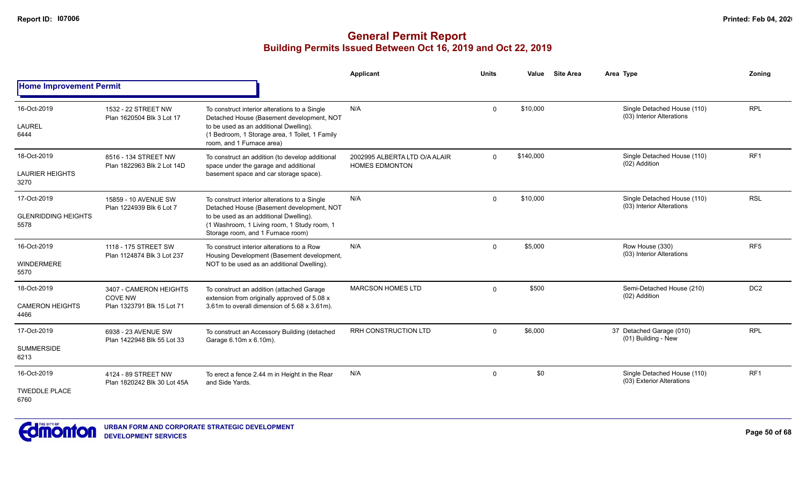|                                                   |                                                                        |                                                                                                                                                                                                                          | <b>Applicant</b>                                       | <b>Units</b> | Value     | <b>Site Area</b> | Area Type                                                | Zoning          |
|---------------------------------------------------|------------------------------------------------------------------------|--------------------------------------------------------------------------------------------------------------------------------------------------------------------------------------------------------------------------|--------------------------------------------------------|--------------|-----------|------------------|----------------------------------------------------------|-----------------|
| <b>Home Improvement Permit</b>                    |                                                                        |                                                                                                                                                                                                                          |                                                        |              |           |                  |                                                          |                 |
| 16-Oct-2019<br><b>LAUREL</b><br>6444              | 1532 - 22 STREET NW<br>Plan 1620504 Blk 3 Lot 17                       | To construct interior alterations to a Single<br>Detached House (Basement development, NOT<br>to be used as an additional Dwelling).<br>(1 Bedroom, 1 Storage area, 1 Toilet, 1 Family<br>room, and 1 Furnace area)      | N/A                                                    | $\Omega$     | \$10,000  |                  | Single Detached House (110)<br>(03) Interior Alterations | <b>RPL</b>      |
| 18-Oct-2019<br><b>LAURIER HEIGHTS</b><br>3270     | 8516 - 134 STREET NW<br>Plan 1822963 Blk 2 Lot 14D                     | To construct an addition (to develop additional<br>space under the garage and additional<br>basement space and car storage space).                                                                                       | 2002995 ALBERTA LTD O/A ALAIR<br><b>HOMES EDMONTON</b> | $\Omega$     | \$140,000 |                  | Single Detached House (110)<br>(02) Addition             | RF <sub>1</sub> |
| 17-Oct-2019<br><b>GLENRIDDING HEIGHTS</b><br>5578 | 15859 - 10 AVENUE SW<br>Plan 1224939 Blk 6 Lot 7                       | To construct interior alterations to a Single<br>Detached House (Basement development, NOT<br>to be used as an additional Dwelling).<br>(1 Washroom, 1 Living room, 1 Study room, 1<br>Storage room, and 1 Furnace room) | N/A                                                    | $\mathbf 0$  | \$10,000  |                  | Single Detached House (110)<br>(03) Interior Alterations | <b>RSL</b>      |
| 16-Oct-2019<br><b>WINDERMERE</b><br>5570          | 1118 - 175 STREET SW<br>Plan 1124874 Blk 3 Lot 237                     | To construct interior alterations to a Row<br>Housing Development (Basement development,<br>NOT to be used as an additional Dwelling).                                                                                   | N/A                                                    | $\mathbf 0$  | \$5,000   |                  | Row House (330)<br>(03) Interior Alterations             | RF <sub>5</sub> |
| 18-Oct-2019<br><b>CAMERON HEIGHTS</b><br>4466     | 3407 - CAMERON HEIGHTS<br><b>COVE NW</b><br>Plan 1323791 Blk 15 Lot 71 | To construct an addition (attached Garage<br>extension from originally approved of 5.08 x<br>3.61m to overall dimension of 5.68 x 3.61m).                                                                                | <b>MARCSON HOMES LTD</b>                               | $\Omega$     | \$500     |                  | Semi-Detached House (210)<br>(02) Addition               | DC <sub>2</sub> |
| 17-Oct-2019<br><b>SUMMERSIDE</b><br>6213          | 6938 - 23 AVENUE SW<br>Plan 1422948 Blk 55 Lot 33                      | To construct an Accessory Building (detached<br>Garage 6.10m x 6.10m).                                                                                                                                                   | <b>RRH CONSTRUCTION LTD</b>                            | $\Omega$     | \$6,000   |                  | 37 Detached Garage (010)<br>(01) Building - New          | <b>RPL</b>      |
| 16-Oct-2019<br><b>TWEDDLE PLACE</b><br>6760       | 4124 - 89 STREET NW<br>Plan 1820242 Blk 30 Lot 45A                     | To erect a fence 2.44 m in Height in the Rear<br>and Side Yards.                                                                                                                                                         | N/A                                                    | $\mathbf 0$  | \$0       |                  | Single Detached House (110)<br>(03) Exterior Alterations | RF <sub>1</sub> |

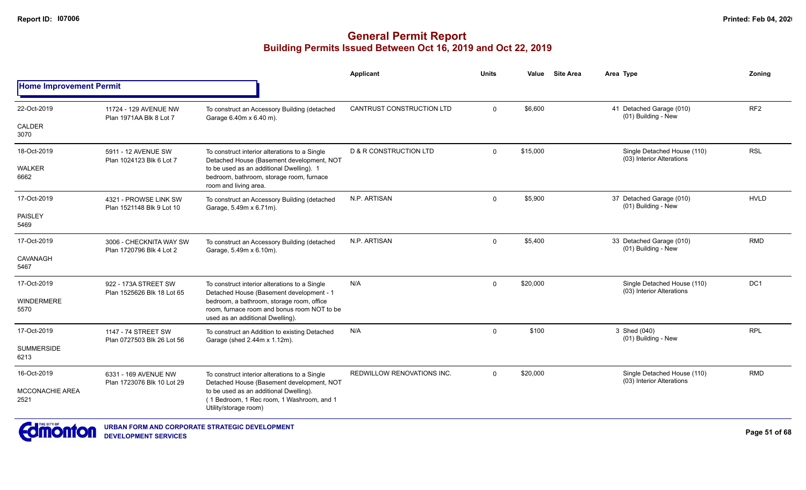|                                |                                                     |                                                                                                                              | Applicant                         | <b>Units</b> | Value    | <b>Site Area</b> | Area Type                                                | Zoning          |
|--------------------------------|-----------------------------------------------------|------------------------------------------------------------------------------------------------------------------------------|-----------------------------------|--------------|----------|------------------|----------------------------------------------------------|-----------------|
| <b>Home Improvement Permit</b> |                                                     |                                                                                                                              |                                   |              |          |                  |                                                          |                 |
| 22-Oct-2019                    | 11724 - 129 AVENUE NW<br>Plan 1971AA Blk 8 Lot 7    | To construct an Accessory Building (detached<br>Garage 6.40m x 6.40 m).                                                      | <b>CANTRUST CONSTRUCTION LTD</b>  | $\mathbf 0$  | \$6,600  |                  | 41 Detached Garage (010)<br>(01) Building - New          | RF <sub>2</sub> |
| CALDER<br>3070                 |                                                     |                                                                                                                              |                                   |              |          |                  |                                                          |                 |
| 18-Oct-2019                    | 5911 - 12 AVENUE SW<br>Plan 1024123 Blk 6 Lot 7     | To construct interior alterations to a Single<br>Detached House (Basement development, NOT                                   | <b>D &amp; R CONSTRUCTION LTD</b> | $\Omega$     | \$15,000 |                  | Single Detached House (110)<br>(03) Interior Alterations | <b>RSL</b>      |
| <b>WALKER</b><br>6662          |                                                     | to be used as an additional Dwelling). 1<br>bedroom, bathroom, storage room, furnace<br>room and living area.                |                                   |              |          |                  |                                                          |                 |
| 17-Oct-2019                    | 4321 - PROWSE LINK SW<br>Plan 1521148 Blk 9 Lot 10  | To construct an Accessory Building (detached<br>Garage, 5.49m x 6.71m).                                                      | N.P. ARTISAN                      | $\Omega$     | \$5,900  |                  | 37 Detached Garage (010)<br>(01) Building - New          | <b>HVLD</b>     |
| <b>PAISLEY</b><br>5469         |                                                     |                                                                                                                              |                                   |              |          |                  |                                                          |                 |
| 17-Oct-2019                    | 3006 - CHECKNITA WAY SW<br>Plan 1720796 Blk 4 Lot 2 | To construct an Accessory Building (detached<br>Garage, 5.49m x 6.10m).                                                      | N.P. ARTISAN                      | $\Omega$     | \$5,400  |                  | 33 Detached Garage (010)<br>(01) Building - New          | <b>RMD</b>      |
| <b>CAVANAGH</b><br>5467        |                                                     |                                                                                                                              |                                   |              |          |                  |                                                          |                 |
| 17-Oct-2019                    | 922 - 173A STREET SW<br>Plan 1525626 Blk 18 Lot 65  | To construct interior alterations to a Single<br>Detached House (Basement development - 1                                    | N/A                               | $\Omega$     | \$20,000 |                  | Single Detached House (110)<br>(03) Interior Alterations | DC <sub>1</sub> |
| <b>WINDERMERE</b><br>5570      |                                                     | bedroom, a bathroom, storage room, office<br>room, furnace room and bonus room NOT to be<br>used as an additional Dwelling). |                                   |              |          |                  |                                                          |                 |
| 17-Oct-2019                    | 1147 - 74 STREET SW<br>Plan 0727503 Blk 26 Lot 56   | To construct an Addition to existing Detached<br>Garage (shed 2.44m x 1.12m).                                                | N/A                               | $\Omega$     | \$100    |                  | 3 Shed (040)<br>(01) Building - New                      | <b>RPL</b>      |
| <b>SUMMERSIDE</b><br>6213      |                                                     |                                                                                                                              |                                   |              |          |                  |                                                          |                 |
| 16-Oct-2019                    | 6331 - 169 AVENUE NW<br>Plan 1723076 Blk 10 Lot 29  | To construct interior alterations to a Single<br>Detached House (Basement development, NOT                                   | <b>REDWILLOW RENOVATIONS INC.</b> | $\Omega$     | \$20,000 |                  | Single Detached House (110)<br>(03) Interior Alterations | <b>RMD</b>      |
| MCCONACHIE AREA<br>2521        |                                                     | to be used as an additional Dwelling).<br>(1 Bedroom, 1 Rec room, 1 Washroom, and 1<br>Utility/storage room)                 |                                   |              |          |                  |                                                          |                 |
|                                |                                                     |                                                                                                                              |                                   |              |          |                  |                                                          |                 |

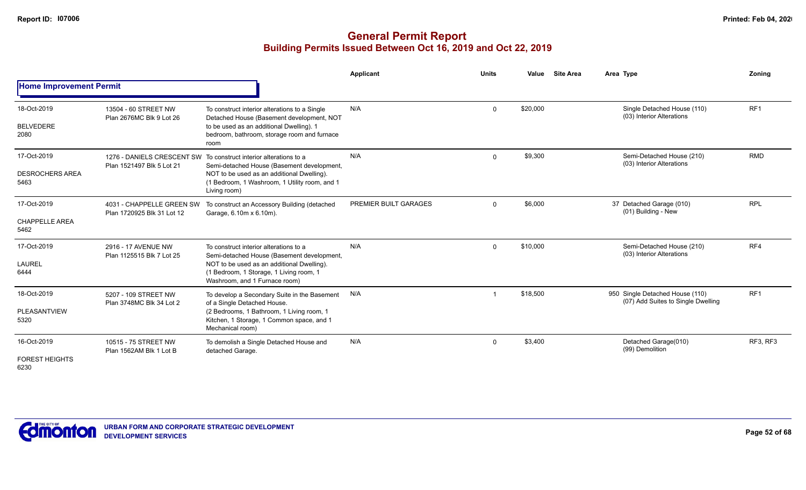|                                               |                                                         |                                                                                                                                                                                                                                | <b>Applicant</b>      | <b>Units</b> | Value    | <b>Site Area</b> | Area Type                                                             | Zonina          |
|-----------------------------------------------|---------------------------------------------------------|--------------------------------------------------------------------------------------------------------------------------------------------------------------------------------------------------------------------------------|-----------------------|--------------|----------|------------------|-----------------------------------------------------------------------|-----------------|
| <b>Home Improvement Permit</b>                |                                                         |                                                                                                                                                                                                                                |                       |              |          |                  |                                                                       |                 |
| 18-Oct-2019<br><b>BELVEDERE</b><br>2080       | 13504 - 60 STREET NW<br>Plan 2676MC Blk 9 Lot 26        | To construct interior alterations to a Single<br>Detached House (Basement development, NOT<br>to be used as an additional Dwelling). 1<br>bedroom, bathroom, storage room and furnace<br>room                                  | N/A                   | $\mathbf 0$  | \$20,000 |                  | Single Detached House (110)<br>(03) Interior Alterations              | RF <sub>1</sub> |
| 17-Oct-2019<br><b>DESROCHERS AREA</b><br>5463 | Plan 1521497 Blk 5 Lot 21                               | 1276 - DANIELS CRESCENT SW To construct interior alterations to a<br>Semi-detached House (Basement development,<br>NOT to be used as an additional Dwelling).<br>(1 Bedroom, 1 Washroom, 1 Utility room, and 1<br>Living room) | N/A                   | $\mathbf 0$  | \$9,300  |                  | Semi-Detached House (210)<br>(03) Interior Alterations                | <b>RMD</b>      |
| 17-Oct-2019<br><b>CHAPPELLE AREA</b><br>5462  | 4031 - CHAPPELLE GREEN SW<br>Plan 1720925 Blk 31 Lot 12 | To construct an Accessory Building (detached<br>Garage, 6.10m x 6.10m).                                                                                                                                                        | PREMIER BUILT GARAGES | $\mathbf 0$  | \$6,000  |                  | 37 Detached Garage (010)<br>(01) Building - New                       | <b>RPL</b>      |
| 17-Oct-2019<br><b>LAUREL</b><br>6444          | 2916 - 17 AVENUE NW<br>Plan 1125515 Blk 7 Lot 25        | To construct interior alterations to a<br>Semi-detached House (Basement development,<br>NOT to be used as an additional Dwelling).<br>(1 Bedroom, 1 Storage, 1 Living room, 1<br>Washroom, and 1 Furnace room)                 | N/A                   | $\mathbf 0$  | \$10,000 |                  | Semi-Detached House (210)<br>(03) Interior Alterations                | RF4             |
| 18-Oct-2019<br>PLEASANTVIEW<br>5320           | 5207 - 109 STREET NW<br>Plan 3748MC Blk 34 Lot 2        | To develop a Secondary Suite in the Basement<br>of a Single Detached House.<br>(2 Bedrooms, 1 Bathroom, 1 Living room, 1<br>Kitchen, 1 Storage, 1 Common space, and 1<br>Mechanical room)                                      | N/A                   | -1           | \$18,500 |                  | 950 Single Detached House (110)<br>(07) Add Suites to Single Dwelling | RF <sub>1</sub> |
| 16-Oct-2019<br><b>FOREST HEIGHTS</b><br>6230  | 10515 - 75 STREET NW<br>Plan 1562AM Blk 1 Lot B         | To demolish a Single Detached House and<br>detached Garage.                                                                                                                                                                    | N/A                   | $\mathbf 0$  | \$3,400  |                  | Detached Garage(010)<br>(99) Demolition                               | RF3, RF3        |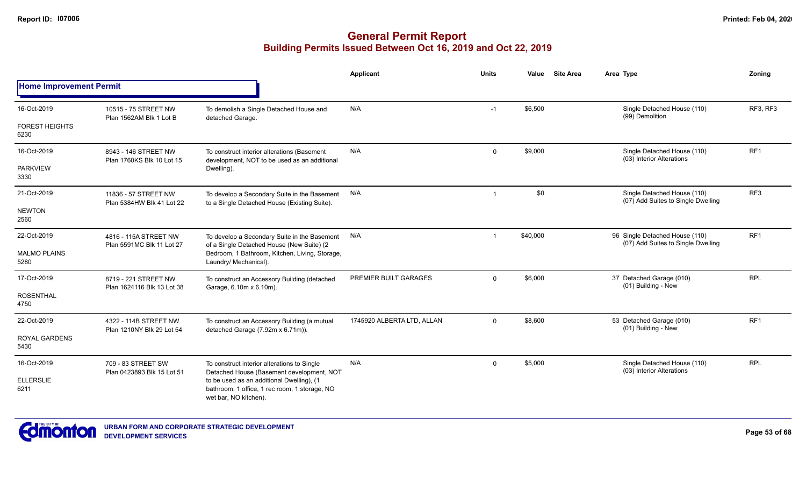|                                |                                                                                                                                                                                                                                                                     |                                                                                              | Applicant                  | <b>Units</b> | Value    | <b>Site Area</b> | Area Type                                                            | Zoning          |
|--------------------------------|---------------------------------------------------------------------------------------------------------------------------------------------------------------------------------------------------------------------------------------------------------------------|----------------------------------------------------------------------------------------------|----------------------------|--------------|----------|------------------|----------------------------------------------------------------------|-----------------|
| <b>Home Improvement Permit</b> |                                                                                                                                                                                                                                                                     |                                                                                              |                            |              |          |                  |                                                                      |                 |
| 16-Oct-2019                    | 10515 - 75 STREET NW<br>Plan 1562AM Blk 1 Lot B                                                                                                                                                                                                                     | To demolish a Single Detached House and<br>detached Garage.                                  | N/A                        | $-1$         | \$6,500  |                  | Single Detached House (110)<br>(99) Demolition                       | RF3, RF3        |
| <b>FOREST HEIGHTS</b><br>6230  |                                                                                                                                                                                                                                                                     |                                                                                              |                            |              |          |                  |                                                                      |                 |
| 16-Oct-2019                    | 8943 - 146 STREET NW<br>Plan 1760KS Blk 10 Lot 15                                                                                                                                                                                                                   | To construct interior alterations (Basement<br>development, NOT to be used as an additional  | N/A                        | $\mathbf 0$  | \$9,000  |                  | Single Detached House (110)<br>(03) Interior Alterations             | RF <sub>1</sub> |
| <b>PARKVIEW</b><br>3330        |                                                                                                                                                                                                                                                                     | Dwelling).                                                                                   |                            |              |          |                  |                                                                      |                 |
| 21-Oct-2019                    | 11836 - 57 STREET NW<br>Plan 5384HW Blk 41 Lot 22                                                                                                                                                                                                                   | To develop a Secondary Suite in the Basement<br>to a Single Detached House (Existing Suite). | N/A                        | -1           | \$0      |                  | Single Detached House (110)<br>(07) Add Suites to Single Dwelling    | RF3             |
| <b>NEWTON</b><br>2560          |                                                                                                                                                                                                                                                                     |                                                                                              |                            |              |          |                  |                                                                      |                 |
| 22-Oct-2019                    | 4816 - 115A STREET NW<br>Plan 5591MC Blk 11 Lot 27                                                                                                                                                                                                                  | To develop a Secondary Suite in the Basement<br>of a Single Detached House (New Suite) (2    | N/A                        | $\mathbf 1$  | \$40,000 |                  | 96 Single Detached House (110)<br>(07) Add Suites to Single Dwelling | RF <sub>1</sub> |
| <b>MALMO PLAINS</b><br>5280    |                                                                                                                                                                                                                                                                     | Bedroom, 1 Bathroom, Kitchen, Living, Storage,<br>Laundry/ Mechanical).                      |                            |              |          |                  |                                                                      |                 |
| 17-Oct-2019                    | 8719 - 221 STREET NW<br>Plan 1624116 Blk 13 Lot 38                                                                                                                                                                                                                  | To construct an Accessory Building (detached<br>Garage, 6.10m x 6.10m).                      | PREMIER BUILT GARAGES      | $\Omega$     | \$6,000  |                  | 37 Detached Garage (010)<br>(01) Building - New                      | <b>RPL</b>      |
| <b>ROSENTHAL</b><br>4750       |                                                                                                                                                                                                                                                                     |                                                                                              |                            |              |          |                  |                                                                      |                 |
| 22-Oct-2019                    | 4322 - 114B STREET NW                                                                                                                                                                                                                                               | To construct an Accessory Building (a mutual<br>detached Garage (7.92m x 6.71m)).            | 1745920 ALBERTA LTD, ALLAN | $\Omega$     | \$8,600  |                  | 53 Detached Garage (010)<br>(01) Building - New                      | RF <sub>1</sub> |
| <b>ROYAL GARDENS</b><br>5430   | Plan 1210NY Blk 29 Lot 54                                                                                                                                                                                                                                           |                                                                                              |                            |              |          |                  |                                                                      |                 |
| 16-Oct-2019                    | 709 - 83 STREET SW<br>To construct interior alterations to Single<br>Detached House (Basement development, NOT<br>Plan 0423893 Blk 15 Lot 51<br>to be used as an additional Dwelling), (1<br>bathroom, 1 office, 1 rec room, 1 storage, NO<br>wet bar, NO kitchen). |                                                                                              | N/A                        | $\Omega$     | \$5,000  |                  | Single Detached House (110)<br>(03) Interior Alterations             | <b>RPL</b>      |
| <b>ELLERSLIE</b><br>6211       |                                                                                                                                                                                                                                                                     |                                                                                              |                            |              |          |                  |                                                                      |                 |

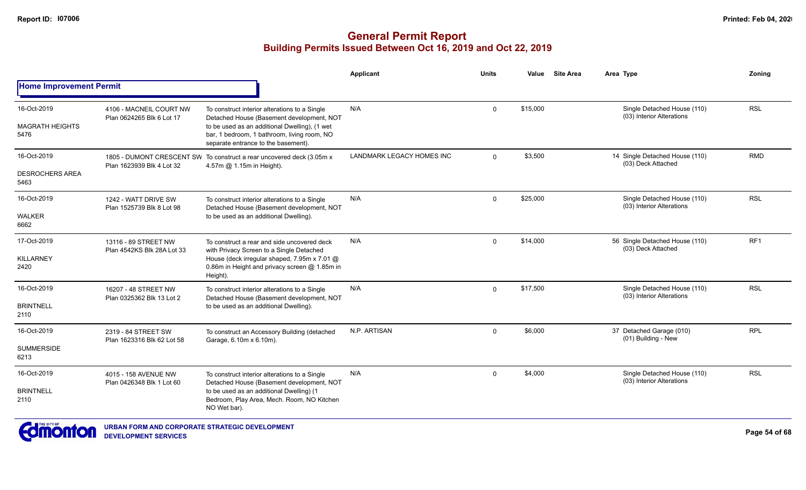|                                                      |                                                                                                                                                                                                                                   | <b>Applicant</b>                                                      | <b>Units</b> | Value    | <b>Site Area</b> | Area Type                                                | Zonina          |
|------------------------------------------------------|-----------------------------------------------------------------------------------------------------------------------------------------------------------------------------------------------------------------------------------|-----------------------------------------------------------------------|--------------|----------|------------------|----------------------------------------------------------|-----------------|
|                                                      |                                                                                                                                                                                                                                   |                                                                       |              |          |                  |                                                          |                 |
| 4106 - MACNEIL COURT NW<br>Plan 0624265 Blk 6 Lot 17 | To construct interior alterations to a Single<br>Detached House (Basement development, NOT<br>to be used as an additional Dwelling), (1 wet<br>bar, 1 bedroom, 1 bathroom, living room, NO<br>separate entrance to the basement). | N/A                                                                   | $\mathbf 0$  | \$15,000 |                  | Single Detached House (110)<br>(03) Interior Alterations | <b>RSL</b>      |
| Plan 1623939 Blk 4 Lot 32                            | 4.57m @ 1.15m in Height).                                                                                                                                                                                                         | LANDMARK LEGACY HOMES INC                                             | $\Omega$     | \$3,500  |                  | 14 Single Detached House (110)<br>(03) Deck Attached     | <b>RMD</b>      |
| 1242 - WATT DRIVE SW<br>Plan 1525739 Blk 8 Lot 98    | To construct interior alterations to a Single<br>Detached House (Basement development, NOT<br>to be used as an additional Dwelling).                                                                                              | N/A                                                                   | $\Omega$     | \$25,000 |                  | Single Detached House (110)<br>(03) Interior Alterations | <b>RSL</b>      |
| 13116 - 89 STREET NW<br>Plan 4542KS Blk 28A Lot 33   | To construct a rear and side uncovered deck<br>with Privacy Screen to a Single Detached<br>House (deck irregular shaped, 7.95m x 7.01 @<br>0.86m in Height and privacy screen @ 1.85m in<br>Height).                              | N/A                                                                   | $\mathbf 0$  | \$14,000 |                  | 56 Single Detached House (110)<br>(03) Deck Attached     | RF <sub>1</sub> |
| 16207 - 48 STREET NW<br>Plan 0325362 Blk 13 Lot 2    | To construct interior alterations to a Single<br>Detached House (Basement development, NOT<br>to be used as an additional Dwelling).                                                                                              | N/A                                                                   | $\Omega$     | \$17,500 |                  | Single Detached House (110)<br>(03) Interior Alterations | <b>RSL</b>      |
| 2319 - 84 STREET SW<br>Plan 1623316 Blk 62 Lot 58    | To construct an Accessory Building (detached<br>Garage, 6.10m x 6.10m).                                                                                                                                                           | N.P. ARTISAN                                                          | $\Omega$     | \$6,000  |                  | 37 Detached Garage (010)<br>(01) Building - New          | <b>RPL</b>      |
| 4015 - 158 AVENUE NW<br>Plan 0426348 Blk 1 Lot 60    | To construct interior alterations to a Single<br>Detached House (Basement development, NOT<br>to be used as an additional Dwelling) (1<br>Bedroom, Play Area, Mech. Room, NO Kitchen<br>NO Wet bar).                              | N/A                                                                   | $\Omega$     | \$4,000  |                  | Single Detached House (110)<br>(03) Interior Alterations | <b>RSL</b>      |
|                                                      | <b>Home Improvement Permit</b>                                                                                                                                                                                                    | 1805 - DUMONT CRESCENT SW To construct a rear uncovered deck (3.05m x |              |          |                  |                                                          |                 |

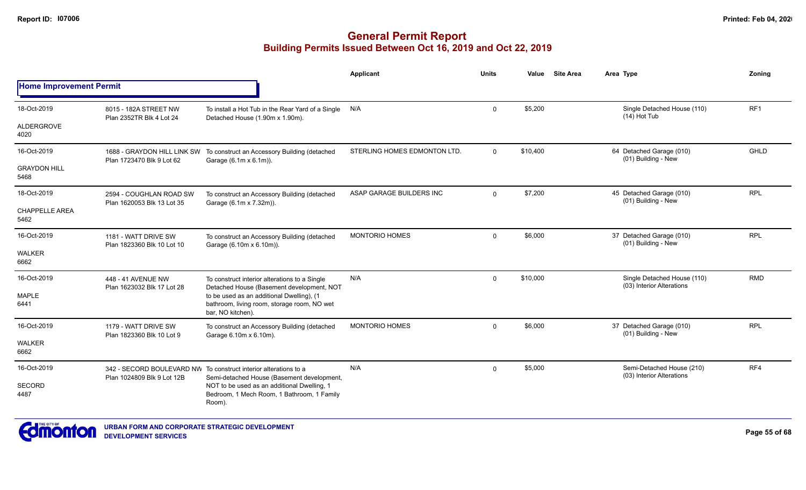|                                |                                                       |                                                                                                                | <b>Applicant</b>             | <b>Units</b>   | Value    | <b>Site Area</b> | Area Type                                                | Zoning     |
|--------------------------------|-------------------------------------------------------|----------------------------------------------------------------------------------------------------------------|------------------------------|----------------|----------|------------------|----------------------------------------------------------|------------|
| <b>Home Improvement Permit</b> |                                                       |                                                                                                                |                              |                |          |                  |                                                          |            |
| 18-Oct-2019                    | 8015 - 182A STREET NW<br>Plan 2352TR Blk 4 Lot 24     | To install a Hot Tub in the Rear Yard of a Single<br>Detached House (1.90m x 1.90m).                           | N/A                          | $\mathbf 0$    | \$5,200  |                  | Single Detached House (110)<br>(14) Hot Tub              | RF1        |
| <b>ALDERGROVE</b><br>4020      |                                                       |                                                                                                                |                              |                |          |                  |                                                          |            |
| 16-Oct-2019                    | Plan 1723470 Blk 9 Lot 62                             | 1688 - GRAYDON HILL LINK SW To construct an Accessory Building (detached<br>Garage (6.1m x 6.1m)).             | STERLING HOMES EDMONTON LTD. | $\overline{0}$ | \$10,400 |                  | 64 Detached Garage (010)<br>(01) Building - New          | GHLD       |
| <b>GRAYDON HILL</b><br>5468    |                                                       |                                                                                                                |                              |                |          |                  |                                                          |            |
| 18-Oct-2019                    | 2594 - COUGHLAN ROAD SW<br>Plan 1620053 Blk 13 Lot 35 | To construct an Accessory Building (detached<br>Garage (6.1m x 7.32m)).                                        | ASAP GARAGE BUILDERS INC     | $\mathbf 0$    | \$7,200  |                  | 45 Detached Garage (010)<br>(01) Building - New          | <b>RPL</b> |
| <b>CHAPPELLE AREA</b><br>5462  |                                                       |                                                                                                                |                              |                |          |                  |                                                          |            |
| 16-Oct-2019                    | 1181 - WATT DRIVE SW<br>Plan 1823360 Blk 10 Lot 10    | To construct an Accessory Building (detached<br>Garage (6.10m x 6.10m)).                                       | <b>MONTORIO HOMES</b>        | $\Omega$       | \$6,000  |                  | 37 Detached Garage (010)<br>(01) Building - New          | <b>RPL</b> |
| <b>WALKER</b><br>6662          |                                                       |                                                                                                                |                              |                |          |                  |                                                          |            |
| 16-Oct-2019                    | 448 - 41 AVENUE NW<br>Plan 1623032 Blk 17 Lot 28      | To construct interior alterations to a Single<br>Detached House (Basement development, NOT                     | N/A                          | $\Omega$       | \$10,000 |                  | Single Detached House (110)<br>(03) Interior Alterations | <b>RMD</b> |
| <b>MAPLE</b><br>6441           |                                                       | to be used as an additional Dwelling), (1<br>bathroom, living room, storage room, NO wet<br>bar, NO kitchen).  |                              |                |          |                  |                                                          |            |
| 16-Oct-2019                    | 1179 - WATT DRIVE SW<br>Plan 1823360 Blk 10 Lot 9     | To construct an Accessory Building (detached<br>Garage 6.10m x 6.10m).                                         | <b>MONTORIO HOMES</b>        | $\Omega$       | \$6,000  |                  | 37 Detached Garage (010)<br>(01) Building - New          | <b>RPL</b> |
| <b>WALKER</b><br>6662          |                                                       |                                                                                                                |                              |                |          |                  |                                                          |            |
| 16-Oct-2019                    | Plan 1024809 Blk 9 Lot 12B                            | 342 - SECORD BOULEVARD NW To construct interior alterations to a<br>Semi-detached House (Basement development, | N/A                          | $\Omega$       | \$5,000  |                  | Semi-Detached House (210)<br>(03) Interior Alterations   | RF4        |
| SECORD<br>4487                 |                                                       | NOT to be used as an additional Dwelling, 1<br>Bedroom, 1 Mech Room, 1 Bathroom, 1 Family<br>Room).            |                              |                |          |                  |                                                          |            |

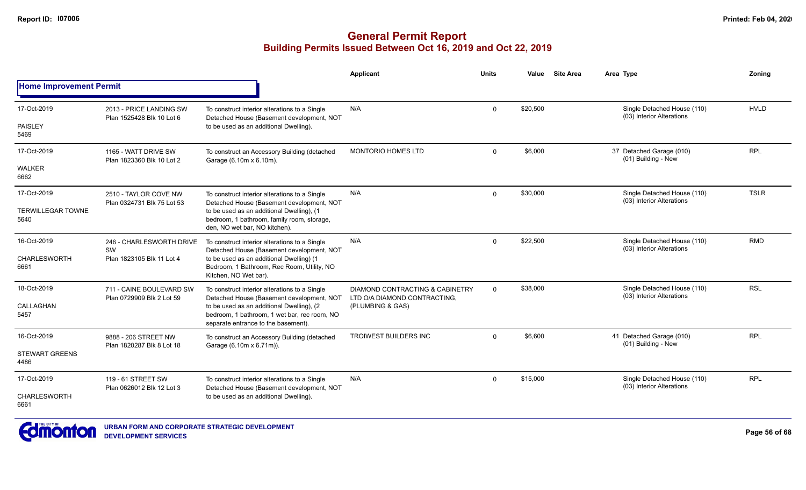|                                  |                                                       |                                                                                                                                  | <b>Applicant</b>                                                | <b>Units</b> | Value    | <b>Site Area</b> | Area Type                                                | Zoning      |
|----------------------------------|-------------------------------------------------------|----------------------------------------------------------------------------------------------------------------------------------|-----------------------------------------------------------------|--------------|----------|------------------|----------------------------------------------------------|-------------|
| <b>Home Improvement Permit</b>   |                                                       |                                                                                                                                  |                                                                 |              |          |                  |                                                          |             |
| 17-Oct-2019                      | 2013 - PRICE LANDING SW<br>Plan 1525428 Blk 10 Lot 6  | To construct interior alterations to a Single<br>Detached House (Basement development, NOT                                       | N/A                                                             | $\mathbf 0$  | \$20,500 |                  | Single Detached House (110)<br>(03) Interior Alterations | <b>HVLD</b> |
| <b>PAISLEY</b><br>5469           |                                                       | to be used as an additional Dwelling).                                                                                           |                                                                 |              |          |                  |                                                          |             |
| 17-Oct-2019                      | 1165 - WATT DRIVE SW<br>Plan 1823360 Blk 10 Lot 2     | To construct an Accessory Building (detached<br>Garage (6.10m x 6.10m).                                                          | <b>MONTORIO HOMES LTD</b>                                       | $\Omega$     | \$6,000  |                  | 37 Detached Garage (010)<br>(01) Building - New          | <b>RPL</b>  |
| <b>WALKER</b><br>6662            |                                                       |                                                                                                                                  |                                                                 |              |          |                  |                                                          |             |
| 17-Oct-2019                      | 2510 - TAYLOR COVE NW<br>Plan 0324731 Blk 75 Lot 53   | To construct interior alterations to a Single<br>Detached House (Basement development, NOT                                       | N/A                                                             | $\mathbf 0$  | \$30,000 |                  | Single Detached House (110)<br>(03) Interior Alterations | <b>TSLR</b> |
| <b>TERWILLEGAR TOWNE</b><br>5640 |                                                       | to be used as an additional Dwelling), (1<br>bedroom, 1 bathroom, family room, storage,<br>den, NO wet bar, NO kitchen).         |                                                                 |              |          |                  |                                                          |             |
| 16-Oct-2019                      | 246 - CHARLESWORTH DRIVE                              | To construct interior alterations to a Single<br>Detached House (Basement development, NOT                                       | N/A                                                             | $\Omega$     | \$22,500 |                  | Single Detached House (110)<br>(03) Interior Alterations | <b>RMD</b>  |
| <b>CHARLESWORTH</b><br>6661      | SW<br>Plan 1823105 Blk 11 Lot 4                       | to be used as an additional Dwelling) (1<br>Bedroom, 1 Bathroom, Rec Room, Utility, NO<br>Kitchen, NO Wet bar).                  |                                                                 |              |          |                  |                                                          |             |
| 18-Oct-2019                      | 711 - CAINE BOULEVARD SW<br>Plan 0729909 Blk 2 Lot 59 | To construct interior alterations to a Single<br>Detached House (Basement development, NOT                                       | DIAMOND CONTRACTING & CABINETRY<br>LTD O/A DIAMOND CONTRACTING, | $\Omega$     | \$38,000 |                  | Single Detached House (110)<br>(03) Interior Alterations | <b>RSL</b>  |
| CALLAGHAN<br>5457                |                                                       | to be used as an additional Dwelling), (2<br>bedroom, 1 bathroom, 1 wet bar, rec room, NO<br>separate entrance to the basement). | (PLUMBING & GAS)                                                |              |          |                  |                                                          |             |
| 16-Oct-2019                      | 9888 - 206 STREET NW<br>Plan 1820287 Blk 8 Lot 18     | To construct an Accessory Building (detached<br>Garage (6.10m x 6.71m)).                                                         | <b>TROIWEST BUILDERS INC</b>                                    | $\Omega$     | \$6,600  |                  | 41 Detached Garage (010)<br>(01) Building - New          | <b>RPL</b>  |
| <b>STEWART GREENS</b><br>4486    |                                                       |                                                                                                                                  |                                                                 |              |          |                  |                                                          |             |
| 17-Oct-2019                      | 119 - 61 STREET SW<br>Plan 0626012 Blk 12 Lot 3       | To construct interior alterations to a Single<br>Detached House (Basement development, NOT                                       | N/A                                                             | $\mathbf 0$  | \$15,000 |                  | Single Detached House (110)<br>(03) Interior Alterations | <b>RPL</b>  |
| <b>CHARLESWORTH</b><br>6661      |                                                       | to be used as an additional Dwelling).                                                                                           |                                                                 |              |          |                  |                                                          |             |

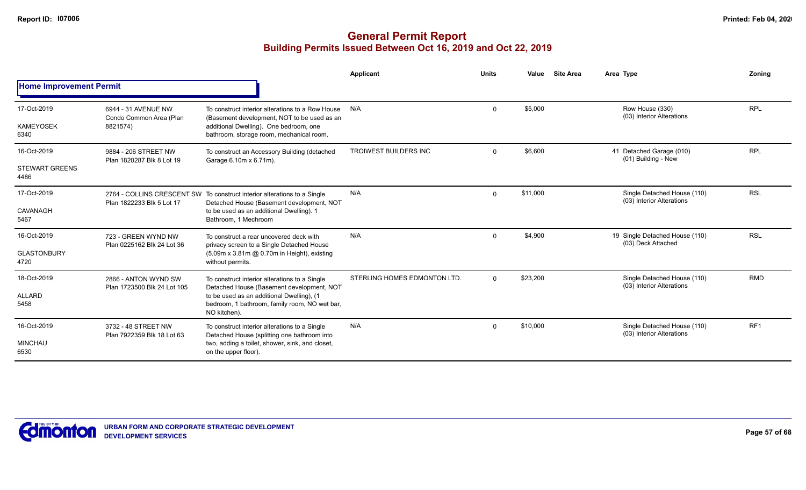|                                |                                                   |                                                                                                                       | Applicant                    | <b>Units</b> | Value    | <b>Site Area</b> | Area Type                                                | Zoning          |
|--------------------------------|---------------------------------------------------|-----------------------------------------------------------------------------------------------------------------------|------------------------------|--------------|----------|------------------|----------------------------------------------------------|-----------------|
| <b>Home Improvement Permit</b> |                                                   |                                                                                                                       |                              |              |          |                  |                                                          |                 |
| 17-Oct-2019                    | 6944 - 31 AVENUE NW<br>Condo Common Area (Plan    | To construct interior alterations to a Row House<br>(Basement development, NOT to be used as an                       | N/A                          | $\mathbf 0$  | \$5,000  |                  | Row House (330)<br>(03) Interior Alterations             | <b>RPL</b>      |
| <b>KAMEYOSEK</b><br>6340       | 8821574)                                          | additional Dwelling). One bedroom, one<br>bathroom, storage room, mechanical room.                                    |                              |              |          |                  |                                                          |                 |
| 16-Oct-2019                    | 9884 - 206 STREET NW<br>Plan 1820287 Blk 8 Lot 19 | To construct an Accessory Building (detached<br>Garage 6.10m x 6.71m).                                                | <b>TROIWEST BUILDERS INC</b> | $\Omega$     | \$6,600  |                  | 41 Detached Garage (010)<br>(01) Building - New          | <b>RPL</b>      |
| <b>STEWART GREENS</b><br>4486  |                                                   |                                                                                                                       |                              |              |          |                  |                                                          |                 |
| 17-Oct-2019                    | Plan 1822233 Blk 5 Lot 17                         | 2764 - COLLINS CRESCENT SW To construct interior alterations to a Single<br>Detached House (Basement development, NOT | N/A                          | $\Omega$     | \$11,000 |                  | Single Detached House (110)<br>(03) Interior Alterations | <b>RSL</b>      |
| CAVANAGH<br>5467               |                                                   | to be used as an additional Dwelling). 1<br>Bathroom, 1 Mechroom                                                      |                              |              |          |                  |                                                          |                 |
| 16-Oct-2019                    | 723 - GREEN WYND NW<br>Plan 0225162 Blk 24 Lot 36 | To construct a rear uncovered deck with<br>privacy screen to a Single Detached House                                  | N/A                          | $\Omega$     | \$4,900  |                  | 19 Single Detached House (110)<br>(03) Deck Attached     | <b>RSL</b>      |
| <b>GLASTONBURY</b><br>4720     |                                                   | (5.09m x 3.81m @ 0.70m in Height), existing<br>without permits.                                                       |                              |              |          |                  | <b>RMD</b><br>Single Detached House (110)                |                 |
| 18-Oct-2019                    | 2866 - ANTON WYND SW                              | To construct interior alterations to a Single<br>Detached House (Basement development, NOT                            | STERLING HOMES EDMONTON LTD. | $\Omega$     | \$23,200 |                  | (03) Interior Alterations                                |                 |
| <b>ALLARD</b><br>5458          | Plan 1723500 Blk 24 Lot 105                       | to be used as an additional Dwelling), (1<br>bedroom, 1 bathroom, family room, NO wet bar,<br>NO kitchen).            |                              |              |          |                  |                                                          |                 |
| 16-Oct-2019                    | 3732 - 48 STREET NW<br>Plan 7922359 Blk 18 Lot 63 | To construct interior alterations to a Single<br>Detached House (splitting one bathroom into                          | N/A                          | $\Omega$     | \$10,000 |                  | Single Detached House (110)<br>(03) Interior Alterations | RF <sub>1</sub> |
| <b>MINCHAU</b><br>6530         |                                                   | two, adding a toilet, shower, sink, and closet,<br>on the upper floor).                                               |                              |              |          |                  |                                                          |                 |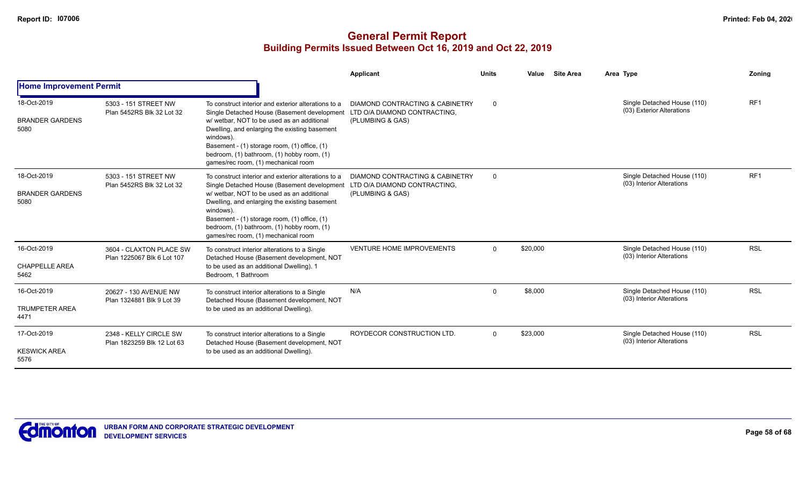|                                               |                                                       |                                                                                                                                                                                                                                                                                                                                                                                  | Applicant                                           | <b>Units</b> | Value    | <b>Site Area</b> | Area Type                                                | Zoning          |
|-----------------------------------------------|-------------------------------------------------------|----------------------------------------------------------------------------------------------------------------------------------------------------------------------------------------------------------------------------------------------------------------------------------------------------------------------------------------------------------------------------------|-----------------------------------------------------|--------------|----------|------------------|----------------------------------------------------------|-----------------|
| <b>Home Improvement Permit</b>                |                                                       |                                                                                                                                                                                                                                                                                                                                                                                  |                                                     |              |          |                  |                                                          |                 |
| 18-Oct-2019<br><b>BRANDER GARDENS</b><br>5080 | 5303 - 151 STREET NW<br>Plan 5452RS Blk 32 Lot 32     | To construct interior and exterior alterations to a<br>Single Detached House (Basement development LTD O/A DIAMOND CONTRACTING,<br>w/ wetbar, NOT to be used as an additional<br>Dwelling, and enlarging the existing basement<br>windows).<br>Basement - (1) storage room, (1) office, (1)<br>bedroom, (1) bathroom, (1) hobby room, (1)<br>games/rec room, (1) mechanical room | DIAMOND CONTRACTING & CABINETRY<br>(PLUMBING & GAS) | $\Omega$     |          |                  | Single Detached House (110)<br>(03) Exterior Alterations | RF <sub>1</sub> |
| 18-Oct-2019<br><b>BRANDER GARDENS</b><br>5080 | 5303 - 151 STREET NW<br>Plan 5452RS Blk 32 Lot 32     | To construct interior and exterior alterations to a<br>Single Detached House (Basement development LTD O/A DIAMOND CONTRACTING,<br>w/wetbar. NOT to be used as an additional<br>Dwelling, and enlarging the existing basement<br>windows).<br>Basement - (1) storage room, (1) office, (1)<br>bedroom, (1) bathroom, (1) hobby room, (1)<br>games/rec room, (1) mechanical room  | DIAMOND CONTRACTING & CABINETRY<br>(PLUMBING & GAS) | $\Omega$     |          |                  | Single Detached House (110)<br>(03) Interior Alterations | RF <sub>1</sub> |
| 16-Oct-2019<br><b>CHAPPELLE AREA</b><br>5462  | 3604 - CLAXTON PLACE SW<br>Plan 1225067 Blk 6 Lot 107 | To construct interior alterations to a Single<br>Detached House (Basement development, NOT<br>to be used as an additional Dwelling). 1<br>Bedroom, 1 Bathroom                                                                                                                                                                                                                    | <b>VENTURE HOME IMPROVEMENTS</b>                    | $\Omega$     | \$20,000 |                  | Single Detached House (110)<br>(03) Interior Alterations | <b>RSL</b>      |
| 16-Oct-2019<br><b>TRUMPETER AREA</b><br>4471  | 20627 - 130 AVENUE NW<br>Plan 1324881 Blk 9 Lot 39    | To construct interior alterations to a Single<br>Detached House (Basement development, NOT<br>to be used as an additional Dwelling).                                                                                                                                                                                                                                             | N/A                                                 | $\Omega$     | \$8,000  |                  | Single Detached House (110)<br>(03) Interior Alterations | <b>RSL</b>      |
| 17-Oct-2019<br><b>KESWICK AREA</b><br>5576    | 2348 - KELLY CIRCLE SW<br>Plan 1823259 Blk 12 Lot 63  | To construct interior alterations to a Single<br>Detached House (Basement development, NOT<br>to be used as an additional Dwelling).                                                                                                                                                                                                                                             | ROYDECOR CONSTRUCTION LTD.                          | $\Omega$     | \$23,000 |                  | Single Detached House (110)<br>(03) Interior Alterations | <b>RSL</b>      |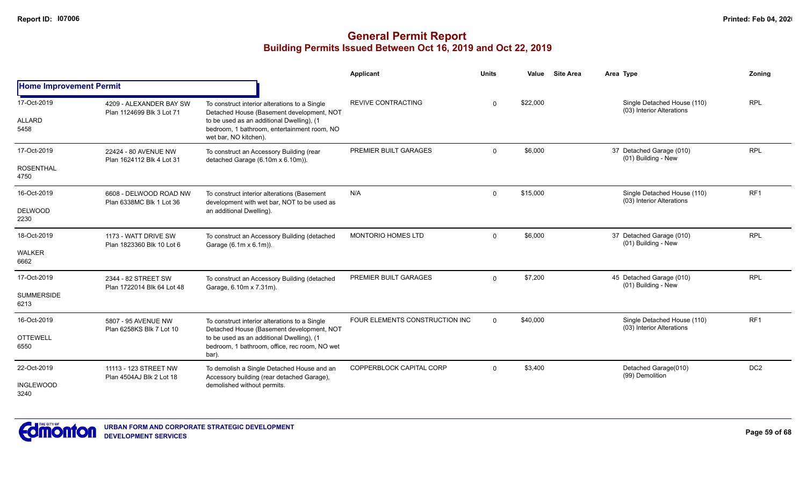|                                |                                                      |                                                                                                                   | Applicant                      | <b>Units</b> | Value    | <b>Site Area</b> | Area Type                                                | <b>Zoning</b>   |
|--------------------------------|------------------------------------------------------|-------------------------------------------------------------------------------------------------------------------|--------------------------------|--------------|----------|------------------|----------------------------------------------------------|-----------------|
| <b>Home Improvement Permit</b> |                                                      |                                                                                                                   |                                |              |          |                  |                                                          |                 |
| 17-Oct-2019                    | 4209 - ALEXANDER BAY SW<br>Plan 1124699 Blk 3 Lot 71 | To construct interior alterations to a Single<br>Detached House (Basement development, NOT                        | <b>REVIVE CONTRACTING</b>      | $\Omega$     | \$22,000 |                  | Single Detached House (110)<br>(03) Interior Alterations | <b>RPL</b>      |
| <b>ALLARD</b><br>5458          |                                                      | to be used as an additional Dwelling), (1<br>bedroom, 1 bathroom, entertainment room, NO<br>wet bar, NO kitchen). |                                |              |          |                  |                                                          |                 |
| 17-Oct-2019                    | 22424 - 80 AVENUE NW<br>Plan 1624112 Blk 4 Lot 31    | To construct an Accessory Building (rear<br>detached Garage (6.10m x 6.10m)).                                     | PREMIER BUILT GARAGES          | $\Omega$     | \$6,000  |                  | 37 Detached Garage (010)<br>(01) Building - New          | <b>RPL</b>      |
| <b>ROSENTHAL</b><br>4750       |                                                      |                                                                                                                   |                                |              |          |                  |                                                          |                 |
| 16-Oct-2019                    | 6608 - DELWOOD ROAD NW<br>Plan 6338MC Blk 1 Lot 36   | To construct interior alterations (Basement<br>development with wet bar, NOT to be used as                        | N/A                            | $\Omega$     | \$15,000 |                  | Single Detached House (110)<br>(03) Interior Alterations | RF <sub>1</sub> |
| <b>DELWOOD</b><br>2230         |                                                      | an additional Dwelling).                                                                                          |                                |              |          |                  |                                                          |                 |
| 18-Oct-2019                    | 1173 - WATT DRIVE SW<br>Plan 1823360 Blk 10 Lot 6    | To construct an Accessory Building (detached<br>Garage (6.1m x 6.1m)).                                            | <b>MONTORIO HOMES LTD</b>      | $\Omega$     | \$6,000  |                  | 37 Detached Garage (010)<br>(01) Building - New          | <b>RPL</b>      |
| <b>WALKER</b><br>6662          |                                                      |                                                                                                                   |                                |              |          |                  |                                                          |                 |
| 17-Oct-2019                    | 2344 - 82 STREET SW<br>Plan 1722014 Blk 64 Lot 48    | To construct an Accessory Building (detached<br>Garage, 6.10m x 7.31m).                                           | PREMIER BUILT GARAGES          | $\Omega$     | \$7,200  |                  | 45 Detached Garage (010)<br>(01) Building - New          | <b>RPL</b>      |
| <b>SUMMERSIDE</b><br>6213      |                                                      |                                                                                                                   |                                |              |          |                  |                                                          |                 |
| 16-Oct-2019                    | 5807 - 95 AVENUE NW<br>Plan 6258KS Blk 7 Lot 10      | To construct interior alterations to a Single<br>Detached House (Basement development, NOT                        | FOUR ELEMENTS CONSTRUCTION INC | $\Omega$     | \$40,000 |                  | Single Detached House (110)<br>(03) Interior Alterations | RF <sub>1</sub> |
| <b>OTTEWELL</b><br>6550        |                                                      | to be used as an additional Dwelling), (1<br>bedroom, 1 bathroom, office, rec room, NO wet<br>bar).               |                                |              |          |                  |                                                          |                 |
| 22-Oct-2019                    | 11113 - 123 STREET NW<br>Plan 4504AJ Blk 2 Lot 18    | To demolish a Single Detached House and an<br>Accessory building (rear detached Garage),                          | COPPERBLOCK CAPITAL CORP       | $\Omega$     | \$3,400  |                  | Detached Garage(010)<br>(99) Demolition                  | DC <sub>2</sub> |
| <b>INGLEWOOD</b><br>3240       |                                                      | demolished without permits.                                                                                       |                                |              |          |                  |                                                          |                 |

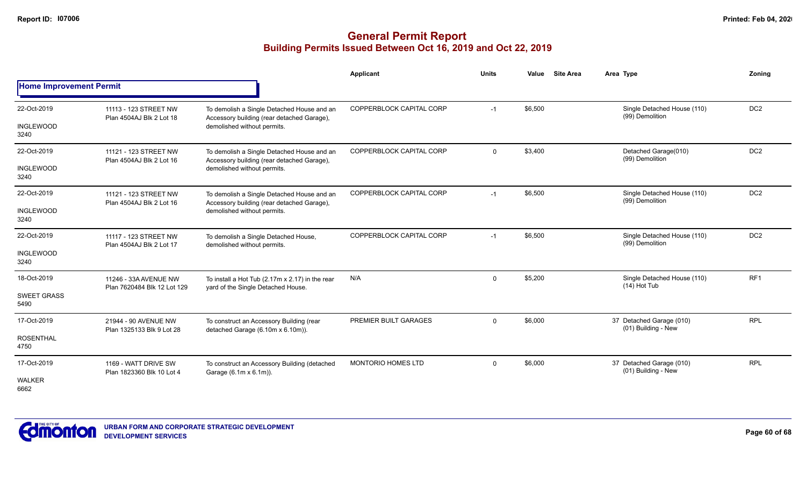|                                           |                                                      |                                                                                                                         | Applicant                 | <b>Units</b> | <b>Site Area</b><br>Value | Area Type                                       | Zonina          |
|-------------------------------------------|------------------------------------------------------|-------------------------------------------------------------------------------------------------------------------------|---------------------------|--------------|---------------------------|-------------------------------------------------|-----------------|
| <b>Home Improvement Permit</b>            |                                                      |                                                                                                                         |                           |              |                           |                                                 |                 |
| 22-Oct-2019<br><b>INGLEWOOD</b><br>3240   | 11113 - 123 STREET NW<br>Plan 4504AJ Blk 2 Lot 18    | To demolish a Single Detached House and an<br>Accessory building (rear detached Garage),<br>demolished without permits. | COPPERBLOCK CAPITAL CORP  | $-1$         | \$6,500                   | Single Detached House (110)<br>(99) Demolition  | DC <sub>2</sub> |
| 22-Oct-2019<br><b>INGLEWOOD</b><br>3240   | 11121 - 123 STREET NW<br>Plan 4504AJ Blk 2 Lot 16    | To demolish a Single Detached House and an<br>Accessory building (rear detached Garage),<br>demolished without permits. | COPPERBLOCK CAPITAL CORP  | $\mathbf{0}$ | \$3,400                   | Detached Garage(010)<br>(99) Demolition         | DC <sub>2</sub> |
| 22-Oct-2019<br><b>INGLEWOOD</b><br>3240   | 11121 - 123 STREET NW<br>Plan 4504AJ Blk 2 Lot 16    | To demolish a Single Detached House and an<br>Accessory building (rear detached Garage),<br>demolished without permits. | COPPERBLOCK CAPITAL CORP  | $-1$         | \$6,500                   | Single Detached House (110)<br>(99) Demolition  | DC <sub>2</sub> |
| 22-Oct-2019<br><b>INGLEWOOD</b><br>3240   | 11117 - 123 STREET NW<br>Plan 4504AJ Blk 2 Lot 17    | To demolish a Single Detached House,<br>demolished without permits.                                                     | COPPERBLOCK CAPITAL CORP  | $-1$         | \$6,500                   | Single Detached House (110)<br>(99) Demolition  | DC <sub>2</sub> |
| 18-Oct-2019<br><b>SWEET GRASS</b><br>5490 | 11246 - 33A AVENUE NW<br>Plan 7620484 Blk 12 Lot 129 | To install a Hot Tub (2.17m x 2.17) in the rear<br>yard of the Single Detached House.                                   | N/A                       | $\mathbf 0$  | \$5,200                   | Single Detached House (110)<br>$(14)$ Hot Tub   | RF <sub>1</sub> |
| 17-Oct-2019<br><b>ROSENTHAL</b><br>4750   | 21944 - 90 AVENUE NW<br>Plan 1325133 Blk 9 Lot 28    | To construct an Accessory Building (rear<br>detached Garage (6.10m x 6.10m)).                                           | PREMIER BUILT GARAGES     | $\Omega$     | \$6,000                   | 37 Detached Garage (010)<br>(01) Building - New | <b>RPL</b>      |
| 17-Oct-2019<br><b>WALKER</b><br>6662      | 1169 - WATT DRIVE SW<br>Plan 1823360 Blk 10 Lot 4    | To construct an Accessory Building (detached<br>Garage (6.1m x 6.1m)).                                                  | <b>MONTORIO HOMES LTD</b> | $\mathbf 0$  | \$6,000                   | 37 Detached Garage (010)<br>(01) Building - New | <b>RPL</b>      |

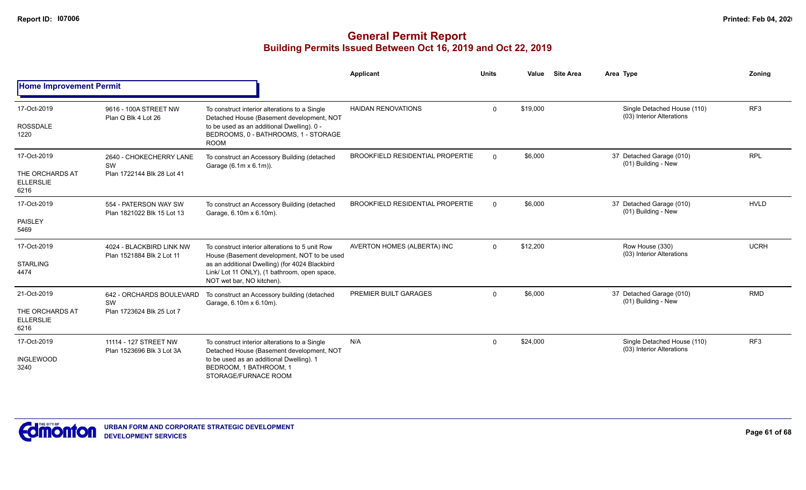|                                                            |                                                             |                                                                                                                                                                                                                               | Applicant                               | <b>Units</b> | Value    | <b>Site Area</b> | Area Type                                                | Zoning          |
|------------------------------------------------------------|-------------------------------------------------------------|-------------------------------------------------------------------------------------------------------------------------------------------------------------------------------------------------------------------------------|-----------------------------------------|--------------|----------|------------------|----------------------------------------------------------|-----------------|
| <b>Home Improvement Permit</b>                             |                                                             |                                                                                                                                                                                                                               |                                         |              |          |                  |                                                          |                 |
| 17-Oct-2019<br><b>ROSSDALE</b><br>1220                     | 9616 - 100A STREET NW<br>Plan Q Blk 4 Lot 26                | To construct interior alterations to a Single<br>Detached House (Basement development, NOT<br>to be used as an additional Dwelling). 0 -<br>BEDROOMS, 0 - BATHROOMS, 1 - STORAGE<br><b>ROOM</b>                               | <b>HAIDAN RENOVATIONS</b>               | $\Omega$     | \$19,000 |                  | Single Detached House (110)<br>(03) Interior Alterations | RF <sub>3</sub> |
| 17-Oct-2019<br>THE ORCHARDS AT<br><b>ELLERSLIE</b><br>6216 | 2640 - CHOKECHERRY LANE<br>SW<br>Plan 1722144 Blk 28 Lot 41 | To construct an Accessory Building (detached<br>Garage (6.1m x 6.1m)).                                                                                                                                                        | <b>BROOKFIELD RESIDENTIAL PROPERTIE</b> | $\Omega$     | \$6,000  |                  | 37 Detached Garage (010)<br>(01) Building - New          | <b>RPL</b>      |
| 17-Oct-2019<br>PAISLEY<br>5469                             | 554 - PATERSON WAY SW<br>Plan 1821022 Blk 15 Lot 13         | To construct an Accessory Building (detached<br>Garage, 6.10m x 6.10m).                                                                                                                                                       | <b>BROOKFIELD RESIDENTIAL PROPERTIE</b> | $\Omega$     | \$6,000  |                  | 37 Detached Garage (010)<br>(01) Building - New          | <b>HVLD</b>     |
| 17-Oct-2019<br><b>STARLING</b><br>4474                     | 4024 - BLACKBIRD LINK NW<br>Plan 1521884 Blk 2 Lot 11       | To construct interior alterations to 5 unit Row<br>House (Basement development, NOT to be used<br>as an additional Dwelling) (for 4024 Blackbird<br>Link/ Lot 11 ONLY), (1 bathroom, open space,<br>NOT wet bar, NO kitchen). | AVERTON HOMES (ALBERTA) INC             | $\Omega$     | \$12,200 |                  | Row House (330)<br>(03) Interior Alterations             | <b>UCRH</b>     |
| 21-Oct-2019<br>THE ORCHARDS AT<br><b>ELLERSLIE</b><br>6216 | 642 - ORCHARDS BOULEVARD<br>SW<br>Plan 1723624 Blk 25 Lot 7 | To construct an Accessory building (detached<br>Garage, 6.10m x 6.10m).                                                                                                                                                       | PREMIER BUILT GARAGES                   | $\Omega$     | \$6,000  |                  | 37 Detached Garage (010)<br>(01) Building - New          | <b>RMD</b>      |
| 17-Oct-2019<br><b>INGLEWOOD</b><br>3240                    | 11114 - 127 STREET NW<br>Plan 1523696 Blk 3 Lot 3A          | To construct interior alterations to a Single<br>Detached House (Basement development, NOT<br>to be used as an additional Dwelling). 1<br>BEDROOM, 1 BATHROOM, 1<br>STORAGE/FURNACE ROOM                                      | N/A                                     | 0            | \$24,000 |                  | Single Detached House (110)<br>(03) Interior Alterations | RF <sub>3</sub> |

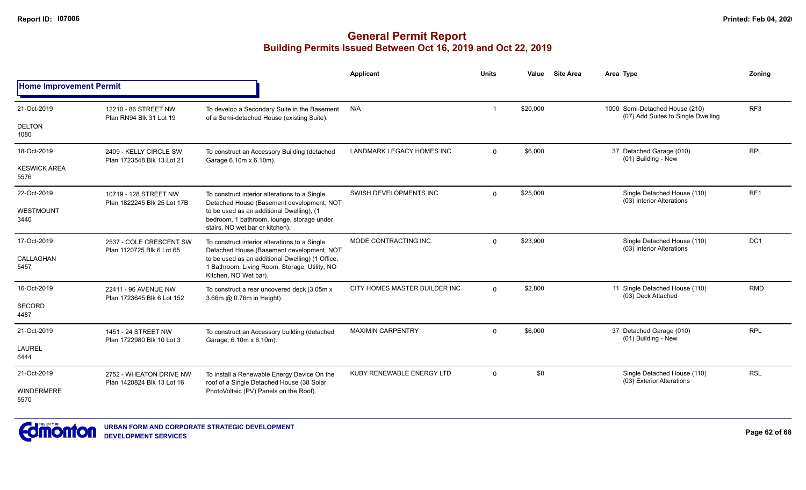|                                |                                                       |                                                                                                                            | <b>Applicant</b>              | <b>Units</b>   | Value    | <b>Site Area</b> | Area Type                                                            | Zoning          |
|--------------------------------|-------------------------------------------------------|----------------------------------------------------------------------------------------------------------------------------|-------------------------------|----------------|----------|------------------|----------------------------------------------------------------------|-----------------|
| <b>Home Improvement Permit</b> |                                                       |                                                                                                                            |                               |                |          |                  |                                                                      |                 |
| 21-Oct-2019                    | 12210 - 86 STREET NW<br>Plan RN94 Blk 31 Lot 19       | To develop a Secondary Suite in the Basement<br>of a Semi-detached House (existing Suite).                                 | N/A                           |                | \$20,000 |                  | 1000 Semi-Detached House (210)<br>(07) Add Suites to Single Dwelling | RF <sub>3</sub> |
| <b>DELTON</b><br>1080          |                                                       |                                                                                                                            |                               |                |          |                  |                                                                      |                 |
| 18-Oct-2019                    | 2409 - KELLY CIRCLE SW<br>Plan 1723548 Blk 13 Lot 21  | To construct an Accessory Building (detached<br>Garage 6.10m x 6.10m).                                                     | LANDMARK LEGACY HOMES INC     | $\overline{0}$ | \$6,000  |                  | 37 Detached Garage (010)<br>(01) Building - New                      | <b>RPL</b>      |
| <b>KESWICK AREA</b><br>5576    |                                                       |                                                                                                                            |                               |                |          |                  |                                                                      |                 |
| 22-Oct-2019                    | 10719 - 128 STREET NW<br>Plan 1822245 Blk 25 Lot 17B  | To construct interior alterations to a Single<br>Detached House (Basement development, NOT                                 | SWISH DEVELOPMENTS INC        | $\Omega$       | \$25,000 |                  | Single Detached House (110)<br>(03) Interior Alterations             | RF <sub>1</sub> |
| WESTMOUNT<br>3440              |                                                       | to be used as an additional Dwelling), (1<br>bedroom, 1 bathroom, lounge, storage under<br>stairs, NO wet bar or kitchen). |                               |                |          |                  |                                                                      |                 |
| 17-Oct-2019                    | 2537 - COLE CRESCENT SW<br>Plan 1120725 Blk 6 Lot 65  | To construct interior alterations to a Single<br>Detached House (Basement development, NOT                                 | MODE CONTRACTING INC.         | $\Omega$       | \$23,900 |                  | Single Detached House (110)<br>(03) Interior Alterations             | DC1             |
| CALLAGHAN<br>5457              |                                                       | to be used as an additional Dwelling) (1 Office,<br>1 Bathroom, Living Room, Storage, Utility, NO<br>Kitchen, NO Wet bar). |                               |                |          |                  |                                                                      |                 |
| 16-Oct-2019                    | 22411 - 96 AVENUE NW<br>Plan 1723645 Blk 6 Lot 152    | To construct a rear uncovered deck (3.05m x<br>3.66m @ 0.76m in Height).                                                   | CITY HOMES MASTER BUILDER INC | $\Omega$       | \$2,800  |                  | 11 Single Detached House (110)<br>(03) Deck Attached                 | <b>RMD</b>      |
| SECORD<br>4487                 |                                                       |                                                                                                                            |                               |                |          |                  |                                                                      |                 |
| 21-Oct-2019                    | 1451 - 24 STREET NW<br>Plan 1722980 Blk 10 Lot 3      | To construct an Accessory building (detached<br>Garage, 6.10m x 6.10m).                                                    | <b>MAXIMIN CARPENTRY</b>      | $\Omega$       | \$6,000  |                  | 37 Detached Garage (010)<br>(01) Building - New                      | <b>RPL</b>      |
| <b>LAUREL</b><br>6444          |                                                       |                                                                                                                            |                               |                |          |                  |                                                                      |                 |
| 21-Oct-2019                    | 2752 - WHEATON DRIVE NW<br>Plan 1420824 Blk 13 Lot 16 | To install a Renewable Energy Device On the<br>roof of a Single Detached House (38 Solar                                   | KUBY RENEWABLE ENERGY LTD     | $\mathbf 0$    | \$0      |                  | Single Detached House (110)<br>(03) Exterior Alterations             | <b>RSL</b>      |
| WINDERMERE<br>5570             |                                                       | PhotoVoltaic (PV) Panels on the Roof).                                                                                     |                               |                |          |                  |                                                                      |                 |

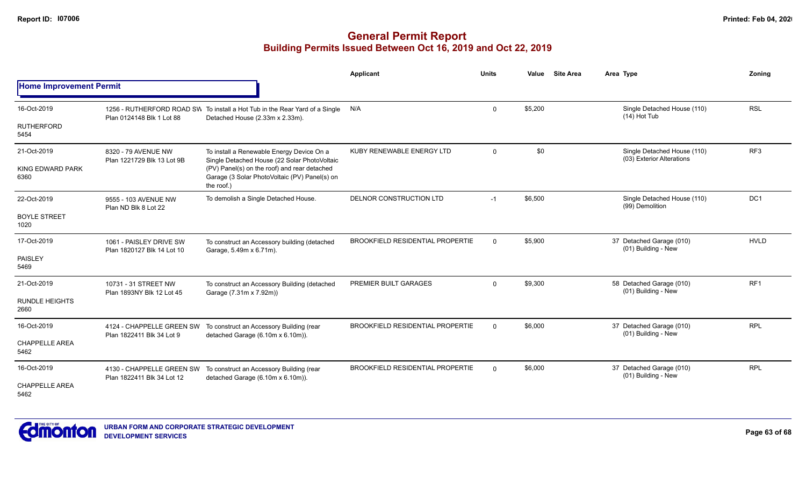|                                                |                                                        |                                                                                                                                                                                                          | Applicant                               | <b>Units</b> | Value   | <b>Site Area</b> | Area Type                                                | Zoning          |
|------------------------------------------------|--------------------------------------------------------|----------------------------------------------------------------------------------------------------------------------------------------------------------------------------------------------------------|-----------------------------------------|--------------|---------|------------------|----------------------------------------------------------|-----------------|
| <b>Home Improvement Permit</b>                 |                                                        |                                                                                                                                                                                                          |                                         |              |         |                  |                                                          |                 |
| 16-Oct-2019<br><b>RUTHERFORD</b>               | Plan 0124148 Blk 1 Lot 88                              | 1256 - RUTHERFORD ROAD SW To install a Hot Tub in the Rear Yard of a Single<br>Detached House (2.33m x 2.33m).                                                                                           | N/A                                     | $\Omega$     | \$5,200 |                  | Single Detached House (110)<br>$(14)$ Hot Tub            | <b>RSL</b>      |
| 5454                                           |                                                        |                                                                                                                                                                                                          |                                         |              |         |                  |                                                          |                 |
| 21-Oct-2019<br><b>KING EDWARD PARK</b><br>6360 | 8320 - 79 AVENUE NW<br>Plan 1221729 Blk 13 Lot 9B      | To install a Renewable Energy Device On a<br>Single Detached House (22 Solar PhotoVoltaic<br>(PV) Panel(s) on the roof) and rear detached<br>Garage (3 Solar PhotoVoltaic (PV) Panel(s) on<br>the roof.) | KUBY RENEWABLE ENERGY LTD               | $\mathbf 0$  | \$0     |                  | Single Detached House (110)<br>(03) Exterior Alterations | RF3             |
| 22-Oct-2019                                    | 9555 - 103 AVENUE NW<br>Plan ND Blk 8 Lot 22           | To demolish a Single Detached House.                                                                                                                                                                     | DELNOR CONSTRUCTION LTD                 | $-1$         | \$6,500 |                  | Single Detached House (110)<br>(99) Demolition           | DC <sub>1</sub> |
| <b>BOYLE STREET</b><br>1020                    |                                                        |                                                                                                                                                                                                          |                                         |              |         |                  |                                                          |                 |
| 17-Oct-2019                                    | 1061 - PAISLEY DRIVE SW<br>Plan 1820127 Blk 14 Lot 10  | To construct an Accessory building (detached<br>Garage, 5.49m x 6.71m).                                                                                                                                  | <b>BROOKFIELD RESIDENTIAL PROPERTIE</b> | $\Omega$     | \$5,900 |                  | 37 Detached Garage (010)<br>(01) Building - New          | <b>HVLD</b>     |
| <b>PAISLEY</b><br>5469                         |                                                        |                                                                                                                                                                                                          |                                         |              |         |                  |                                                          |                 |
| 21-Oct-2019                                    | 10731 - 31 STREET NW<br>Plan 1893NY Blk 12 Lot 45      | To construct an Accessory Building (detached<br>Garage (7.31m x 7.92m))                                                                                                                                  | PREMIER BUILT GARAGES                   | $\mathbf{0}$ | \$9,300 |                  | 58 Detached Garage (010)<br>(01) Building - New          | RF <sub>1</sub> |
| <b>RUNDLE HEIGHTS</b><br>2660                  |                                                        |                                                                                                                                                                                                          |                                         |              |         |                  |                                                          |                 |
| 16-Oct-2019                                    | 4124 - CHAPPELLE GREEN SW<br>Plan 1822411 Blk 34 Lot 9 | To construct an Accessory Building (rear<br>detached Garage (6.10m x 6.10m)).                                                                                                                            | <b>BROOKFIELD RESIDENTIAL PROPERTIE</b> | $\Omega$     | \$6,000 |                  | 37 Detached Garage (010)<br>(01) Building - New          | <b>RPL</b>      |
| <b>CHAPPELLE AREA</b><br>5462                  |                                                        |                                                                                                                                                                                                          |                                         |              |         |                  |                                                          |                 |
| 16-Oct-2019                                    | Plan 1822411 Blk 34 Lot 12                             | 4130 - CHAPPELLE GREEN SW To construct an Accessory Building (rear<br>detached Garage (6.10m x 6.10m)).                                                                                                  | <b>BROOKFIELD RESIDENTIAL PROPERTIE</b> | $\Omega$     | \$6,000 |                  | 37 Detached Garage (010)<br>(01) Building - New          | <b>RPL</b>      |
| <b>CHAPPELLE AREA</b><br>5462                  |                                                        |                                                                                                                                                                                                          |                                         |              |         |                  |                                                          |                 |

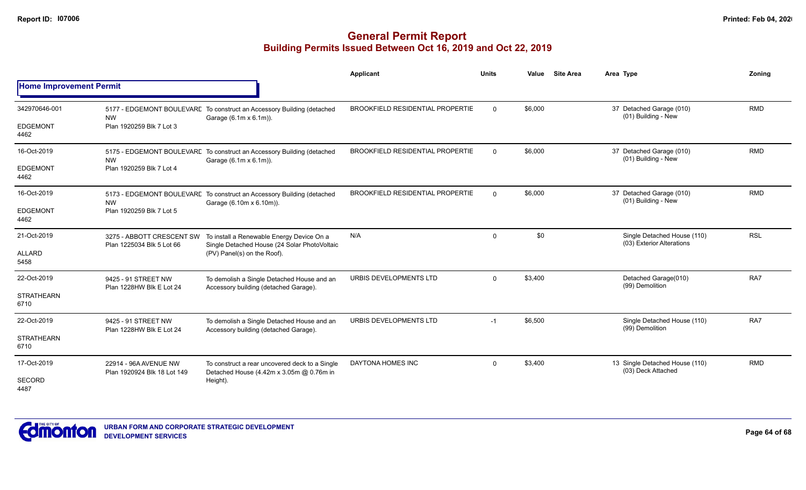|                                          |                                                        |                                                                                                                          | <b>Applicant</b>                        | <b>Units</b> | Value   | <b>Site Area</b> | Area Type                                                | Zoning     |
|------------------------------------------|--------------------------------------------------------|--------------------------------------------------------------------------------------------------------------------------|-----------------------------------------|--------------|---------|------------------|----------------------------------------------------------|------------|
| <b>Home Improvement Permit</b>           |                                                        |                                                                                                                          |                                         |              |         |                  |                                                          |            |
| 342970646-001<br><b>EDGEMONT</b><br>4462 | <b>NW</b><br>Plan 1920259 Blk 7 Lot 3                  | 5177 - EDGEMONT BOULEVARE To construct an Accessory Building (detached<br>Garage (6.1m x 6.1m)).                         | <b>BROOKFIELD RESIDENTIAL PROPERTIE</b> | $\Omega$     | \$6,000 |                  | 37 Detached Garage (010)<br>(01) Building - New          | <b>RMD</b> |
| 16-Oct-2019<br><b>EDGEMONT</b><br>4462   | <b>NW</b><br>Plan 1920259 Blk 7 Lot 4                  | 5175 - EDGEMONT BOULEVARE To construct an Accessory Building (detached<br>Garage (6.1m x 6.1m)).                         | <b>BROOKFIELD RESIDENTIAL PROPERTIE</b> | $\Omega$     | \$6,000 |                  | 37 Detached Garage (010)<br>(01) Building - New          | <b>RMD</b> |
| 16-Oct-2019<br><b>EDGEMONT</b><br>4462   | <b>NW</b><br>Plan 1920259 Blk 7 Lot 5                  | 5173 - EDGEMONT BOULEVARE To construct an Accessory Building (detached<br>Garage (6.10m x 6.10m)).                       | <b>BROOKFIELD RESIDENTIAL PROPERTIE</b> | $\Omega$     | \$6,000 |                  | 37 Detached Garage (010)<br>(01) Building - New          | <b>RMD</b> |
| 21-Oct-2019<br><b>ALLARD</b><br>5458     | 3275 - ABBOTT CRESCENT SW<br>Plan 1225034 Blk 5 Lot 66 | To install a Renewable Energy Device On a<br>Single Detached House (24 Solar PhotoVoltaic<br>(PV) Panel(s) on the Roof). | N/A                                     | $\Omega$     | \$0     |                  | Single Detached House (110)<br>(03) Exterior Alterations | <b>RSL</b> |
| 22-Oct-2019<br><b>STRATHEARN</b><br>6710 | 9425 - 91 STREET NW<br>Plan 1228HW Blk E Lot 24        | To demolish a Single Detached House and an<br>Accessory building (detached Garage).                                      | URBIS DEVELOPMENTS LTD                  | $\Omega$     | \$3,400 |                  | Detached Garage(010)<br>(99) Demolition                  | RA7        |
| 22-Oct-2019<br><b>STRATHEARN</b><br>6710 | 9425 - 91 STREET NW<br>Plan 1228HW Blk E Lot 24        | To demolish a Single Detached House and an<br>Accessory building (detached Garage).                                      | URBIS DEVELOPMENTS LTD                  | $-1$         | \$6,500 |                  | Single Detached House (110)<br>(99) Demolition           | RA7        |
| 17-Oct-2019<br>SECORD<br>4487            | 22914 - 96A AVENUE NW<br>Plan 1920924 Blk 18 Lot 149   | To construct a rear uncovered deck to a Single<br>Detached House (4.42m x 3.05m @ 0.76m in<br>Height).                   | DAYTONA HOMES INC                       | 0            | \$3,400 |                  | 13 Single Detached House (110)<br>(03) Deck Attached     | <b>RMD</b> |

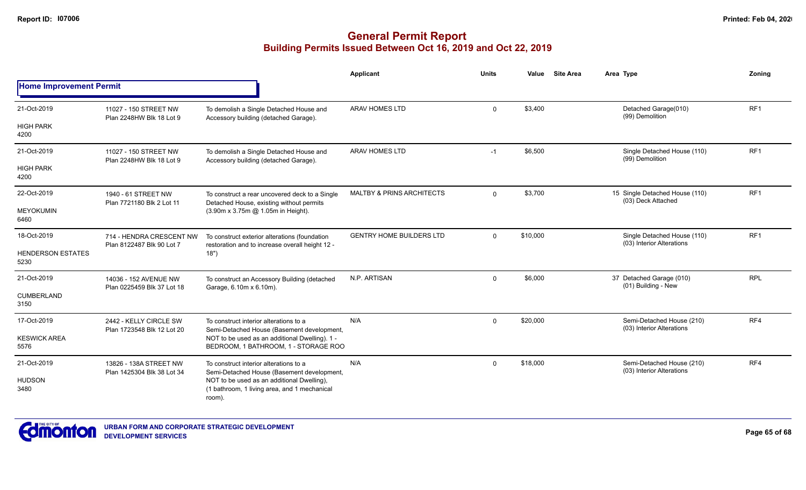## **General Permit Report Building Permits Issued Between Oct 16, 2019 and Oct 22, 2019**

|                                  |                                                                                                                                                                                  |                                                                                                          | Applicant                            | <b>Units</b>   | Value    | <b>Site Area</b> | Area Type                                                | Zoning          |
|----------------------------------|----------------------------------------------------------------------------------------------------------------------------------------------------------------------------------|----------------------------------------------------------------------------------------------------------|--------------------------------------|----------------|----------|------------------|----------------------------------------------------------|-----------------|
| <b>Home Improvement Permit</b>   |                                                                                                                                                                                  |                                                                                                          |                                      |                |          |                  |                                                          |                 |
| 21-Oct-2019                      | 11027 - 150 STREET NW<br>Plan 2248HW Blk 18 Lot 9                                                                                                                                | To demolish a Single Detached House and<br>Accessory building (detached Garage).                         | <b>ARAV HOMES LTD</b>                | $\mathbf 0$    | \$3,400  |                  | Detached Garage(010)<br>(99) Demolition                  | RF1             |
| <b>HIGH PARK</b><br>4200         |                                                                                                                                                                                  |                                                                                                          |                                      |                |          |                  |                                                          |                 |
| 21-Oct-2019                      | 11027 - 150 STREET NW<br>Plan 2248HW Blk 18 Lot 9                                                                                                                                | To demolish a Single Detached House and<br>Accessory building (detached Garage).                         | <b>ARAV HOMES LTD</b>                | $-1$           | \$6,500  |                  | Single Detached House (110)<br>(99) Demolition           | RF <sub>1</sub> |
| <b>HIGH PARK</b><br>4200         |                                                                                                                                                                                  |                                                                                                          |                                      |                |          |                  |                                                          |                 |
| 22-Oct-2019                      | 1940 - 61 STREET NW<br>Plan 7721180 Blk 2 Lot 11                                                                                                                                 | To construct a rear uncovered deck to a Single<br>Detached House, existing without permits               | <b>MALTBY &amp; PRINS ARCHITECTS</b> | $\Omega$       | \$3,700  |                  | 15 Single Detached House (110)<br>(03) Deck Attached     | RF <sub>1</sub> |
| <b>MEYOKUMIN</b><br>6460         |                                                                                                                                                                                  | (3.90m x 3.75m @ 1.05m in Height).                                                                       |                                      |                |          |                  |                                                          |                 |
| 18-Oct-2019                      | 714 - HENDRA CRESCENT NW<br>Plan 8122487 Blk 90 Lot 7                                                                                                                            | To construct exterior alterations (foundation<br>restoration and to increase overall height 12 -<br>18") | <b>GENTRY HOME BUILDERS LTD</b>      | $\mathbf 0$    | \$10,000 |                  | Single Detached House (110)<br>(03) Interior Alterations | RF <sub>1</sub> |
| <b>HENDERSON ESTATES</b><br>5230 |                                                                                                                                                                                  |                                                                                                          |                                      |                |          |                  |                                                          |                 |
| 21-Oct-2019                      | 14036 - 152 AVENUE NW<br>Plan 0225459 Blk 37 Lot 18                                                                                                                              | To construct an Accessory Building (detached<br>Garage, 6.10m x 6.10m).                                  | N.P. ARTISAN                         | $\overline{0}$ | \$6,000  |                  | 37 Detached Garage (010)<br>(01) Building - New          | <b>RPL</b>      |
| <b>CUMBERLAND</b><br>3150        |                                                                                                                                                                                  |                                                                                                          |                                      |                |          |                  |                                                          |                 |
| 17-Oct-2019                      | 2442 - KELLY CIRCLE SW<br>Plan 1723548 Blk 12 Lot 20                                                                                                                             | To construct interior alterations to a<br>Semi-Detached House (Basement development,                     | N/A                                  | $\mathbf 0$    | \$20,000 |                  | Semi-Detached House (210)<br>(03) Interior Alterations   | RF4             |
| <b>KESWICK AREA</b><br>5576      |                                                                                                                                                                                  | NOT to be used as an additional Dwelling). 1 -<br>BEDROOM, 1 BATHROOM, 1 - STORAGE ROO                   |                                      |                |          |                  |                                                          |                 |
| 21-Oct-2019                      | 13826 - 138A STREET NW                                                                                                                                                           | To construct interior alterations to a                                                                   | N/A                                  | $\mathbf 0$    | \$18,000 |                  | Semi-Detached House (210)<br>(03) Interior Alterations   | RF4             |
| <b>HUDSON</b><br>3480            | Plan 1425304 Blk 38 Lot 34<br>Semi-Detached House (Basement development,<br>NOT to be used as an additional Dwelling),<br>(1 bathroom, 1 living area, and 1 mechanical<br>room). |                                                                                                          |                                      |                |          |                  |                                                          |                 |



**Page 65 of 68**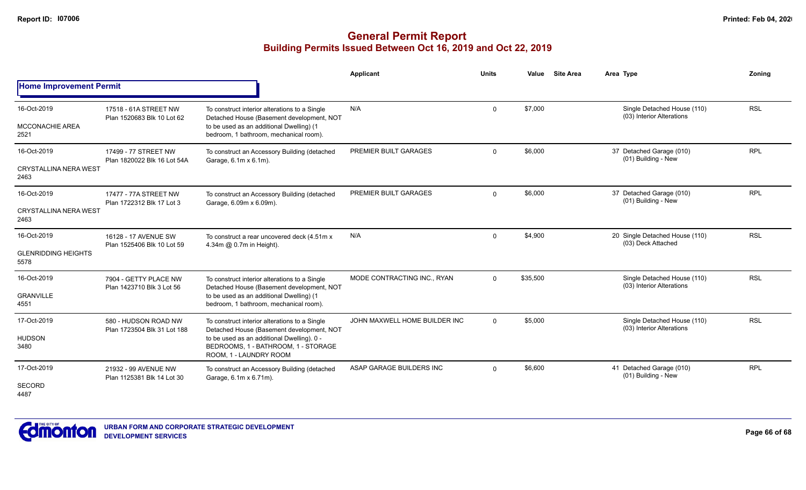|                                                     |                                                     |                                                                                                                                                                                                           | <b>Applicant</b>              | <b>Units</b> | Value    | <b>Site Area</b> | Area Type                                                | Zonina     |
|-----------------------------------------------------|-----------------------------------------------------|-----------------------------------------------------------------------------------------------------------------------------------------------------------------------------------------------------------|-------------------------------|--------------|----------|------------------|----------------------------------------------------------|------------|
| <b>Home Improvement Permit</b>                      |                                                     |                                                                                                                                                                                                           |                               |              |          |                  |                                                          |            |
| 16-Oct-2019<br><b>MCCONACHIE AREA</b><br>2521       | 17518 - 61A STREET NW<br>Plan 1520683 Blk 10 Lot 62 | To construct interior alterations to a Single<br>Detached House (Basement development, NOT<br>to be used as an additional Dwelling) (1<br>bedroom, 1 bathroom, mechanical room).                          | N/A                           | $\mathbf 0$  | \$7,000  |                  | Single Detached House (110)<br>(03) Interior Alterations | <b>RSL</b> |
| 16-Oct-2019<br><b>CRYSTALLINA NERA WEST</b><br>2463 | 17499 - 77 STREET NW<br>Plan 1820022 Blk 16 Lot 54A | To construct an Accessory Building (detached<br>Garage, 6.1m x 6.1m).                                                                                                                                     | PREMIER BUILT GARAGES         | $\Omega$     | \$6,000  |                  | 37 Detached Garage (010)<br>(01) Building - New          | <b>RPL</b> |
| 16-Oct-2019<br><b>CRYSTALLINA NERA WEST</b><br>2463 | 17477 - 77A STREET NW<br>Plan 1722312 Blk 17 Lot 3  | To construct an Accessory Building (detached<br>Garage, 6.09m x 6.09m).                                                                                                                                   | PREMIER BUILT GARAGES         | $\Omega$     | \$6,000  |                  | 37 Detached Garage (010)<br>(01) Building - New          | <b>RPL</b> |
| 16-Oct-2019<br><b>GLENRIDDING HEIGHTS</b><br>5578   | 16128 - 17 AVENUE SW<br>Plan 1525406 Blk 10 Lot 59  | To construct a rear uncovered deck (4.51m x)<br>4.34m @ 0.7m in Height).                                                                                                                                  | N/A                           | $\mathbf 0$  | \$4,900  |                  | 20 Single Detached House (110)<br>(03) Deck Attached     | <b>RSL</b> |
| 16-Oct-2019<br><b>GRANVILLE</b><br>4551             | 7904 - GETTY PLACE NW<br>Plan 1423710 Blk 3 Lot 56  | To construct interior alterations to a Single<br>Detached House (Basement development, NOT<br>to be used as an additional Dwelling) (1<br>bedroom, 1 bathroom, mechanical room).                          | MODE CONTRACTING INC., RYAN   | $\Omega$     | \$35,500 |                  | Single Detached House (110)<br>(03) Interior Alterations | <b>RSL</b> |
| 17-Oct-2019<br><b>HUDSON</b><br>3480                | 580 - HUDSON ROAD NW<br>Plan 1723504 Blk 31 Lot 188 | To construct interior alterations to a Single<br>Detached House (Basement development, NOT<br>to be used as an additional Dwelling). 0 -<br>BEDROOMS, 1 - BATHROOM, 1 - STORAGE<br>ROOM, 1 - LAUNDRY ROOM | JOHN MAXWELL HOME BUILDER INC | $\Omega$     | \$5,000  |                  | Single Detached House (110)<br>(03) Interior Alterations | <b>RSL</b> |
| 17-Oct-2019<br><b>SECORD</b><br>4487                | 21932 - 99 AVENUE NW<br>Plan 1125381 Blk 14 Lot 30  | To construct an Accessory Building (detached<br>Garage, 6.1m x 6.71m).                                                                                                                                    | ASAP GARAGE BUILDERS INC      | $\Omega$     | \$6,600  |                  | 41 Detached Garage (010)<br>(01) Building - New          | <b>RPL</b> |

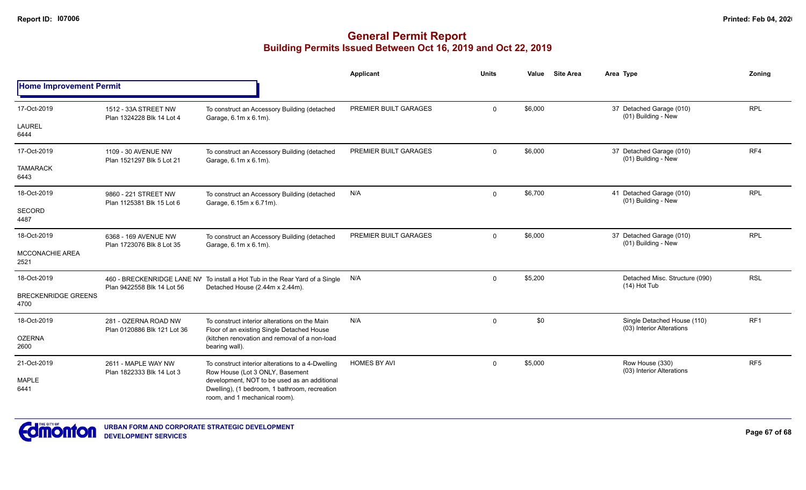|                                    |                                                     |                                                                                                                                                   | Applicant             | <b>Units</b> | Value   | <b>Site Area</b> | Area Type                                                | Zonina          |
|------------------------------------|-----------------------------------------------------|---------------------------------------------------------------------------------------------------------------------------------------------------|-----------------------|--------------|---------|------------------|----------------------------------------------------------|-----------------|
| <b>Home Improvement Permit</b>     |                                                     |                                                                                                                                                   |                       |              |         |                  |                                                          |                 |
| 17-Oct-2019                        | 1512 - 33A STREET NW<br>Plan 1324228 Blk 14 Lot 4   | To construct an Accessory Building (detached<br>Garage, 6.1m x 6.1m).                                                                             | PREMIER BUILT GARAGES | $\Omega$     | \$6,000 |                  | 37 Detached Garage (010)<br>(01) Building - New          | <b>RPL</b>      |
| <b>LAUREL</b><br>6444              |                                                     |                                                                                                                                                   |                       |              |         |                  |                                                          |                 |
| 17-Oct-2019                        | 1109 - 30 AVENUE NW<br>Plan 1521297 Blk 5 Lot 21    | To construct an Accessory Building (detached<br>Garage, 6.1m x 6.1m).                                                                             | PREMIER BUILT GARAGES | $\mathbf 0$  | \$6,000 |                  | 37 Detached Garage (010)<br>(01) Building - New          | RF4             |
| <b>TAMARACK</b><br>6443            |                                                     |                                                                                                                                                   |                       |              |         |                  |                                                          |                 |
| 18-Oct-2019                        | 9860 - 221 STREET NW<br>Plan 1125381 Blk 15 Lot 6   | To construct an Accessory Building (detached<br>Garage, 6.15m x 6.71m).                                                                           | N/A                   | $\mathbf 0$  | \$6,700 |                  | 41 Detached Garage (010)<br>(01) Building - New          | <b>RPL</b>      |
| SECORD<br>4487                     |                                                     |                                                                                                                                                   |                       |              |         |                  |                                                          |                 |
| 18-Oct-2019                        | 6368 - 169 AVENUE NW<br>Plan 1723076 Blk 8 Lot 35   | To construct an Accessory Building (detached<br>Garage, 6.1m x 6.1m).                                                                             | PREMIER BUILT GARAGES | $\Omega$     | \$6,000 |                  | 37 Detached Garage (010)<br>(01) Building - New          | <b>RPL</b>      |
| <b>MCCONACHIE AREA</b><br>2521     |                                                     |                                                                                                                                                   |                       |              |         |                  |                                                          |                 |
| 18-Oct-2019                        |                                                     | 460 - BRECKENRIDGE LANE NV To install a Hot Tub in the Rear Yard of a Single N/A<br>Plan 9422558 Blk 14 Lot 56<br>Detached House (2.44m x 2.44m). |                       | $\mathbf 0$  | \$5,200 |                  | Detached Misc. Structure (090)<br>$(14)$ Hot Tub         | <b>RSL</b>      |
| <b>BRECKENRIDGE GREENS</b><br>4700 |                                                     |                                                                                                                                                   |                       |              |         |                  |                                                          |                 |
| 18-Oct-2019                        | 281 - OZERNA ROAD NW<br>Plan 0120886 Blk 121 Lot 36 | To construct interior alterations on the Main<br>Floor of an existing Single Detached House                                                       | N/A                   | $\mathbf 0$  | \$0     |                  | Single Detached House (110)<br>(03) Interior Alterations | RF1             |
| <b>OZERNA</b><br>2600              |                                                     | (kitchen renovation and removal of a non-load<br>bearing wall).                                                                                   |                       |              |         |                  |                                                          |                 |
| 21-Oct-2019                        | 2611 - MAPLE WAY NW<br>Plan 1822333 Blk 14 Lot 3    | To construct interior alterations to a 4-Dwelling<br>Row House (Lot 3 ONLY, Basement                                                              | <b>HOMES BY AVI</b>   | $\mathbf 0$  | \$5,000 |                  | Row House (330)<br>(03) Interior Alterations             | RF <sub>5</sub> |
| <b>MAPLE</b><br>6441               |                                                     | development, NOT to be used as an additional<br>Dwelling), (1 bedroom, 1 bathroom, recreation<br>room, and 1 mechanical room).                    |                       |              |         |                  |                                                          |                 |